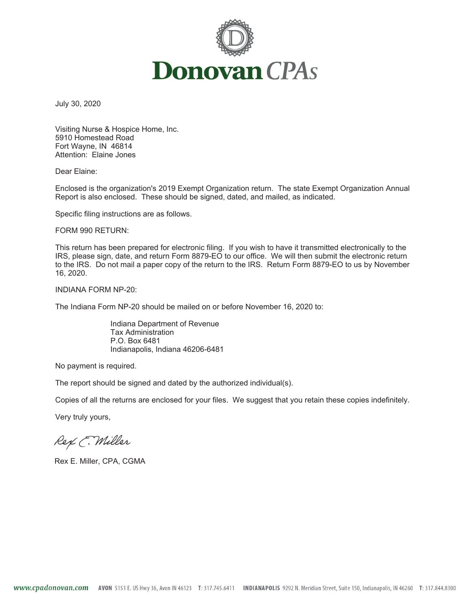

July 30, 2020

Visiting Nurse & Hospice Home, Inc. 5910 Homestead Road Fort Wayne, IN 46814 Attention: Elaine Jones

Dear Elaine:

Enclosed is the organization's 2019 Exempt Organization return. The state Exempt Organization Annual Report is also enclosed. These should be signed, dated, and mailed, as indicated.

Specific filing instructions are as follows.

FORM 990 RETURN:

This return has been prepared for electronic filing. If you wish to have it transmitted electronically to the IRS, please sign, date, and return Form 8879-EO to our office. We will then submit the electronic return to the IRS. Do not mail a paper copy of the return to the IRS. Return Form 8879-EO to us by November 16, 2020.

INDIANA FORM NP-20:

The Indiana Form NP-20 should be mailed on or before November 16, 2020 to:

Indiana Department of Revenue Tax Administration P.O. Box 6481 Indianapolis, Indiana 46206-6481

No payment is required.

The report should be signed and dated by the authorized individual(s).

Copies of all the returns are enclosed for your files. We suggest that you retain these copies indefinitely.

Very truly yours,

Rex E. Miller

Rex E. Miller, CPA, CGMA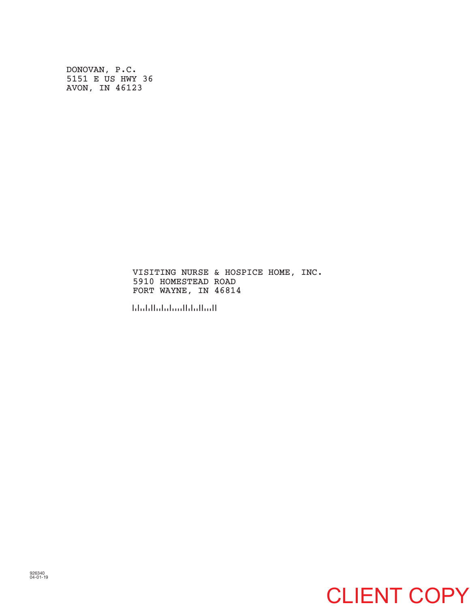DONOVAN, P.C. 5151 E US HWY 36 AVON, IN 46123

> VISITING NURSE & HOSPICE HOME, INC. 5910 HOMESTEAD ROAD FORT WAYNE, IN 46814

!468147!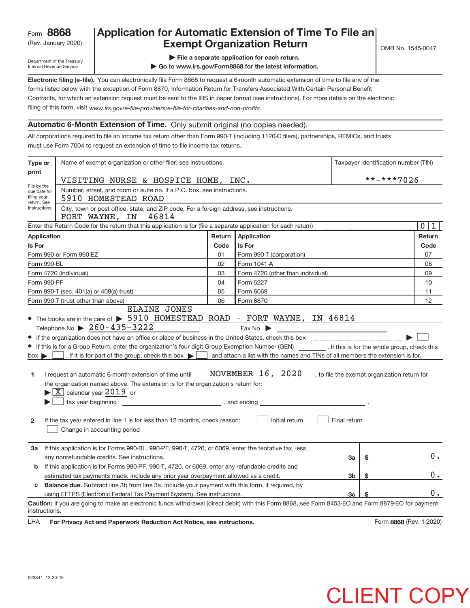## Rev. January 2020) **Cxempt Organization Return** Manuary 2020 and the Sea of the Sea of the Sea of the Sea of the S **8868 Application for Automatic Extension of Time To File an**

Department of the Treasury Internal Revenue Service

- **| File a separate application for each return.**
- **| Go to www.irs.gov/Form8868 for the latest information.**

**Electronic filing (e‐file).**  You can electronically file Form 8868 to request a 6‐month automatic extension of time to file any of the filing of this form, visit www.irs.gov/e-file-providers/e-file-for-charities-and-non-profits. forms listed below with the exception of Form 8870, Information Return for Transfers Associated With Certain Personal Benefit Contracts, for which an extension request must be sent to the IRS in paper format (see instructions). For more details on the electronic

## **Automatic 6‐Month Extension of Time.** Only submit original (no copies needed).

All corporations required to file an income tax return other than Form 990‐T (including 1120‐C filers), partnerships, REMICs, and trusts must use Form 7004 to request an extension of time to file income tax returns.

| Type or                        | Name of exempt organization or other filer, see instructions.                                                                                                                                                                                                                                                                                                                                                                                                                                                                                                                                           |        |                                                                                                                             |              | Taxpayer identification number (TIN) |                     |
|--------------------------------|---------------------------------------------------------------------------------------------------------------------------------------------------------------------------------------------------------------------------------------------------------------------------------------------------------------------------------------------------------------------------------------------------------------------------------------------------------------------------------------------------------------------------------------------------------------------------------------------------------|--------|-----------------------------------------------------------------------------------------------------------------------------|--------------|--------------------------------------|---------------------|
| print                          |                                                                                                                                                                                                                                                                                                                                                                                                                                                                                                                                                                                                         |        |                                                                                                                             |              | **-***7026                           |                     |
| File by the<br>due date for    | VISITING NURSE & HOSPICE HOME, INC.<br>Number, street, and room or suite no. If a P.O. box, see instructions.                                                                                                                                                                                                                                                                                                                                                                                                                                                                                           |        |                                                                                                                             |              |                                      |                     |
| filing your                    | 5910 HOMESTEAD ROAD                                                                                                                                                                                                                                                                                                                                                                                                                                                                                                                                                                                     |        |                                                                                                                             |              |                                      |                     |
| return. See<br>instructions.   | City, town or post office, state, and ZIP code. For a foreign address, see instructions.<br>46814<br>FORT WAYNE, IN                                                                                                                                                                                                                                                                                                                                                                                                                                                                                     |        |                                                                                                                             |              |                                      |                     |
|                                | Enter the Return Code for the return that this application is for (file a separate application for each return)                                                                                                                                                                                                                                                                                                                                                                                                                                                                                         |        |                                                                                                                             |              |                                      | $\overline{0}$<br>1 |
| <b>Application</b>             |                                                                                                                                                                                                                                                                                                                                                                                                                                                                                                                                                                                                         | Return | Application                                                                                                                 |              |                                      | Return              |
| Is For                         |                                                                                                                                                                                                                                                                                                                                                                                                                                                                                                                                                                                                         | Code   | Is For                                                                                                                      |              |                                      | Code                |
|                                | Form 990 or Form 990-EZ                                                                                                                                                                                                                                                                                                                                                                                                                                                                                                                                                                                 | 01     | Form 990-T (corporation)                                                                                                    |              |                                      | 07                  |
| Form 990-BL                    |                                                                                                                                                                                                                                                                                                                                                                                                                                                                                                                                                                                                         | 02     | Form 1041-A                                                                                                                 |              |                                      | 08                  |
|                                | Form 4720 (individual)                                                                                                                                                                                                                                                                                                                                                                                                                                                                                                                                                                                  | 03     | Form 4720 (other than individual)                                                                                           |              |                                      | 09                  |
| Form 990-PF                    |                                                                                                                                                                                                                                                                                                                                                                                                                                                                                                                                                                                                         | 04     | Form 5227                                                                                                                   |              |                                      | 10                  |
|                                | Form 990-T (sec. 401(a) or 408(a) trust)                                                                                                                                                                                                                                                                                                                                                                                                                                                                                                                                                                | 05     | Form 6069                                                                                                                   |              |                                      | 11                  |
|                                | Form 990-T (trust other than above)<br><b>ELAINE JONES</b>                                                                                                                                                                                                                                                                                                                                                                                                                                                                                                                                              | 06     | Form 8870                                                                                                                   |              |                                      | 12                  |
| $box \triangleright$<br>1<br>2 | • If this is for a Group Return, enter the organization's four digit Group Exemption Number (GEN) _________. If this is for the whole group, check this<br>I and attach a list with the names and TINs of all members the extension is for.<br>I request an automatic 6-month extension of time until<br>the organization named above. The extension is for the organization's return for:<br>$\blacktriangleright$ $\boxed{\text{X}}$ calendar year 2019 or<br>$\Box$ tax year beginning<br>If the tax year entered in line 1 is for less than 12 months, check reason:<br>Change in accounting period |        | NOVEMBER 16, 2020, to file the exempt organization return for<br>$\frac{1}{2}$ , and ending $\frac{1}{2}$<br>Initial return | Final return |                                      |                     |
| За                             | If this application is for Forms 990-BL, 990-PF, 990-T, 4720, or 6069, enter the tentative tax, less<br>any nonrefundable credits. See instructions.                                                                                                                                                                                                                                                                                                                                                                                                                                                    |        |                                                                                                                             | За           | \$                                   | $0$ .               |
| b                              | If this application is for Forms 990-PF, 990-T, 4720, or 6069, enter any refundable credits and<br>estimated tax payments made. Include any prior year overpayment allowed as a credit.                                                                                                                                                                                                                                                                                                                                                                                                                 |        |                                                                                                                             | 3b           | \$                                   | 0.                  |
| c                              | <b>Balance due.</b> Subtract line 3b from line 3a. Include your payment with this form, if required, by                                                                                                                                                                                                                                                                                                                                                                                                                                                                                                 |        |                                                                                                                             |              |                                      |                     |
|                                | using EFTPS (Electronic Federal Tax Payment System). See instructions.                                                                                                                                                                                                                                                                                                                                                                                                                                                                                                                                  |        |                                                                                                                             | 3c           |                                      | 0.                  |
| instructions.                  | Caution: If you are going to make an electronic funds withdrawal (direct debit) with this Form 8868, see Form 8453-EO and Form 8879-EO for payment                                                                                                                                                                                                                                                                                                                                                                                                                                                      |        |                                                                                                                             |              |                                      |                     |

LHA For Privacy Act and Paperwork Reduction Act Notice, see instructions. **8868** (Rev. 1–2020)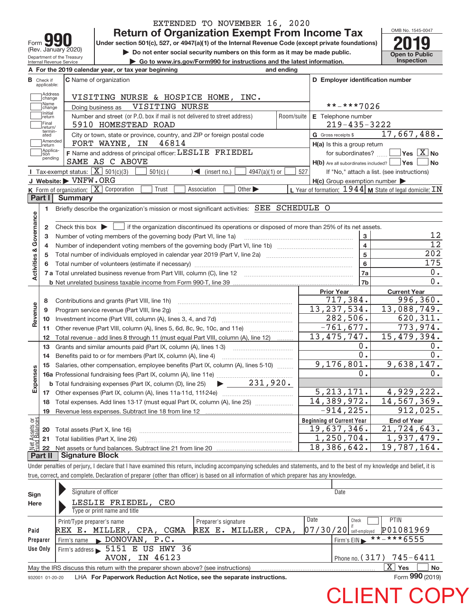|                         |                                  |                                                            | EXTENDED TO NOVEMBER 16, 2020                                                                                                                                                            |            |                                                     |                                                           |
|-------------------------|----------------------------------|------------------------------------------------------------|------------------------------------------------------------------------------------------------------------------------------------------------------------------------------------------|------------|-----------------------------------------------------|-----------------------------------------------------------|
|                         |                                  |                                                            | <b>Return of Organization Exempt From Income Tax</b>                                                                                                                                     |            |                                                     | OMB No. 1545-0047                                         |
| Form                    |                                  |                                                            | Under section 501(c), 527, or 4947(a)(1) of the Internal Revenue Code (except private foundations)                                                                                       |            |                                                     |                                                           |
|                         |                                  | (Rev. January 2020)                                        | Do not enter social security numbers on this form as it may be made public.                                                                                                              |            |                                                     | <b>Open to Public</b>                                     |
|                         |                                  | Department of the Treasury<br>Internal Revenue Service     | Go to www.irs.gov/Form990 for instructions and the latest information.                                                                                                                   |            |                                                     | Inspection                                                |
|                         |                                  |                                                            | A For the 2019 calendar year, or tax year beginning<br>and ending                                                                                                                        |            |                                                     |                                                           |
|                         | <b>B</b> Check if<br>applicable: |                                                            | C Name of organization                                                                                                                                                                   |            | D Employer identification number                    |                                                           |
|                         | Address<br>change                |                                                            | VISITING NURSE & HOSPICE HOME, INC.                                                                                                                                                      |            |                                                     |                                                           |
|                         | Name<br>change                   |                                                            | VISITING NURSE<br>Doing business as                                                                                                                                                      |            | **-***7026                                          |                                                           |
|                         | Initial<br>return                |                                                            | Number and street (or P.O. box if mail is not delivered to street address)                                                                                                               | Room/suite | E Telephone number                                  |                                                           |
|                         | Final<br>return/                 |                                                            | 5910 HOMESTEAD ROAD                                                                                                                                                                      |            | $219 - 435 - 3222$                                  |                                                           |
|                         | termin-<br>ated                  |                                                            | City or town, state or province, country, and ZIP or foreign postal code                                                                                                                 |            | G Gross receipts \$                                 | 17,667,488.                                               |
|                         | Amended<br>return                |                                                            | 46814<br>FORT WAYNE, IN                                                                                                                                                                  |            | H(a) Is this a group return                         |                                                           |
|                         | Applica-<br>tion                 |                                                            | F Name and address of principal officer: LESLIE FRIEDEL                                                                                                                                  |            | for subordinates?                                   | $\boxed{\phantom{1}}$ Yes $\boxed{\text{X}}$ No           |
|                         | pending                          |                                                            | SAME AS C ABOVE                                                                                                                                                                          |            | $H(b)$ Are all subordinates included? $\Box$ Yes    | No                                                        |
|                         |                                  | <b>I</b> Tax-exempt status: $\boxed{\mathbf{X}}$ 501(c)(3) | $501(c)$ (<br>$\sqrt{\frac{1}{1}}$ (insert no.)<br>$4947(a)(1)$ or                                                                                                                       | 527        |                                                     | If "No," attach a list. (see instructions)                |
|                         |                                  | J Website: WNFW.ORG                                        |                                                                                                                                                                                          |            | $H(c)$ Group exemption number $\blacktriangleright$ |                                                           |
|                         |                                  |                                                            | K Form of organization: $X$ Corporation<br>Trust<br>Other $\blacktriangleright$<br>Association                                                                                           |            |                                                     | L Year of formation: $1944$ M State of legal domicile: IN |
|                         | Part I                           | <b>Summary</b>                                             |                                                                                                                                                                                          |            |                                                     |                                                           |
|                         | 1                                |                                                            | Briefly describe the organization's mission or most significant activities: SEE SCHEDULE O                                                                                               |            |                                                     |                                                           |
|                         |                                  |                                                            |                                                                                                                                                                                          |            |                                                     |                                                           |
| Governance              | $\mathbf{2}$                     |                                                            | Check this box $\blacktriangleright$ $\Box$ if the organization discontinued its operations or disposed of more than 25% of its net assets.                                              |            |                                                     |                                                           |
|                         | 3                                |                                                            | Number of voting members of the governing body (Part VI, line 1a)                                                                                                                        |            | 3                                                   | 12                                                        |
|                         | 4                                |                                                            |                                                                                                                                                                                          |            | $\overline{\mathbf{4}}$                             | $\overline{12}$                                           |
|                         | 5                                |                                                            |                                                                                                                                                                                          |            | 5                                                   | 202                                                       |
| <b>Activities &amp;</b> | 6                                |                                                            |                                                                                                                                                                                          |            | $6\phantom{a}$                                      | 175<br>0.                                                 |
|                         |                                  |                                                            |                                                                                                                                                                                          |            | 7a<br>7b                                            | 0.                                                        |
|                         |                                  |                                                            |                                                                                                                                                                                          |            |                                                     |                                                           |
|                         |                                  |                                                            |                                                                                                                                                                                          |            | <b>Prior Year</b><br>717,384.                       | <b>Current Year</b><br>996, 360.                          |
|                         | 8<br>9                           |                                                            | Contributions and grants (Part VIII, line 1h)                                                                                                                                            |            | 13, 237, 534.                                       | 13,088,749.                                               |
| Revenue                 | 10                               |                                                            | Program service revenue (Part VIII, line 2g)                                                                                                                                             |            | $\overline{282}$ , 506.                             | $\overline{620}$ , 311.                                   |
|                         | 11                               |                                                            | Other revenue (Part VIII, column (A), lines 5, 6d, 8c, 9c, 10c, and 11e)                                                                                                                 |            | $-761, 677.$                                        | 773,974.                                                  |
|                         | 12                               |                                                            | Total revenue - add lines 8 through 11 (must equal Part VIII, column (A), line 12)                                                                                                       |            | 13, 475, 747.                                       | 15,479,394.                                               |
|                         | 13                               |                                                            | Grants and similar amounts paid (Part IX, column (A), lines 1-3)<br><u> 1986 - Johann Stoff, deutscher Stoff, deutscher Stoff, deutscher Stoff, deutscher Stoff, deutscher Stoff, de</u> |            | 0.                                                  | 0.                                                        |
|                         | 14                               |                                                            | Benefits paid to or for members (Part IX, column (A), line 4)                                                                                                                            |            | $\overline{0}$ .                                    | 0.                                                        |
|                         | 15                               |                                                            | Salaries, other compensation, employee benefits (Part IX, column (A), lines 5-10)                                                                                                        |            | 9,176,801.                                          | 9,638,147.                                                |
|                         |                                  |                                                            |                                                                                                                                                                                          |            | 0.                                                  | 0.                                                        |
| Expenses                |                                  |                                                            | 16 December 2016<br>16 Professional fundraising fees (Part IX, column (A), line 11e)<br>1920. - The Marketing overload (Part IX, column (D), line 25)                                    |            |                                                     |                                                           |
|                         | 17                               |                                                            |                                                                                                                                                                                          |            | 5, 213, 171.                                        | 4,929,222.                                                |
|                         | 18                               |                                                            | Total expenses. Add lines 13-17 (must equal Part IX, column (A), line 25)                                                                                                                |            | 14,389,972.                                         | 14, 567, 369.                                             |
|                         | 19                               |                                                            |                                                                                                                                                                                          |            | $-914, 225.$                                        | 912,025.                                                  |
| Net Assets or           |                                  |                                                            |                                                                                                                                                                                          |            | <b>Beginning of Current Year</b>                    | <b>End of Year</b>                                        |
|                         | 20                               | Total assets (Part X, line 16)                             |                                                                                                                                                                                          |            | 19,637,346.                                         | 21,724,643.                                               |
|                         | 21                               |                                                            | Total liabilities (Part X, line 26)                                                                                                                                                      |            | 1,250,704.                                          | 1,937,479.                                                |
|                         | 22                               |                                                            |                                                                                                                                                                                          |            | 18,386,642.                                         | $\overline{19}$ , 787, 164.                               |
|                         | Part II                          | <b>Signature Block</b>                                     |                                                                                                                                                                                          |            |                                                     |                                                           |
|                         |                                  |                                                            | Under penalties of perjury, I declare that I have examined this return, including accompanying schedules and statements, and to the best of my knowledge and belief, it is               |            |                                                     |                                                           |
|                         |                                  |                                                            | true, correct, and complete. Declaration of preparer (other than officer) is based on all information of which preparer has any knowledge.                                               |            |                                                     |                                                           |
|                         |                                  |                                                            |                                                                                                                                                                                          |            |                                                     |                                                           |

| Sign<br>Here | Signature of officer<br>LESLIE FRIEDEL, CEO<br>Type or print name and title                                  |                                                | Date                                                                    |  |  |  |  |
|--------------|--------------------------------------------------------------------------------------------------------------|------------------------------------------------|-------------------------------------------------------------------------|--|--|--|--|
| Paid         | Print/Type preparer's name<br>REX E. MILLER, CPA, CGMA                                                       | Preparer's signature<br>MILLER, CPA,<br>REX E. | Date<br><b>PTIN</b><br>Check<br>P01081969<br>$ 07/30/20 $ self-employed |  |  |  |  |
| Preparer     | $\blacktriangleright$ DONOVAN, P.C.<br>Firm's name                                                           |                                                | **-***6555<br>Firm's EIN                                                |  |  |  |  |
| Use Only     | Firm's address > 5151 E US HWY 36                                                                            |                                                |                                                                         |  |  |  |  |
|              | IN 46123<br>AVON,                                                                                            |                                                | Phone no. $(317)$ 745-6411                                              |  |  |  |  |
|              | x<br>No<br><b>Yes</b><br>May the IRS discuss this return with the preparer shown above? (see instructions)   |                                                |                                                                         |  |  |  |  |
|              | Form 990 (2019)<br>LHA For Paperwork Reduction Act Notice, see the separate instructions.<br>932001 01-20-20 |                                                |                                                                         |  |  |  |  |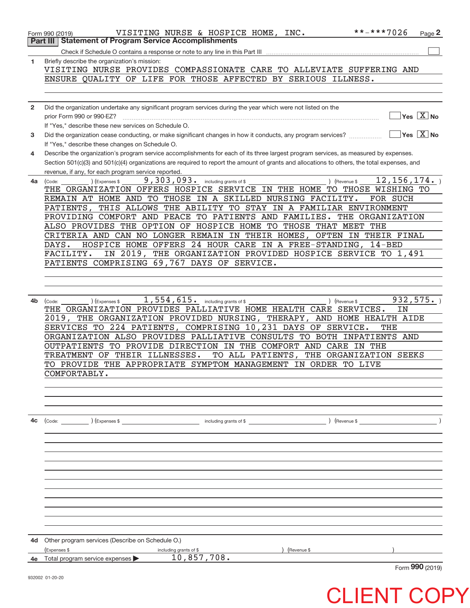|                | **-***7026<br>VISITING NURSE & HOSPICE HOME, INC.<br>Form 990 (2019)                                                                                      |               | Page $2$                                      |
|----------------|-----------------------------------------------------------------------------------------------------------------------------------------------------------|---------------|-----------------------------------------------|
|                | <b>Statement of Program Service Accomplishments</b><br>Part III                                                                                           |               |                                               |
|                |                                                                                                                                                           |               |                                               |
| 1              | Briefly describe the organization's mission:                                                                                                              |               |                                               |
|                | VISITING NURSE PROVIDES COMPASSIONATE CARE TO ALLEVIATE SUFFERING AND                                                                                     |               |                                               |
|                | ENSURE QUALITY OF LIFE FOR THOSE AFFECTED BY SERIOUS ILLNESS.                                                                                             |               |                                               |
|                |                                                                                                                                                           |               |                                               |
|                |                                                                                                                                                           |               |                                               |
| $\overline{2}$ | Did the organization undertake any significant program services during the year which were not listed on the                                              |               |                                               |
|                | prior Form 990 or 990-EZ?                                                                                                                                 |               | $\sqrt{}$ Yes $\sqrt{}$ $\overline{\rm X}$ No |
|                | If "Yes," describe these new services on Schedule O.                                                                                                      |               |                                               |
| 3              | Did the organization cease conducting, or make significant changes in how it conducts, any program services?                                              |               | $\sqrt{}$ Yes $\sqrt{}$ X $\sqrt{}$ No        |
|                | If "Yes," describe these changes on Schedule O.                                                                                                           |               |                                               |
| 4              | Describe the organization's program service accomplishments for each of its three largest program services, as measured by expenses.                      |               |                                               |
|                | Section 501(c)(3) and 501(c)(4) organizations are required to report the amount of grants and allocations to others, the total expenses, and              |               |                                               |
|                | revenue, if any, for each program service reported.                                                                                                       | 12, 156, 174. |                                               |
| 4a             | 9,303,093. including grants of \$<br>) (Expenses \$<br>) (Revenue \$<br>(Code:<br>THE ORGANIZATION OFFERS HOSPICE SERVICE IN THE HOME TO THOSE WISHING TO |               |                                               |
|                | REMAIN AT HOME AND TO THOSE IN A SKILLED NURSING FACILITY.<br>FOR SUCH                                                                                    |               |                                               |
|                | THIS ALLOWS THE ABILITY TO STAY IN A FAMILIAR ENVIRONMENT<br>PATIENTS,                                                                                    |               |                                               |
|                | PROVIDING COMFORT AND PEACE TO PATIENTS AND FAMILIES. THE ORGANIZATION                                                                                    |               |                                               |
|                | ALSO PROVIDES THE OPTION OF HOSPICE HOME TO THOSE THAT MEET THE                                                                                           |               |                                               |
|                | CRITERIA AND CAN NO LONGER REMAIN IN THEIR HOMES, OFTEN IN THEIR FINAL                                                                                    |               |                                               |
|                | DAYS.<br>HOSPICE HOME OFFERS 24 HOUR CARE IN A FREE-STANDING, 14-BED                                                                                      |               |                                               |
|                | IN 2019, THE ORGANIZATION PROVIDED HOSPICE SERVICE TO 1,491<br>FACILITY.                                                                                  |               |                                               |
|                | PATIENTS COMPRISING 69,767 DAYS OF SERVICE.                                                                                                               |               |                                               |
|                |                                                                                                                                                           |               |                                               |
|                |                                                                                                                                                           |               |                                               |
|                |                                                                                                                                                           |               |                                               |
| 4b             | 1,554,615. including grants of \$<br>(Code:<br>(Expenses \$<br>) (Revenue \$                                                                              | 932, 575.     |                                               |
|                | THE ORGANIZATION PROVIDES PALLIATIVE HOME HEALTH CARE SERVICES.                                                                                           | ΙN            |                                               |
|                | 2019, THE ORGANIZATION PROVIDED NURSING, THERAPY, AND HOME HEALTH AIDE                                                                                    |               |                                               |
|                | SERVICES TO 224 PATIENTS, COMPRISING 10,231 DAYS OF SERVICE.<br>THE                                                                                       |               |                                               |
|                | ORGANIZATION ALSO PROVIDES PALLIATIVE CONSULTS TO BOTH INPATIENTS AND                                                                                     |               |                                               |
|                | OUTPATIENTS TO PROVIDE DIRECTION IN THE COMFORT AND CARE IN THE                                                                                           |               |                                               |
|                | TREATMENT OF THEIR ILLNESSES.<br>TO ALL PATIENTS,<br>THE ORGANIZATION SEEKS                                                                               |               |                                               |
|                | TO PROVIDE THE APPROPRIATE SYMPTOM MANAGEMENT IN ORDER TO LIVE                                                                                            |               |                                               |
|                | COMFORTABLY.                                                                                                                                              |               |                                               |
|                |                                                                                                                                                           |               |                                               |
|                |                                                                                                                                                           |               |                                               |
|                |                                                                                                                                                           |               |                                               |
| 4c             |                                                                                                                                                           |               |                                               |
|                | ) (Revenue \$<br>(Code: ) (Expenses \$<br>including grants of \$                                                                                          |               |                                               |
|                |                                                                                                                                                           |               |                                               |
|                |                                                                                                                                                           |               |                                               |
|                |                                                                                                                                                           |               |                                               |
|                |                                                                                                                                                           |               |                                               |
|                |                                                                                                                                                           |               |                                               |
|                |                                                                                                                                                           |               |                                               |
|                |                                                                                                                                                           |               |                                               |
|                |                                                                                                                                                           |               |                                               |
|                |                                                                                                                                                           |               |                                               |
|                |                                                                                                                                                           |               |                                               |
|                |                                                                                                                                                           |               |                                               |
| 4d             | Other program services (Describe on Schedule O.)                                                                                                          |               |                                               |
|                | (Expenses \$<br>) (Revenue \$<br>including grants of \$                                                                                                   |               |                                               |
| 4e             | 10,857,708.<br>Total program service expenses                                                                                                             |               |                                               |
|                |                                                                                                                                                           |               | Form 990 (2019)                               |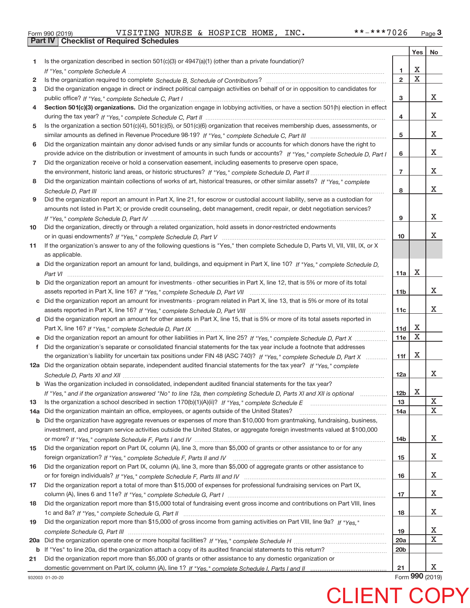| Form 990 (2019) |  |  |
|-----------------|--|--|

**Part IV Checklist of Required Schedules**

|     |                                                                                                                                       |                 | Yes         | No |
|-----|---------------------------------------------------------------------------------------------------------------------------------------|-----------------|-------------|----|
| 1.  | Is the organization described in section $501(c)(3)$ or $4947(a)(1)$ (other than a private foundation)?                               |                 |             |    |
|     |                                                                                                                                       | 1               | X           |    |
| 2   |                                                                                                                                       | $\overline{2}$  | $\mathbf X$ |    |
| 3   | Did the organization engage in direct or indirect political campaign activities on behalf of or in opposition to candidates for       |                 |             |    |
|     |                                                                                                                                       | з               |             | x  |
| 4   | Section 501(c)(3) organizations. Did the organization engage in lobbying activities, or have a section 501(h) election in effect      |                 |             |    |
|     |                                                                                                                                       | 4               |             | x  |
| 5   | Is the organization a section 501(c)(4), 501(c)(5), or 501(c)(6) organization that receives membership dues, assessments, or          |                 |             |    |
|     |                                                                                                                                       | 5               |             | x  |
| 6   | Did the organization maintain any donor advised funds or any similar funds or accounts for which donors have the right to             |                 |             |    |
|     | provide advice on the distribution or investment of amounts in such funds or accounts? If "Yes," complete Schedule D, Part I          | 6               |             | x  |
| 7   | Did the organization receive or hold a conservation easement, including easements to preserve open space,                             |                 |             |    |
|     |                                                                                                                                       | $\overline{7}$  |             | x  |
| 8   | Did the organization maintain collections of works of art, historical treasures, or other similar assets? If "Yes," complete          |                 |             |    |
|     |                                                                                                                                       | 8               |             | x  |
| 9   | Did the organization report an amount in Part X, line 21, for escrow or custodial account liability, serve as a custodian for         |                 |             |    |
|     | amounts not listed in Part X; or provide credit counseling, debt management, credit repair, or debt negotiation services?             |                 |             |    |
|     |                                                                                                                                       | 9               |             | x  |
| 10  | Did the organization, directly or through a related organization, hold assets in donor-restricted endowments                          |                 |             |    |
|     |                                                                                                                                       | 10              |             | X. |
| 11  | If the organization's answer to any of the following questions is "Yes," then complete Schedule D, Parts VI, VII, VIII, IX, or X      |                 |             |    |
|     | as applicable.                                                                                                                        |                 |             |    |
|     | a Did the organization report an amount for land, buildings, and equipment in Part X, line 10? If "Yes," complete Schedule D.         |                 |             |    |
|     |                                                                                                                                       | 11a             | X           |    |
|     | <b>b</b> Did the organization report an amount for investments - other securities in Part X, line 12, that is 5% or more of its total |                 |             |    |
|     |                                                                                                                                       | 11 <sub>b</sub> |             | x  |
|     | c Did the organization report an amount for investments - program related in Part X, line 13, that is 5% or more of its total         |                 |             |    |
|     |                                                                                                                                       | 11c             |             | X. |
|     | d Did the organization report an amount for other assets in Part X, line 15, that is 5% or more of its total assets reported in       |                 |             |    |
|     |                                                                                                                                       | 11d             | Х           |    |
|     | e Did the organization report an amount for other liabilities in Part X, line 25? If "Yes," complete Schedule D, Part X               | 11e             | X           |    |
| f   | Did the organization's separate or consolidated financial statements for the tax year include a footnote that addresses               |                 |             |    |
|     | the organization's liability for uncertain tax positions under FIN 48 (ASC 740)? If "Yes," complete Schedule D, Part X                | 11f             | X           |    |
|     | 12a Did the organization obtain separate, independent audited financial statements for the tax year? If "Yes," complete               |                 |             |    |
|     |                                                                                                                                       | 12a             |             | x  |
|     | <b>b</b> Was the organization included in consolidated, independent audited financial statements for the tax year?                    |                 |             |    |
|     | If "Yes," and if the organization answered "No" to line 12a, then completing Schedule D, Parts XI and XII is optional                 | 12 <sub>b</sub> | $\mathbf X$ |    |
| 13  |                                                                                                                                       | 13              |             | X  |
| 14a | Did the organization maintain an office, employees, or agents outside of the United States?                                           | 14a             |             | X  |
|     | b Did the organization have aggregate revenues or expenses of more than \$10,000 from grantmaking, fundraising, business,             |                 |             |    |
|     | investment, and program service activities outside the United States, or aggregate foreign investments valued at \$100,000            |                 |             |    |
|     |                                                                                                                                       | 14b             |             | X  |
| 15  | Did the organization report on Part IX, column (A), line 3, more than \$5,000 of grants or other assistance to or for any             |                 |             |    |
|     |                                                                                                                                       | 15              |             | X  |
| 16  | Did the organization report on Part IX, column (A), line 3, more than \$5,000 of aggregate grants or other assistance to              |                 |             |    |
|     |                                                                                                                                       | 16              |             | X  |
| 17  | Did the organization report a total of more than \$15,000 of expenses for professional fundraising services on Part IX,               |                 |             |    |
|     |                                                                                                                                       | 17              |             | x  |
| 18  | Did the organization report more than \$15,000 total of fundraising event gross income and contributions on Part VIII, lines          |                 |             |    |
|     |                                                                                                                                       | 18              |             | x  |
| 19  | Did the organization report more than \$15,000 of gross income from gaming activities on Part VIII, line 9a? If "Yes."                |                 |             |    |
|     |                                                                                                                                       | 19              |             | X  |
|     |                                                                                                                                       | 20a             |             | X  |
|     | <b>b</b> If "Yes" to line 20a, did the organization attach a copy of its audited financial statements to this return?                 | 20 <sub>b</sub> |             |    |
| 21  | Did the organization report more than \$5,000 of grants or other assistance to any domestic organization or                           |                 |             |    |
|     |                                                                                                                                       | 21              |             | x  |

932003 01‐20‐20

Form **990** (2019)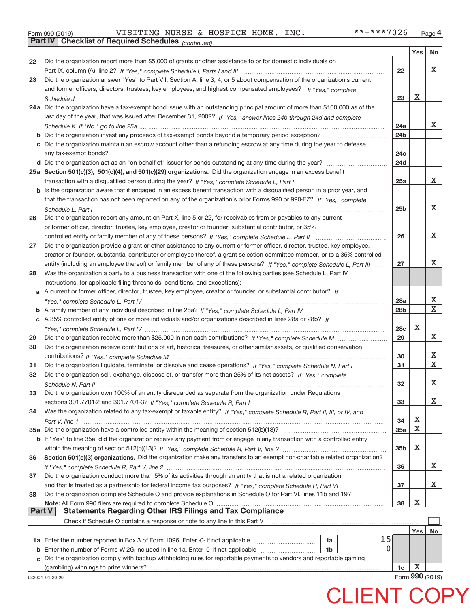|  | Form 990 (2019) |
|--|-----------------|
|  |                 |

**Part IV Checklist of Required Schedules**

932004 01‐20‐20

*(continued)*

|               |                                                                                                                              |                 | Yes $ $ | No           |
|---------------|------------------------------------------------------------------------------------------------------------------------------|-----------------|---------|--------------|
| 22            | Did the organization report more than \$5,000 of grants or other assistance to or for domestic individuals on                |                 |         |              |
|               |                                                                                                                              | 22              |         | x            |
| 23            | Did the organization answer "Yes" to Part VII, Section A, line 3, 4, or 5 about compensation of the organization's current   |                 |         |              |
|               | and former officers, directors, trustees, key employees, and highest compensated employees? If "Yes," complete               |                 |         |              |
|               |                                                                                                                              | 23              | х       |              |
|               | 24a Did the organization have a tax-exempt bond issue with an outstanding principal amount of more than \$100,000 as of the  |                 |         |              |
|               | last day of the year, that was issued after December 31, 2002? If "Yes," answer lines 24b through 24d and complete           |                 |         |              |
|               |                                                                                                                              | 24a             |         | X.           |
|               |                                                                                                                              | 24 <sub>b</sub> |         |              |
|               | c Did the organization maintain an escrow account other than a refunding escrow at any time during the year to defease       |                 |         |              |
|               |                                                                                                                              | 24c             |         |              |
|               |                                                                                                                              | 24d             |         |              |
|               | 25a Section 501(c)(3), 501(c)(4), and 501(c)(29) organizations. Did the organization engage in an excess benefit             |                 |         |              |
|               |                                                                                                                              | 25a             |         | X            |
|               | b Is the organization aware that it engaged in an excess benefit transaction with a disqualified person in a prior year, and |                 |         |              |
|               | that the transaction has not been reported on any of the organization's prior Forms 990 or 990-EZ? If "Yes," complete        |                 |         |              |
|               | Schedule L, Part I                                                                                                           | 25b             |         | x            |
| 26            | Did the organization report any amount on Part X, line 5 or 22, for receivables from or payables to any current              |                 |         |              |
|               | or former officer, director, trustee, key employee, creator or founder, substantial contributor, or 35%                      |                 |         |              |
|               | controlled entity or family member of any of these persons? If "Yes," complete Schedule L, Part II                           | 26              |         | x            |
| 27            | Did the organization provide a grant or other assistance to any current or former officer, director, trustee, key employee,  |                 |         |              |
|               | creator or founder, substantial contributor or employee thereof, a grant selection committee member, or to a 35% controlled  |                 |         |              |
|               | entity (including an employee thereof) or family member of any of these persons? If "Yes," complete Schedule L, Part III     | 27              |         | x            |
| 28            | Was the organization a party to a business transaction with one of the following parties (see Schedule L, Part IV            |                 |         |              |
|               | instructions, for applicable filing thresholds, conditions, and exceptions):                                                 |                 |         |              |
|               | a A current or former officer, director, trustee, key employee, creator or founder, or substantial contributor? If           |                 |         |              |
|               |                                                                                                                              | 28a             |         | Х            |
|               |                                                                                                                              | 28 <sub>b</sub> |         | $\mathbf{X}$ |
|               | c A 35% controlled entity of one or more individuals and/or organizations described in lines 28a or 28b? If                  |                 |         |              |
|               |                                                                                                                              | <b>28c</b>      | Х       |              |
| 29            |                                                                                                                              | 29              |         | X            |
| 30            | Did the organization receive contributions of art, historical treasures, or other similar assets, or qualified conservation  |                 |         |              |
|               |                                                                                                                              | 30              |         | x            |
| 31            | Did the organization liquidate, terminate, or dissolve and cease operations? If "Yes," complete Schedule N, Part I           | 31              |         | X            |
| 32            | Did the organization sell, exchange, dispose of, or transfer more than 25% of its net assets? If "Yes," complete             |                 |         |              |
|               |                                                                                                                              | 32              |         | x            |
| 33            | Did the organization own 100% of an entity disregarded as separate from the organization under Regulations                   |                 |         |              |
|               |                                                                                                                              | 33              |         | X            |
| 34            | Was the organization related to any tax-exempt or taxable entity? If "Yes," complete Schedule R, Part II, III, or IV, and    |                 |         |              |
|               |                                                                                                                              | 34              | х       |              |
|               | 35a Did the organization have a controlled entity within the meaning of section 512(b)(13)?                                  | 35a             | X       |              |
|               | b If "Yes" to line 35a, did the organization receive any payment from or engage in any transaction with a controlled entity  |                 | х       |              |
|               |                                                                                                                              | 35 <sub>b</sub> |         |              |
| 36            | Section 501(c)(3) organizations. Did the organization make any transfers to an exempt non-charitable related organization?   |                 |         | x            |
| 37            | Did the organization conduct more than 5% of its activities through an entity that is not a related organization             | 36              |         |              |
|               |                                                                                                                              | 37              |         | x            |
| 38            | Did the organization complete Schedule O and provide explanations in Schedule O for Part VI, lines 11b and 19?               |                 |         |              |
|               | Note: All Form 990 filers are required to complete Schedule O                                                                | 38              | х       |              |
| <b>Part V</b> | <b>Statements Regarding Other IRS Filings and Tax Compliance</b>                                                             |                 |         |              |
|               | Check if Schedule O contains a response or note to any line in this Part V                                                   |                 |         |              |
|               |                                                                                                                              |                 | Yes     | No           |
|               | 15<br>1a Enter the number reported in Box 3 of Form 1096. Enter -0- if not applicable<br>1a                                  |                 |         |              |
| b             | 0<br>Enter the number of Forms W-2G included in line 1a. Enter -0- if not applicable<br>1 <sub>b</sub>                       |                 |         |              |
| c             | Did the organization comply with backup withholding rules for reportable payments to vendors and reportable gaming           |                 |         |              |
|               |                                                                                                                              | 1c              | Х       |              |

Form **990** (2019)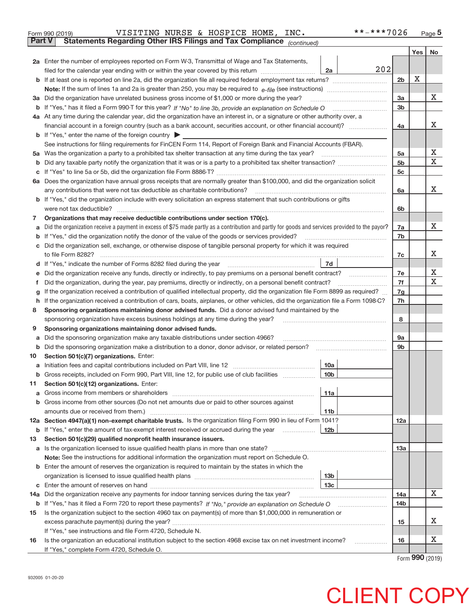|                                                                                                                      | **-***7026<br>VISITING NURSE & HOSPICE HOME, INC.<br>Form 990 (2019)                                                                                                                                                       |                        |     | $_{\text{Page}}$ 5                  |
|----------------------------------------------------------------------------------------------------------------------|----------------------------------------------------------------------------------------------------------------------------------------------------------------------------------------------------------------------------|------------------------|-----|-------------------------------------|
| <b>Part V</b>                                                                                                        | Statements Regarding Other IRS Filings and Tax Compliance (continued)                                                                                                                                                      |                        |     |                                     |
|                                                                                                                      |                                                                                                                                                                                                                            |                        | Yes | No                                  |
|                                                                                                                      | 2a Enter the number of employees reported on Form W-3, Transmittal of Wage and Tax Statements,                                                                                                                             |                        |     |                                     |
|                                                                                                                      | 202<br>filed for the calendar year ending with or within the year covered by this return<br>2a                                                                                                                             |                        |     |                                     |
| b                                                                                                                    |                                                                                                                                                                                                                            | 2 <sub>b</sub>         | X   |                                     |
|                                                                                                                      |                                                                                                                                                                                                                            |                        |     |                                     |
| За                                                                                                                   | Did the organization have unrelated business gross income of \$1,000 or more during the year?                                                                                                                              | 3a                     |     | x                                   |
| b                                                                                                                    |                                                                                                                                                                                                                            | 3 <sub>b</sub>         |     |                                     |
|                                                                                                                      | 4a At any time during the calendar year, did the organization have an interest in, or a signature or other authority over, a                                                                                               |                        |     |                                     |
|                                                                                                                      | financial account in a foreign country (such as a bank account, securities account, or other financial account)?                                                                                                           | 4a                     |     | х                                   |
| b                                                                                                                    | If "Yes," enter the name of the foreign country ▶                                                                                                                                                                          |                        |     |                                     |
|                                                                                                                      | See instructions for filing requirements for FinCEN Form 114, Report of Foreign Bank and Financial Accounts (FBAR).                                                                                                        |                        |     |                                     |
| 5a                                                                                                                   |                                                                                                                                                                                                                            | 5a                     |     | х                                   |
| b                                                                                                                    |                                                                                                                                                                                                                            | 5 <sub>b</sub>         |     | х                                   |
| с                                                                                                                    |                                                                                                                                                                                                                            | 5c                     |     |                                     |
| 6а                                                                                                                   | Does the organization have annual gross receipts that are normally greater than \$100,000, and did the organization solicit                                                                                                |                        |     |                                     |
|                                                                                                                      | any contributions that were not tax deductible as charitable contributions?                                                                                                                                                | 6a                     |     | X.                                  |
| If "Yes," did the organization include with every solicitation an express statement that such contributions or gifts |                                                                                                                                                                                                                            |                        |     |                                     |
|                                                                                                                      | were not tax deductible?                                                                                                                                                                                                   | 6b                     |     |                                     |
| 7                                                                                                                    | Organizations that may receive deductible contributions under section 170(c).                                                                                                                                              |                        |     |                                     |
| а                                                                                                                    | Did the organization receive a payment in excess of \$75 made partly as a contribution and partly for goods and services provided to the payor?                                                                            | 7a                     |     | X.                                  |
| b                                                                                                                    | If "Yes," did the organization notify the donor of the value of the goods or services provided?                                                                                                                            | 7b                     |     |                                     |
| с                                                                                                                    | Did the organization sell, exchange, or otherwise dispose of tangible personal property for which it was required                                                                                                          |                        |     |                                     |
|                                                                                                                      |                                                                                                                                                                                                                            | 7c                     |     | X                                   |
| d                                                                                                                    | 7d                                                                                                                                                                                                                         |                        |     |                                     |
| е                                                                                                                    | Did the organization receive any funds, directly or indirectly, to pay premiums on a personal benefit contract?                                                                                                            | 7e                     |     | x                                   |
| f                                                                                                                    | Did the organization, during the year, pay premiums, directly or indirectly, on a personal benefit contract?                                                                                                               | 7f                     |     | X                                   |
| g                                                                                                                    | If the organization received a contribution of qualified intellectual property, did the organization file Form 8899 as required?                                                                                           | 7g                     |     |                                     |
| h                                                                                                                    | If the organization received a contribution of cars, boats, airplanes, or other vehicles, did the organization file a Form 1098-C?                                                                                         | 7h                     |     |                                     |
| 8                                                                                                                    | Sponsoring organizations maintaining donor advised funds. Did a donor advised fund maintained by the                                                                                                                       |                        |     |                                     |
|                                                                                                                      | sponsoring organization have excess business holdings at any time during the year?                                                                                                                                         | 8                      |     |                                     |
| 9                                                                                                                    | Sponsoring organizations maintaining donor advised funds.                                                                                                                                                                  |                        |     |                                     |
| а                                                                                                                    | Did the sponsoring organization make any taxable distributions under section 4966?                                                                                                                                         | <b>9a</b>              |     |                                     |
| b                                                                                                                    | Did the sponsoring organization make a distribution to a donor, donor advisor, or related person?                                                                                                                          | 9 <sub>b</sub>         |     |                                     |
| 10                                                                                                                   | Section 501(c)(7) organizations. Enter:                                                                                                                                                                                    |                        |     |                                     |
| а                                                                                                                    | 10a<br>Initiation fees and capital contributions included on Part VIII, line 12 [100] [100] [100] [100] [100] [100] [                                                                                                      |                        |     |                                     |
| b                                                                                                                    | 10 <sub>b</sub><br>Gross receipts, included on Form 990, Part VIII, line 12, for public use of club facilities                                                                                                             |                        |     |                                     |
| 11                                                                                                                   | Section 501(c)(12) organizations. Enter:                                                                                                                                                                                   |                        |     |                                     |
| a                                                                                                                    | Gross income from members or shareholders<br>11a                                                                                                                                                                           |                        |     |                                     |
| b                                                                                                                    | Gross income from other sources (Do not net amounts due or paid to other sources against                                                                                                                                   |                        |     |                                     |
|                                                                                                                      | amounts due or received from them.)<br>11b                                                                                                                                                                                 |                        |     |                                     |
|                                                                                                                      | 12a Section 4947(a)(1) non-exempt charitable trusts. Is the organization filing Form 990 in lieu of Form 1041?                                                                                                             | 12a                    |     |                                     |
| b                                                                                                                    | If "Yes," enter the amount of tax-exempt interest received or accrued during the year<br>12 <sub>b</sub>                                                                                                                   |                        |     |                                     |
| 13                                                                                                                   | Section 501(c)(29) qualified nonprofit health insurance issuers.                                                                                                                                                           |                        |     |                                     |
| а                                                                                                                    | Is the organization licensed to issue qualified health plans in more than one state?                                                                                                                                       | 13a                    |     |                                     |
|                                                                                                                      | Note: See the instructions for additional information the organization must report on Schedule O.                                                                                                                          |                        |     |                                     |
| b                                                                                                                    | Enter the amount of reserves the organization is required to maintain by the states in which the                                                                                                                           |                        |     |                                     |
|                                                                                                                      | 13 <sub>b</sub><br>13 <sub>c</sub>                                                                                                                                                                                         |                        |     |                                     |
| с                                                                                                                    | Did the organization receive any payments for indoor tanning services during the tax year?                                                                                                                                 |                        |     | х                                   |
| 14a                                                                                                                  |                                                                                                                                                                                                                            | 14a<br>14 <sub>b</sub> |     |                                     |
| b                                                                                                                    | If "Yes," has it filed a Form 720 to report these payments? If "No," provide an explanation on Schedule O<br>Is the organization subject to the section 4960 tax on payment(s) of more than \$1,000,000 in remuneration or |                        |     |                                     |
| 15                                                                                                                   |                                                                                                                                                                                                                            | 15                     |     | х                                   |
|                                                                                                                      | If "Yes," see instructions and file Form 4720, Schedule N.                                                                                                                                                                 |                        |     |                                     |
| 16                                                                                                                   | Is the organization an educational institution subject to the section 4968 excise tax on net investment income?                                                                                                            | 16                     |     | х                                   |
|                                                                                                                      | If "Yes," complete Form 4720, Schedule O.                                                                                                                                                                                  |                        |     |                                     |
|                                                                                                                      |                                                                                                                                                                                                                            |                        |     | $T_{\text{arm}}$ QQ $\Omega$ (2010) |

Form (2019) **990**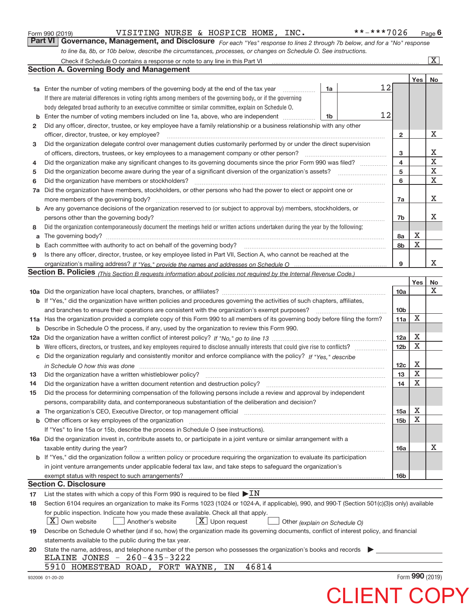|  | Form 990 (2019) |  |
|--|-----------------|--|
|  |                 |  |

Form 990 (2019) VISITING NURSE & HOSPICE HOME,INC。 \*\*-\*\*\*7U26 Page VISITING NURSE & HOSPICE HOME, INC. \*\*-\*\*\*7026

Check if Schedule O contains a response or note to any line in this Part VI ................

 $\boxed{\text{X}}$ 

*For each "Yes" response to lines 2 through 7b below, and for a "No" response to line 8a, 8b, or 10b below, describe the circumstances, processes, or changes on Schedule O. See instructions.* **Part VI Governance, Management, and Disclosure** 

|     | <b>Section A. Governing Body and Management</b>                                                                                                                                                                                |                         |             |                 |
|-----|--------------------------------------------------------------------------------------------------------------------------------------------------------------------------------------------------------------------------------|-------------------------|-------------|-----------------|
|     |                                                                                                                                                                                                                                |                         | Yes         | No              |
|     | 12<br><b>1a</b> Enter the number of voting members of the governing body at the end of the tax year<br>1a                                                                                                                      |                         |             |                 |
|     | If there are material differences in voting rights among members of the governing body, or if the governing                                                                                                                    |                         |             |                 |
|     | body delegated broad authority to an executive committee or similar committee, explain on Schedule O.                                                                                                                          |                         |             |                 |
| b   | 12<br>Enter the number of voting members included on line 1a, above, who are independent<br>1b                                                                                                                                 |                         |             |                 |
| 2   | Did any officer, director, trustee, or key employee have a family relationship or a business relationship with any other                                                                                                       |                         |             |                 |
|     | officer, director, trustee, or key employee?                                                                                                                                                                                   | $\mathbf{2}$            |             | х               |
| 3   | Did the organization delegate control over management duties customarily performed by or under the direct supervision                                                                                                          |                         |             |                 |
|     | of officers, directors, trustees, or key employees to a management company or other person?                                                                                                                                    | 3                       |             | х               |
| 4   | Did the organization make any significant changes to its governing documents since the prior Form 990 was filed?                                                                                                               | $\overline{\mathbf{4}}$ |             | $\mathbf X$     |
| 5   |                                                                                                                                                                                                                                | 5                       |             | $\mathbf X$     |
| 6   | Did the organization have members or stockholders?                                                                                                                                                                             | 6                       |             | $\mathbf X$     |
| 7a  | Did the organization have members, stockholders, or other persons who had the power to elect or appoint one or                                                                                                                 |                         |             |                 |
|     | more members of the governing body?                                                                                                                                                                                            | 7a                      |             | х               |
| b   | Are any governance decisions of the organization reserved to (or subject to approval by) members, stockholders, or                                                                                                             |                         |             |                 |
|     | persons other than the governing body?                                                                                                                                                                                         | 7b                      |             | х               |
| 8   | Did the organization contemporaneously document the meetings held or written actions undertaken during the year by the following:                                                                                              |                         |             |                 |
| a   |                                                                                                                                                                                                                                | 8a                      | х           |                 |
| b   | Each committee with authority to act on behalf of the governing body? [11] manufacture manufacture with authority to act on behalf of the governing body? [11] manufacture with authority of the state with an interval and th | 8b                      | X           |                 |
| 9   | Is there any officer, director, trustee, or key employee listed in Part VII, Section A, who cannot be reached at the                                                                                                           |                         |             |                 |
|     |                                                                                                                                                                                                                                | 9                       |             | x               |
|     | Section B. Policies <sub>(This Section B requests information about policies not required by the Internal Revenue Code.)</sub>                                                                                                 |                         |             |                 |
|     |                                                                                                                                                                                                                                |                         | Yes         | No              |
|     |                                                                                                                                                                                                                                | 10a                     |             | x               |
| b   | If "Yes," did the organization have written policies and procedures governing the activities of such chapters, affiliates,                                                                                                     |                         |             |                 |
|     | and branches to ensure their operations are consistent with the organization's exempt purposes?                                                                                                                                | 10b                     |             |                 |
|     | 11a Has the organization provided a complete copy of this Form 990 to all members of its governing body before filing the form?                                                                                                | 11a                     | X           |                 |
| b   | Describe in Schedule O the process, if any, used by the organization to review this Form 990.                                                                                                                                  |                         |             |                 |
| 12a |                                                                                                                                                                                                                                | 12a                     | х           |                 |
| b   | Were officers, directors, or trustees, and key employees required to disclose annually interests that could give rise to conflicts?                                                                                            | 12 <sub>b</sub>         | $\mathbf X$ |                 |
| с   | Did the organization regularly and consistently monitor and enforce compliance with the policy? If "Yes." describe                                                                                                             |                         |             |                 |
|     | in Schedule O how this was done measured and continuum control to the control of the control of the control of                                                                                                                 | 12c                     | х           |                 |
| 13  | Did the organization have a written whistleblower policy?                                                                                                                                                                      | 13                      | $\mathbf X$ |                 |
| 14  |                                                                                                                                                                                                                                | 14                      | $\mathbf X$ |                 |
| 15  | Did the process for determining compensation of the following persons include a review and approval by independent                                                                                                             |                         |             |                 |
|     | persons, comparability data, and contemporaneous substantiation of the deliberation and decision?                                                                                                                              |                         |             |                 |
|     | The organization's CEO, Executive Director, or top management official manufactured content of the organization's CEO, Executive Director, or top management official manufactured content of the state of the state of the st | 15a                     | X           |                 |
|     | Other officers or key employees of the organization                                                                                                                                                                            | 15b                     | X           |                 |
|     | If "Yes" to line 15a or 15b, describe the process in Schedule O (see instructions).                                                                                                                                            |                         |             |                 |
|     | 16a Did the organization invest in, contribute assets to, or participate in a joint venture or similar arrangement with a                                                                                                      |                         |             |                 |
|     | taxable entity during the year?                                                                                                                                                                                                | 16a                     |             | х               |
|     | <b>b</b> If "Yes," did the organization follow a written policy or procedure requiring the organization to evaluate its participation                                                                                          |                         |             |                 |
|     | in joint venture arrangements under applicable federal tax law, and take steps to safeguard the organization's                                                                                                                 |                         |             |                 |
|     | exempt status with respect to such arrangements?                                                                                                                                                                               | 16b                     |             |                 |
|     | <b>Section C. Disclosure</b>                                                                                                                                                                                                   |                         |             |                 |
| 17  | List the states with which a copy of this Form 990 is required to be filed $\blacktriangleright \text{IN}$                                                                                                                     |                         |             |                 |
| 18  | Section 6104 requires an organization to make its Forms 1023 (1024 or 1024-A, if applicable), 990, and 990-T (Section 501(c)(3)s only) available                                                                               |                         |             |                 |
|     | for public inspection. Indicate how you made these available. Check all that apply.                                                                                                                                            |                         |             |                 |
|     | $X$ Upon request<br>$X$ Own website<br>Another's website<br>Other (explain on Schedule O)                                                                                                                                      |                         |             |                 |
| 19  | Describe on Schedule O whether (and if so, how) the organization made its governing documents, conflict of interest policy, and financial                                                                                      |                         |             |                 |
|     | statements available to the public during the tax year.                                                                                                                                                                        |                         |             |                 |
| 20  | State the name, address, and telephone number of the person who possesses the organization's books and records                                                                                                                 |                         |             |                 |
|     | $260 - 435 - 3222$<br>ELAINE JONES -                                                                                                                                                                                           |                         |             |                 |
|     | 5910 HOMESTEAD ROAD, FORT WAYNE,<br>46814<br>ΙN                                                                                                                                                                                |                         |             |                 |
|     | 932006 01-20-20                                                                                                                                                                                                                |                         |             | Form 990 (2019) |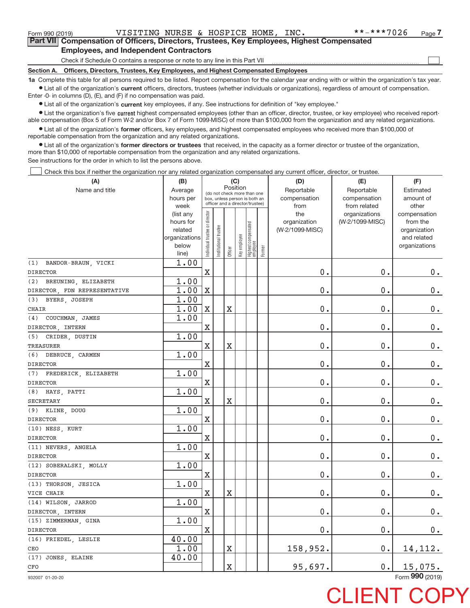$\begin{array}{c} \boxed{1} \\ \boxed{1} \\ \end{array}$ 

|  |                                               |  | Part VII Compensation of Officers, Directors, Trustees, Key Employees, Highest Compensated |
|--|-----------------------------------------------|--|--------------------------------------------------------------------------------------------|
|  | <b>Employees, and Independent Contractors</b> |  |                                                                                            |

Check if Schedule O contains a response or note to any line in this Part VII

**Section A. Officers, Directors, Trustees, Key Employees, and Highest Compensated Employees**

**1a**  Complete this table for all persons required to be listed. Report compensation for the calendar year ending with or within the organization's tax year. **•** List all of the organization's current officers, directors, trustees (whether individuals or organizations), regardless of amount of compensation.

Enter ‐0‐ in columns (D), (E), and (F) if no compensation was paid.

**•** List all of the organization's current key employees, if any. See instructions for definition of "key employee."

● List the organization's five current highest compensated employees (other than an officer, director, trustee, or key employee) who received report‐ able compensation (Box 5 of Form W-2 and/or Box 7 of Form 1099-MISC) of more than \$100,000 from the organization and any related organizations.

 $\bullet$  List all of the organization's former officers, key employees, and highest compensated employees who received more than \$100,000 of reportable compensation from the organization and any related organizations.

**•** List all of the organization's former directors or trustees that received, in the capacity as a former director or trustee of the organization, more than \$10,000 of reportable compensation from the organization and any related organizations.

See instructions for the order in which to list the persons above.

Check this box if neither the organization nor any related organization compensated any current officer, director, or trustee.  $\Box$ 

| (A)                          | (B)                  |                                |                                                                  |                       | (C)          |                                   |        | (D)                             | (E)             | (F)                      |
|------------------------------|----------------------|--------------------------------|------------------------------------------------------------------|-----------------------|--------------|-----------------------------------|--------|---------------------------------|-----------------|--------------------------|
| Name and title               | Average              |                                | (do not check more than one                                      |                       | Position     |                                   |        | Reportable                      | Reportable      | Estimated                |
|                              | hours per            |                                | box, unless person is both an<br>officer and a director/trustee) |                       |              |                                   |        | compensation                    | compensation    | amount of                |
|                              | week                 |                                |                                                                  |                       |              |                                   |        | from                            | from related    | other                    |
|                              | (list any            |                                |                                                                  |                       |              |                                   |        | the                             | organizations   | compensation             |
|                              | hours for<br>related |                                |                                                                  |                       |              |                                   |        | organization<br>(W-2/1099-MISC) | (W-2/1099-MISC) | from the<br>organization |
|                              | organizations        |                                |                                                                  |                       |              |                                   |        |                                 |                 | and related              |
|                              | below                |                                |                                                                  |                       |              |                                   |        |                                 |                 | organizations            |
|                              | line)                | Individual trustee or director | Institutional trustee                                            | Officer               | Key employee | Highest compensated<br>  employee | Former |                                 |                 |                          |
| (1) BANDOR-BRAUN, VICKI      | 1.00                 |                                |                                                                  |                       |              |                                   |        |                                 |                 |                          |
| <b>DIRECTOR</b>              |                      | $\mathbf X$                    |                                                                  |                       |              |                                   |        | 0.                              | 0.              | $0 \cdot$                |
| (2) BREUNING, ELIZABETH      | 1.00                 |                                |                                                                  |                       |              |                                   |        |                                 |                 |                          |
| DIRECTOR, FDN REPRESENTATIVE | 1.00                 | X                              |                                                                  |                       |              |                                   |        | 0.                              | 0.              | $\mathbf 0$ .            |
| (3) BYERS, JOSEPH            | 1.00                 |                                |                                                                  |                       |              |                                   |        |                                 |                 |                          |
| <b>CHAIR</b>                 | 1.00                 | X                              |                                                                  | $\overline{\text{X}}$ |              |                                   |        | 0.                              | 0.              | $\mathbf 0$ .            |
| (4)<br>COUCHMAN, JAMES       | 1.00                 |                                |                                                                  |                       |              |                                   |        |                                 |                 |                          |
| DIRECTOR, INTERN             |                      | X                              |                                                                  |                       |              |                                   |        | 0.                              | 0.              | $0$ .                    |
| (5) CRIDER, DUSTIN           | 1.00                 |                                |                                                                  |                       |              |                                   |        |                                 |                 |                          |
| <b>TREASURER</b>             |                      | X                              |                                                                  | X                     |              |                                   |        | $0$ .                           | 0.              | 0.                       |
| (6) DEBRUCE, CARMEN          | 1.00                 |                                |                                                                  |                       |              |                                   |        |                                 |                 |                          |
| <b>DIRECTOR</b>              |                      | $\mathbf X$                    |                                                                  |                       |              |                                   |        | 0.                              | 0.              | $0_{.}$                  |
| (7) FREDERICK, ELIZABETH     | 1.00                 |                                |                                                                  |                       |              |                                   |        |                                 |                 |                          |
| <b>DIRECTOR</b>              |                      | $\mathbf X$                    |                                                                  |                       |              |                                   |        | 0.                              | 0.              | $0$ .                    |
| $(8)$ HAYS, PATTI            | 1.00                 |                                |                                                                  |                       |              |                                   |        |                                 |                 |                          |
| <b>SECRETARY</b>             |                      | $\mathbf X$                    |                                                                  | X                     |              |                                   |        | 0.                              | 0.              | $0$ .                    |
| (9) KLINE, DOUG              | 1.00                 |                                |                                                                  |                       |              |                                   |        |                                 |                 |                          |
| <b>DIRECTOR</b>              |                      | $\mathbf X$                    |                                                                  |                       |              |                                   |        | 0.                              | 0.              | $0_{.}$                  |
| (10) NESS, KURT              | 1.00                 |                                |                                                                  |                       |              |                                   |        |                                 |                 |                          |
| <b>DIRECTOR</b>              |                      | X                              |                                                                  |                       |              |                                   |        | 0.                              | 0.              | $0_{.}$                  |
| (11) NEVERS, ANGELA          | 1.00                 |                                |                                                                  |                       |              |                                   |        |                                 |                 |                          |
| <b>DIRECTOR</b>              |                      | $\rm X$                        |                                                                  |                       |              |                                   |        | 0.                              | 0.              | $\mathbf 0$ .            |
| (12) SOBERALSKI, MOLLY       | 1.00                 |                                |                                                                  |                       |              |                                   |        |                                 |                 |                          |
| <b>DIRECTOR</b>              |                      | $\mathbf X$                    |                                                                  |                       |              |                                   |        | 0.                              | 0.              | $0$ .                    |
| (13) THORSON, JESICA         | 1.00                 |                                |                                                                  |                       |              |                                   |        |                                 |                 |                          |
| VICE CHAIR                   |                      | $\mathbf X$                    |                                                                  | X                     |              |                                   |        | 0.                              | 0.              | $0_{.}$                  |
| (14) WILSON, JARROD          | 1.00                 |                                |                                                                  |                       |              |                                   |        |                                 |                 |                          |
| DIRECTOR, INTERN             |                      | $\mathbf X$                    |                                                                  |                       |              |                                   |        | 0.                              | 0.              | $0_{.}$                  |
| (15) ZIMMERMAN, GINA         | 1.00                 |                                |                                                                  |                       |              |                                   |        |                                 |                 |                          |
| <b>DIRECTOR</b>              |                      | $\mathbf X$                    |                                                                  |                       |              |                                   |        | 0.                              | 0.              | $0 \cdot$                |
| (16) FRIEDEL, LESLIE         | 40.00                |                                |                                                                  |                       |              |                                   |        |                                 |                 |                          |
| CEO                          | 1.00                 |                                |                                                                  | $\overline{\text{X}}$ |              |                                   |        | 158,952.                        | 0.              | 14, 112.                 |
| (17) JONES, ELAINE           | 40.00                |                                |                                                                  |                       |              |                                   |        |                                 |                 |                          |
| ${\tt CFO}$                  |                      |                                |                                                                  | $\overline{\text{X}}$ |              |                                   |        | 95,697.                         | $0$ .           | 15,075.                  |

932007 01‐20‐20

Form (2019) **990**

## **CLIENT CO**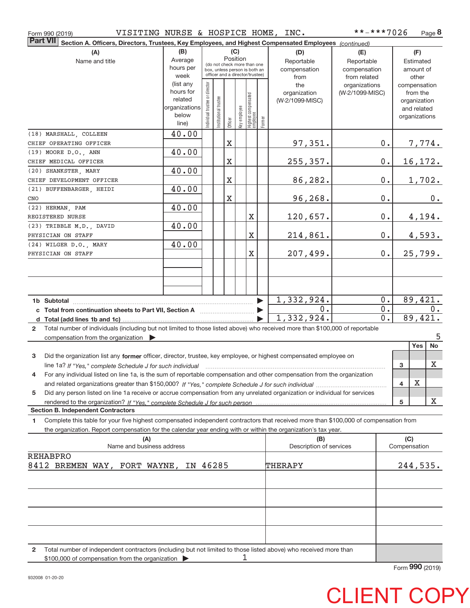| VISITING NURSE & HOSPICE HOME, INC.<br>Form 990 (2019)                                                                                               |                      |                                                              |                       |             |              |                                 |                       |                                | **-***7026      |                     | Page 8                      |
|------------------------------------------------------------------------------------------------------------------------------------------------------|----------------------|--------------------------------------------------------------|-----------------------|-------------|--------------|---------------------------------|-----------------------|--------------------------------|-----------------|---------------------|-----------------------------|
| <b>Part VII</b><br>Section A. Officers, Directors, Trustees, Key Employees, and Highest Compensated Employees (continued)                            |                      |                                                              |                       |             |              |                                 |                       |                                |                 |                     |                             |
| (A)                                                                                                                                                  | (B)                  |                                                              |                       |             | (C)          |                                 |                       | (D)                            | (E)             |                     | (F)                         |
| Name and title                                                                                                                                       | Average              |                                                              |                       |             | Position     |                                 |                       | Reportable                     | Reportable      |                     | Estimated                   |
|                                                                                                                                                      | hours per            | (do not check more than one<br>box, unless person is both an |                       |             |              |                                 | compensation          | compensation                   |                 | amount of           |                             |
|                                                                                                                                                      | week                 |                                                              |                       |             |              | officer and a director/trustee) |                       | from                           | from related    |                     | other                       |
|                                                                                                                                                      | (list any            |                                                              |                       |             |              |                                 |                       | the                            | organizations   |                     | compensation                |
|                                                                                                                                                      | hours for<br>related |                                                              |                       |             |              |                                 |                       | organization                   | (W-2/1099-MISC) |                     | from the                    |
|                                                                                                                                                      | organizations        |                                                              |                       |             |              |                                 |                       | (W-2/1099-MISC)                |                 |                     | organization<br>and related |
|                                                                                                                                                      | below                | Individual trustee or director                               | Institutional trustee |             |              |                                 |                       |                                |                 |                     | organizations               |
|                                                                                                                                                      | line)                |                                                              |                       | Officer     | Key employee | Highest compensated<br>employee | Former                |                                |                 |                     |                             |
| (18) MARSHALL, COLLEEN                                                                                                                               | 40.00                |                                                              |                       |             |              |                                 |                       |                                |                 |                     |                             |
| CHIEF OPERATING OFFICER                                                                                                                              |                      |                                                              |                       | $\mathbf X$ |              |                                 |                       | 97,351.                        |                 | 0.                  | 7,774.                      |
| (19) MOORE D.O., ANN                                                                                                                                 | 40.00                |                                                              |                       |             |              |                                 |                       |                                |                 |                     |                             |
| CHIEF MEDICAL OFFICER                                                                                                                                |                      |                                                              |                       | $\mathbf X$ |              |                                 |                       | 255,357.                       |                 | 0.                  | 16, 172.                    |
| (20) SHANKSTER, MARY                                                                                                                                 | 40.00                |                                                              |                       |             |              |                                 |                       |                                |                 |                     |                             |
| CHIEF DEVELOPMENT OFFICER                                                                                                                            |                      |                                                              |                       | $\mathbf X$ |              |                                 |                       | 86,282.                        |                 | 0.                  | 1,702.                      |
| (21) BUFFENBARGER, HEIDI                                                                                                                             | 40.00                |                                                              |                       |             |              |                                 |                       |                                |                 |                     |                             |
| CNO                                                                                                                                                  |                      |                                                              |                       | $\mathbf X$ |              |                                 |                       | 96,268.                        |                 | $0$ .               | 0.                          |
| (22) HERMAN, PAM                                                                                                                                     | 40.00                |                                                              |                       |             |              |                                 |                       |                                |                 |                     |                             |
| REGISTERED NURSE                                                                                                                                     |                      |                                                              |                       |             |              | Χ                               |                       | 120,657.                       |                 | 0.                  | 4,194.                      |
| (23) TRIBBLE M.D., DAVID                                                                                                                             | 40.00                |                                                              |                       |             |              |                                 |                       |                                |                 |                     |                             |
| PHYSICIAN ON STAFF                                                                                                                                   |                      |                                                              |                       |             |              | X                               |                       | 214,861.                       |                 | 0.                  | 4,593.                      |
| (24) WILGER D.O., MARY                                                                                                                               | 40.00                |                                                              |                       |             |              |                                 |                       |                                |                 |                     |                             |
| PHYSICIAN ON STAFF                                                                                                                                   |                      |                                                              |                       |             |              | X                               |                       | 207,499.                       |                 | $0$ .               | 25,799.                     |
|                                                                                                                                                      |                      |                                                              |                       |             |              |                                 |                       |                                |                 |                     |                             |
|                                                                                                                                                      |                      |                                                              |                       |             |              |                                 |                       |                                |                 |                     |                             |
|                                                                                                                                                      |                      |                                                              |                       |             |              |                                 |                       |                                |                 |                     |                             |
|                                                                                                                                                      |                      |                                                              |                       |             |              |                                 |                       |                                |                 |                     |                             |
|                                                                                                                                                      |                      |                                                              |                       |             |              |                                 | $\blacktriangleright$ | 1,332,924.                     |                 | 0.                  | 89,421.                     |
| Total from continuation sheets to Part VII, Section A <b>manual</b> Total from continuation                                                          |                      |                                                              |                       |             |              |                                 |                       | 0.                             |                 | 0.                  | 0.                          |
|                                                                                                                                                      |                      |                                                              |                       |             |              |                                 |                       | 1,332,924.                     |                 | 0.                  | 89,421.                     |
| Total number of individuals (including but not limited to those listed above) who received more than \$100,000 of reportable<br>$\overline{2}$       |                      |                                                              |                       |             |              |                                 |                       |                                |                 |                     |                             |
| compensation from the organization $\blacktriangleright$                                                                                             |                      |                                                              |                       |             |              |                                 |                       |                                |                 |                     | 5                           |
|                                                                                                                                                      |                      |                                                              |                       |             |              |                                 |                       |                                |                 |                     | Yes<br>No                   |
| 3<br>Did the organization list any former officer, director, trustee, key employee, or highest compensated employee on                               |                      |                                                              |                       |             |              |                                 |                       |                                |                 |                     |                             |
| line 1a? If "Yes," complete Schedule J for such individual manufactured contained and the line 1a? If "Yes," complete Schedule J for such individual |                      |                                                              |                       |             |              |                                 |                       |                                |                 | 3                   | X                           |
| For any individual listed on line 1a, is the sum of reportable compensation and other compensation from the organization                             |                      |                                                              |                       |             |              |                                 |                       |                                |                 |                     |                             |
|                                                                                                                                                      |                      |                                                              |                       |             |              |                                 |                       |                                |                 | 4                   | X                           |
| Did any person listed on line 1a receive or accrue compensation from any unrelated organization or individual for services<br>5                      |                      |                                                              |                       |             |              |                                 |                       |                                |                 |                     |                             |
| rendered to the organization? If "Yes." complete Schedule J for such person                                                                          |                      |                                                              |                       |             |              |                                 |                       |                                |                 | 5                   | х                           |
| <b>Section B. Independent Contractors</b>                                                                                                            |                      |                                                              |                       |             |              |                                 |                       |                                |                 |                     |                             |
| Complete this table for your five highest compensated independent contractors that received more than \$100,000 of compensation from<br>1.           |                      |                                                              |                       |             |              |                                 |                       |                                |                 |                     |                             |
| the organization. Report compensation for the calendar year ending with or within the organization's tax year.                                       |                      |                                                              |                       |             |              |                                 |                       |                                |                 |                     |                             |
| (A)<br>Name and business address                                                                                                                     |                      |                                                              |                       |             |              |                                 |                       | (B)<br>Description of services |                 | (C)<br>Compensation |                             |
| <b>REHABPRO</b>                                                                                                                                      |                      |                                                              |                       |             |              |                                 |                       |                                |                 |                     |                             |
| 8412 BREMEN WAY, FORT WAYNE, IN 46285                                                                                                                |                      |                                                              |                       |             |              |                                 |                       | THERAPY                        |                 |                     | 244,535.                    |
|                                                                                                                                                      |                      |                                                              |                       |             |              |                                 |                       |                                |                 |                     |                             |
|                                                                                                                                                      |                      |                                                              |                       |             |              |                                 |                       |                                |                 |                     |                             |
|                                                                                                                                                      |                      |                                                              |                       |             |              |                                 |                       |                                |                 |                     |                             |
|                                                                                                                                                      |                      |                                                              |                       |             |              |                                 |                       |                                |                 |                     |                             |
|                                                                                                                                                      |                      |                                                              |                       |             |              |                                 |                       |                                |                 |                     |                             |
|                                                                                                                                                      |                      |                                                              |                       |             |              |                                 |                       |                                |                 |                     |                             |
|                                                                                                                                                      |                      |                                                              |                       |             |              |                                 |                       |                                |                 |                     |                             |
|                                                                                                                                                      |                      |                                                              |                       |             |              |                                 |                       |                                |                 |                     |                             |

**2** Total number of independent contractors (including but not limited to those listed above) who received more than \$100,000 of compensation from the organization 1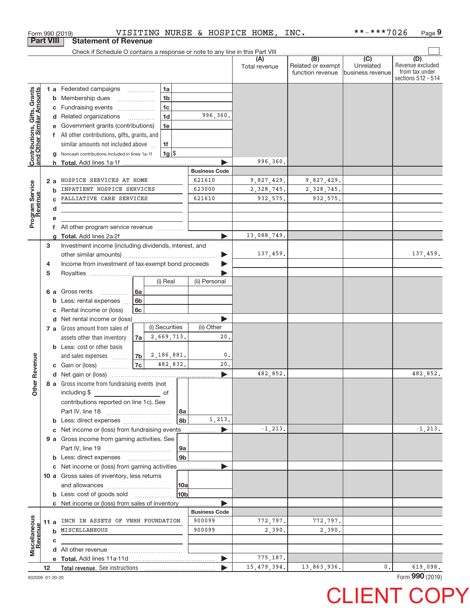|                                                                  |                  | Form 990 (2019)                                                               |                          |                |                |                      | VISITING NURSE & HOSPICE HOME, | INC.                                                      | **-***7026                                         | Page 9                                                          |
|------------------------------------------------------------------|------------------|-------------------------------------------------------------------------------|--------------------------|----------------|----------------|----------------------|--------------------------------|-----------------------------------------------------------|----------------------------------------------------|-----------------------------------------------------------------|
|                                                                  | <b>Part VIII</b> | <b>Statement of Revenue</b>                                                   |                          |                |                |                      |                                |                                                           |                                                    |                                                                 |
|                                                                  |                  | Check if Schedule O contains a response or note to any line in this Part VIII |                          |                |                |                      |                                |                                                           |                                                    |                                                                 |
|                                                                  |                  |                                                                               |                          |                |                |                      | Total revenue                  | $\overline{(B)}$<br>Related or exempt<br>function revenue | $\overline{(C)}$<br>Unrelated<br>Ibusiness revenue | (D)<br>Revenue excluded<br>from tax under<br>sections 512 - 514 |
|                                                                  |                  | <b>1 a</b> Federated campaigns                                                | $\overline{\phantom{a}}$ | 1a             |                |                      |                                |                                                           |                                                    |                                                                 |
|                                                                  | b                | Membership dues                                                               |                          | 1 <sub>b</sub> |                |                      |                                |                                                           |                                                    |                                                                 |
| <b>Contributions, Gifts, Grants</b><br>and Other Similar Amounts | С                | Fundraising events                                                            |                          | 1 <sub>c</sub> |                |                      |                                |                                                           |                                                    |                                                                 |
|                                                                  |                  | d Related organizations                                                       | $\overline{\phantom{a}}$ | 1 <sub>d</sub> |                | 996,360.             |                                |                                                           |                                                    |                                                                 |
|                                                                  |                  | Government grants (contributions)                                             |                          | 1e             |                |                      |                                |                                                           |                                                    |                                                                 |
|                                                                  |                  | f All other contributions, gifts, grants, and                                 |                          |                |                |                      |                                |                                                           |                                                    |                                                                 |
|                                                                  |                  | similar amounts not included above                                            |                          | 1f             |                |                      |                                |                                                           |                                                    |                                                                 |
|                                                                  |                  | Noncash contributions included in lines 1a-1f                                 |                          | $1g$ \$        |                |                      |                                |                                                           |                                                    |                                                                 |
|                                                                  | h                |                                                                               |                          |                |                |                      | 996,360.                       |                                                           |                                                    |                                                                 |
|                                                                  |                  |                                                                               |                          |                |                | <b>Business Code</b> |                                |                                                           |                                                    |                                                                 |
|                                                                  | 2a               | HOSPICE SERVICES AT HOME                                                      |                          |                |                | 621610               | 9,827,429.                     | 9,827,429.                                                |                                                    |                                                                 |
|                                                                  | b                | INPATIENT HOSPICE SERVICES                                                    |                          |                |                | 623000               | 2,328,745.                     | 2,328,745.                                                |                                                    |                                                                 |
|                                                                  |                  | PALLIATIVE CARE SERVICES                                                      |                          |                |                | 621610               | 932, 575.                      | 932,575.                                                  |                                                    |                                                                 |
|                                                                  | d                |                                                                               |                          |                |                |                      |                                |                                                           |                                                    |                                                                 |
| Program Service<br>Revenue                                       |                  | <u> 1990 - Johann Barbara, martin a</u>                                       |                          |                |                |                      |                                |                                                           |                                                    |                                                                 |
|                                                                  | f                | All other program service revenue                                             |                          |                |                |                      |                                |                                                           |                                                    |                                                                 |
|                                                                  |                  |                                                                               |                          |                |                |                      | 13,088,749.                    |                                                           |                                                    |                                                                 |
|                                                                  | 3                | Investment income (including dividends, interest, and                         |                          |                |                |                      |                                |                                                           |                                                    |                                                                 |
|                                                                  |                  |                                                                               |                          |                |                |                      | 137,459.                       |                                                           |                                                    | 137,459.                                                        |
|                                                                  | 4                | Income from investment of tax-exempt bond proceeds                            |                          |                |                |                      |                                |                                                           |                                                    |                                                                 |
|                                                                  | 5                |                                                                               |                          |                |                |                      |                                |                                                           |                                                    |                                                                 |
|                                                                  |                  |                                                                               |                          | (i) Real       |                | (ii) Personal        |                                |                                                           |                                                    |                                                                 |
|                                                                  | 6а               | Gross rents                                                                   | 6а                       |                |                |                      |                                |                                                           |                                                    |                                                                 |
|                                                                  | b                | .<br>Less: rental expenses                                                    | 6 <sub>b</sub>           |                |                |                      |                                |                                                           |                                                    |                                                                 |
|                                                                  |                  | Rental income or (loss)                                                       | 6c                       |                |                |                      |                                |                                                           |                                                    |                                                                 |
|                                                                  | c                | d Net rental income or (loss)                                                 |                          |                |                |                      |                                |                                                           |                                                    |                                                                 |
|                                                                  |                  | 7 a Gross amount from sales of                                                |                          | (i) Securities |                | (ii) Other           |                                |                                                           |                                                    |                                                                 |
|                                                                  |                  |                                                                               |                          | 2,669,713.     |                | 20.                  |                                |                                                           |                                                    |                                                                 |
|                                                                  |                  | assets other than inventory                                                   | 7a                       |                |                |                      |                                |                                                           |                                                    |                                                                 |
|                                                                  |                  | <b>b</b> Less: cost or other basis                                            |                          | 2,186,881.     |                | $^{\circ}$ .         |                                |                                                           |                                                    |                                                                 |
| evenue                                                           |                  | and sales expenses                                                            | 7 <sub>b</sub><br>7c     | 482,832.       |                | 20.                  |                                |                                                           |                                                    |                                                                 |
|                                                                  |                  | c Gain or (loss)                                                              |                          |                |                |                      | 482,852.                       |                                                           |                                                    | 482,852.                                                        |
|                                                                  |                  |                                                                               |                          |                |                |                      |                                |                                                           |                                                    |                                                                 |
| Other R                                                          |                  | 8 a Gross income from fundraising events (not                                 |                          |                |                |                      |                                |                                                           |                                                    |                                                                 |
|                                                                  |                  | including \$                                                                  |                          | of             |                |                      |                                |                                                           |                                                    |                                                                 |
|                                                                  |                  | contributions reported on line 1c). See                                       |                          |                |                |                      |                                |                                                           |                                                    |                                                                 |
|                                                                  |                  |                                                                               |                          |                | 8a             | 1,213.               |                                |                                                           |                                                    |                                                                 |
|                                                                  |                  |                                                                               |                          |                | 8b             |                      | $-1, 213.$                     |                                                           |                                                    | $-1, 213.$                                                      |
|                                                                  |                  | Net income or (loss) from fundraising events                                  |                          |                |                |                      |                                |                                                           |                                                    |                                                                 |
|                                                                  |                  | 9 a Gross income from gaming activities. See                                  |                          |                |                |                      |                                |                                                           |                                                    |                                                                 |
|                                                                  |                  |                                                                               |                          |                | 9a             |                      |                                |                                                           |                                                    |                                                                 |
|                                                                  |                  | <b>b</b> Less: direct expenses <b>manually</b>                                |                          |                | 9 <sub>b</sub> |                      |                                |                                                           |                                                    |                                                                 |
|                                                                  |                  | Net income or (loss) from gaming activities                                   |                          |                |                |                      |                                |                                                           |                                                    |                                                                 |
|                                                                  |                  | 10 a Gross sales of inventory, less returns                                   |                          |                |                |                      |                                |                                                           |                                                    |                                                                 |
|                                                                  |                  |                                                                               | 10a                      |                |                |                      |                                |                                                           |                                                    |                                                                 |
|                                                                  |                  |                                                                               |                          |                | 10bl           |                      |                                |                                                           |                                                    |                                                                 |
|                                                                  |                  | c Net income or (loss) from sales of inventory                                |                          |                |                |                      |                                |                                                           |                                                    |                                                                 |
|                                                                  |                  |                                                                               |                          |                |                | <b>Business Code</b> |                                |                                                           |                                                    |                                                                 |
|                                                                  | 11 a             | INCR IN ASSETS OF VNHH FOUNDATION                                             |                          |                |                | 900099               | 772,797.                       | 772,797.                                                  |                                                    |                                                                 |
| Revenue                                                          | b                | MISCELLANEOUS                                                                 |                          |                |                | 900099               | 2,390.                         | 2,390.                                                    |                                                    |                                                                 |
| Miscellaneous                                                    | с                |                                                                               |                          |                |                |                      |                                |                                                           |                                                    |                                                                 |
|                                                                  |                  |                                                                               |                          |                |                |                      |                                |                                                           |                                                    |                                                                 |
|                                                                  |                  |                                                                               |                          |                |                |                      | 775,187.                       |                                                           |                                                    |                                                                 |
|                                                                  | 12               |                                                                               |                          |                |                |                      | 15, 479, 394.                  | 13,863,936.                                               | 0.                                                 | 619,098.                                                        |

932009 01‐20‐20

Form (2019) **990**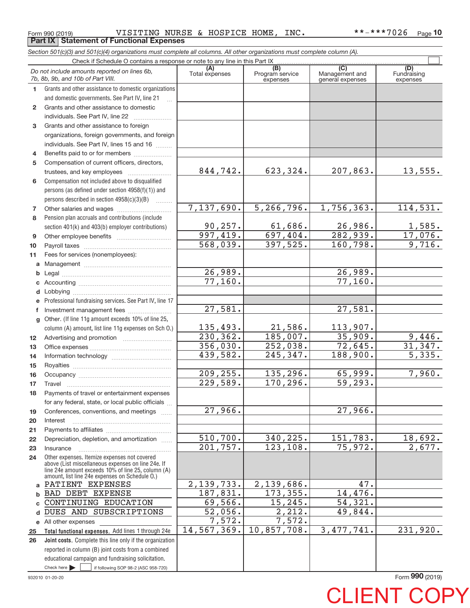Form 990 (2019) VISITING NURSE & HOSPICE HOME , INC \*\*-\*\*\*7026 <sub>Page</sub> **Part IX Statement of Functional Expenses**

**Total functional expenses.**  Add lines 1 through 24e **Joint costs.** Complete this line only if the organization **(A) (B) (B) (C)** (C) (A)<br>Total expenses Program service Management and Fundrain<br>expenses expenses expenses expen **1 2 3 4 5 6 7 8 9 10 11 a b c d e f g 12 13 14 15 16 17 18 19 20 21 22 23 24 a b c d** DUES AND SUBSCRIPTIONS **e** All other expenses **25 26** *Section 501(c)(3) and 501(c)(4) organizations must complete all columns. All other organizations must complete column (A).* Grants and other assistance to domestic organizations and domestic governments. See Part IV, line 21 Compensation not included above to disqualified persons (as defined under section 4958(f)(1)) and persons described in section  $4958(c)(3)(B)$  ........ Pension plan accruals and contributions (include section 401(k) and 403(b) employer contributions) Professional fundraising services. See Part IV, line 17 Other. (If line 11g amount exceeds 10% of line 25, column (A) amount, list line 11g expenses on Sch O.) Other expenses. Itemize expenses not covered above (List miscellaneous expenses on line 24e. If line 24e amount exceeds 10% of line 25, column (A) amount, list line 24e expenses on Schedule O.) reported in column (B) joint costs from a combined educational campaign and fundraising solicitation. Check if Schedule O contains a response or note to any line in this Part IX (C) (C) (C) (C) (C) (C) Management and general expenses Fundraising expenses ~<br>… Grants and other assistance to domestic individuals. See Part IV, line 22 ...................... Grants and other assistance to foreign organizations, foreign governments, and foreign individuals. See Part IV, lines 15 and 16  $\ldots$ Benefits paid to or for members .................... Compensation of current officers, directors, trustees, and key employees  $\ldots$   $\ldots$   $\ldots$   $\ldots$   $\ldots$   $\ldots$ Other salaries and wages ~~~~~~~~~~ Other employee benefits ~~~~~~~~~~ Payroll taxes ~~~~~~~~~~~~~~~~ Fees for services (nonemployees): Management ~~~~~~~~~~~~~~~~ Legal ~~~~~~~~~~~~~~~~~~~~ Accounting ~~~~~~~~~~~~~~~~~ Lobbying ~~~~~~~~~~~~~~~~~~ Investment management fees ........................ Advertising and promotion *www.community.com* Office expenses ~~~~~~~~~~~~~~~ Information technology ~~~~~~~~~~~ Royalties ~~~~~~~~~~~~~~~~~~ Occupancy ~~~~~~~~~~~~~~~~~ Travel ~~~~~~~~~~~~~~~~~~~ Payments of travel or entertainment expenses for any federal, state, or local public officials ... Conferences, conventions, and meetings Interest ~~~~~~~~~~~~~~~~~~ Payments to affiliates ~~~~~~~~~~~~ Depreciation, depletion, and amortization ...... Insurance ~~~~~~~~~~~~~~~~~ *Do not include amounts reported on lines 6b, 7b, 8b, 9b, and 10b of Part VIII.*  $\boxed{\phantom{1}}$ 844,742. 7,137,690. 90,257. 997,419. 568,039. 26,989. 77,160. 135,493. 230,362. 356,030. 439,582. 209,255. 229,589. 27,966. 510,700. 201,757. 2,139,733. 187,831. 69,566. 52,056. 7,572. 14,567,369. 27,581.  $623,324.$  207,863. 13,555. 5,266,796. 1,756,363. 114,531.  $61,686.$  26,986. 1,585. 697,404. 282,939. 17,076. 397,525. 160,798. 9,716. 26,989. 77,160. 27,581. 21,586. 113,907.  $185,007.$  35,909. 9,446. 252,038. 72,645. 31,347. 245,347. 188,900. 5,335. 135,296. 65,999. 7,960. 170,296. 59,293. 27,966. 340,225. 151,783. 18,692. 123,108. 75,972. 2,677. 2,139,686. 47. 173,355. 14,476. 15,245. 54,321. 2,212. 49,844. 7,572. 10,857,708. 3,477,741. 231,920. PATIENT EXPENSES BAD DEBT EXPENSE CONTINUING EDUCATION

932010 01‐20‐20  $\blacktriangleright$   $\sqcup$ 

 $\frac{1}{1}$  if following SOP 98-2 (ASC 958-720)

Form (2019) **990**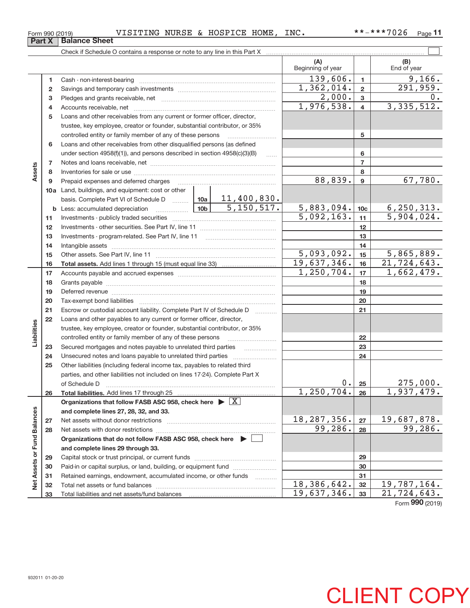| Form 990 (2019) |  | VISITING NURSE & HOSPICE HOME, INC. |  | **-***7026 | $_{\text{Page}}$ 11 |
|-----------------|--|-------------------------------------|--|------------|---------------------|
|-----------------|--|-------------------------------------|--|------------|---------------------|

|                             |    |                                                                                                                                                                                                                               |                          | (A)<br>Beginning of year   |                         | (B)<br>End of year        |
|-----------------------------|----|-------------------------------------------------------------------------------------------------------------------------------------------------------------------------------------------------------------------------------|--------------------------|----------------------------|-------------------------|---------------------------|
|                             | 1. | Cash - non-interest-bearing                                                                                                                                                                                                   |                          | 139,606.                   | $\mathbf{1}$            | 9,166.                    |
|                             | 2  |                                                                                                                                                                                                                               |                          | 1,362,014.                 | $\mathbf{2}$            | $\overline{291,959}$ .    |
|                             | 3  |                                                                                                                                                                                                                               |                          | 2,000.                     | 3                       | 0.                        |
|                             | 4  |                                                                                                                                                                                                                               |                          | 1,976,538.                 | $\overline{\mathbf{4}}$ | 3,335,512.                |
|                             | 5  | Loans and other receivables from any current or former officer, director,                                                                                                                                                     |                          |                            |                         |                           |
|                             |    | trustee, key employee, creator or founder, substantial contributor, or 35%                                                                                                                                                    |                          |                            |                         |                           |
|                             |    | controlled entity or family member of any of these persons                                                                                                                                                                    |                          |                            | 5                       |                           |
|                             | 6  | Loans and other receivables from other disqualified persons (as defined                                                                                                                                                       |                          |                            |                         |                           |
|                             |    | under section $4958(f)(1)$ , and persons described in section $4958(c)(3)(B)$                                                                                                                                                 | .                        |                            | 6                       |                           |
|                             | 7  |                                                                                                                                                                                                                               |                          |                            | $\overline{7}$          |                           |
| Assets                      | 8  |                                                                                                                                                                                                                               |                          |                            | 8                       |                           |
|                             | 9  | Prepaid expenses and deferred charges                                                                                                                                                                                         | 88,839.                  | 9                          | 67,780.                 |                           |
|                             |    | 10a Land, buildings, and equipment: cost or other                                                                                                                                                                             |                          |                            |                         |                           |
|                             |    | basis. Complete Part VI of Schedule D    10a   11,400,830.                                                                                                                                                                    |                          |                            |                         |                           |
|                             |    | $\overline{5,150,517}$ .<br>$\frac{10b}{10b}$<br><b>b</b> Less: accumulated depreciation                                                                                                                                      |                          | 5,883,094.                 | 10 <sub>c</sub>         | 6, 250, 313.              |
|                             | 11 |                                                                                                                                                                                                                               |                          | 5,092,163.                 | 11                      | 5,904,024.                |
|                             | 12 |                                                                                                                                                                                                                               |                          |                            | 12                      |                           |
|                             | 13 |                                                                                                                                                                                                                               |                          |                            | 13                      |                           |
|                             | 14 |                                                                                                                                                                                                                               |                          |                            | 14                      |                           |
|                             | 15 |                                                                                                                                                                                                                               |                          | $\overline{5,093},092.$    | 15                      | 5,865,889.                |
|                             | 16 |                                                                                                                                                                                                                               |                          | 19,637,346.                | 16                      | 21, 724, 643.             |
|                             | 17 |                                                                                                                                                                                                                               |                          | 1,250,704.                 | 17                      | $\overline{1,662}$ , 479. |
|                             | 18 |                                                                                                                                                                                                                               |                          |                            | 18                      |                           |
|                             | 19 | Deferred revenue material contracts and contracts are all the material contracts and contracts are contracted and contract are contracted and contract are contracted and contract are contracted and contract are contracted |                          |                            | 19                      |                           |
|                             | 20 |                                                                                                                                                                                                                               |                          |                            | 20                      |                           |
|                             | 21 | Escrow or custodial account liability. Complete Part IV of Schedule D                                                                                                                                                         | .                        |                            | 21                      |                           |
|                             | 22 | Loans and other payables to any current or former officer, director,                                                                                                                                                          |                          |                            |                         |                           |
| Liabilities                 |    | trustee, key employee, creator or founder, substantial contributor, or 35%                                                                                                                                                    |                          |                            |                         |                           |
|                             |    | controlled entity or family member of any of these persons                                                                                                                                                                    |                          |                            | 22                      |                           |
|                             | 23 | Secured mortgages and notes payable to unrelated third parties                                                                                                                                                                | $\overline{\phantom{a}}$ |                            | 23                      |                           |
|                             | 24 |                                                                                                                                                                                                                               |                          |                            | 24                      |                           |
|                             | 25 | Other liabilities (including federal income tax, payables to related third                                                                                                                                                    |                          |                            |                         |                           |
|                             |    | parties, and other liabilities not included on lines 17-24). Complete Part X                                                                                                                                                  |                          |                            |                         |                           |
|                             |    | of Schedule D                                                                                                                                                                                                                 |                          | $0 \cdot$                  | 25                      | 275,000.                  |
|                             | 26 | Total liabilities. Add lines 17 through 25                                                                                                                                                                                    |                          | , 250, 704.<br>$\mathbf 1$ | 26                      | 937,479.<br>1,            |
|                             |    | Organizations that follow FASB ASC 958, check here $\blacktriangleright \boxed{X}$                                                                                                                                            |                          |                            |                         |                           |
|                             |    | and complete lines 27, 28, 32, and 33.                                                                                                                                                                                        |                          |                            |                         |                           |
|                             | 27 | Net assets without donor restrictions                                                                                                                                                                                         |                          | 18, 287, 356.              | 27                      | <u>19,687,878.</u>        |
|                             | 28 |                                                                                                                                                                                                                               |                          | 99,286.                    | 28                      | 99,286.                   |
|                             |    | Organizations that do not follow FASB ASC 958, check here $\blacktriangleright$                                                                                                                                               |                          |                            |                         |                           |
| Net Assets or Fund Balances |    | and complete lines 29 through 33.                                                                                                                                                                                             |                          |                            |                         |                           |
|                             | 29 |                                                                                                                                                                                                                               |                          |                            | 29                      |                           |
|                             | 30 | Paid-in or capital surplus, or land, building, or equipment fund                                                                                                                                                              |                          |                            | 30                      |                           |
|                             | 31 | Retained earnings, endowment, accumulated income, or other funds                                                                                                                                                              | 1.1.1.1.1.1.1.1.1.1      |                            | 31                      |                           |
|                             | 32 |                                                                                                                                                                                                                               |                          | 18,386,642.                | 32                      | 19,787,164.               |
|                             | 33 |                                                                                                                                                                                                                               |                          | 19,637,346.                | 33                      | 21,724,643.               |

Form (2019) **990**

CLIENT COPY

**Part X** | Balance Sheet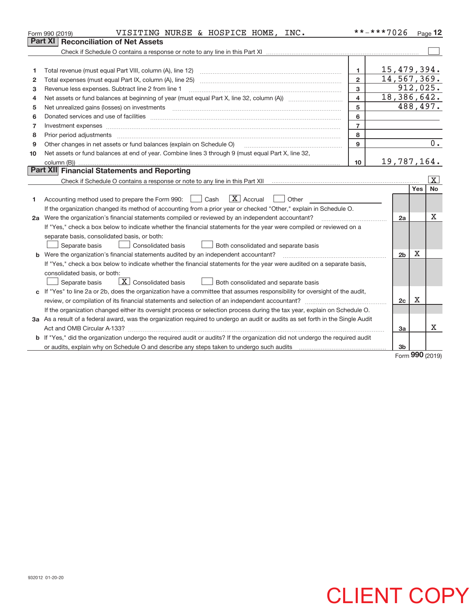| Part XI<br><b>Reconciliation of Net Assets</b>                                                                                  |                | 15,479,394.         |
|---------------------------------------------------------------------------------------------------------------------------------|----------------|---------------------|
|                                                                                                                                 |                |                     |
|                                                                                                                                 |                |                     |
|                                                                                                                                 |                |                     |
| $\mathbf{1}$<br>1                                                                                                               |                |                     |
| $\overline{2}$<br>Total expenses (must equal Part IX, column (A), line 25)<br>2                                                 |                | 14,567,369.         |
| 3<br>Revenue less expenses. Subtract line 2 from line 1<br>з                                                                    |                | 912,025.            |
| 4<br>4                                                                                                                          |                | 18,386,642.         |
| 5<br>Net unrealized gains (losses) on investments<br>5                                                                          |                | 488,497.            |
| 6<br>6                                                                                                                          |                |                     |
| $\overline{7}$<br>Investment expenses<br>7                                                                                      |                |                     |
| 8<br>Prior period adjustments<br>8                                                                                              |                |                     |
| $\mathbf{9}$<br>Other changes in net assets or fund balances (explain on Schedule O)<br>9                                       |                | 0.                  |
| Net assets or fund balances at end of year. Combine lines 3 through 9 (must equal Part X, line 32,<br>10                        |                |                     |
| 10                                                                                                                              |                | 19,787,164.         |
| Part XII Financial Statements and Reporting                                                                                     |                |                     |
|                                                                                                                                 |                | $\lfloor x \rfloor$ |
|                                                                                                                                 |                | <b>No</b><br>Yes    |
| $\boxed{\mathbf{X}}$ Accrual<br>Accounting method used to prepare the Form 990: <u>I</u> Cash<br>Other<br>1                     |                |                     |
| If the organization changed its method of accounting from a prior year or checked "Other," explain in Schedule O.               |                |                     |
| 2a Were the organization's financial statements compiled or reviewed by an independent accountant?                              | 2a             | X                   |
| If "Yes," check a box below to indicate whether the financial statements for the year were compiled or reviewed on a            |                |                     |
| separate basis, consolidated basis, or both:                                                                                    |                |                     |
| Separate basis<br>Both consolidated and separate basis<br>Consolidated basis                                                    |                |                     |
| Were the organization's financial statements audited by an independent accountant?<br>b                                         | 2 <sub>b</sub> | Χ                   |
| If "Yes," check a box below to indicate whether the financial statements for the year were audited on a separate basis,         |                |                     |
| consolidated basis, or both:                                                                                                    |                |                     |
| $\boxed{\textbf{X}}$ Consolidated basis<br>Separate basis<br>Both consolidated and separate basis                               |                |                     |
| c If "Yes" to line 2a or 2b, does the organization have a committee that assumes responsibility for oversight of the audit,     |                |                     |
|                                                                                                                                 | 2c             | $\mathbf X$         |
| If the organization changed either its oversight process or selection process during the tax year, explain on Schedule O.       |                |                     |
| 3a As a result of a federal award, was the organization required to undergo an audit or audits as set forth in the Single Audit |                |                     |
|                                                                                                                                 | За             | x                   |
| b If "Yes," did the organization undergo the required audit or audits? If the organization did not undergo the required audit   |                |                     |
|                                                                                                                                 | 3 <sub>b</sub> | $\sim$              |

Form (2019) **990**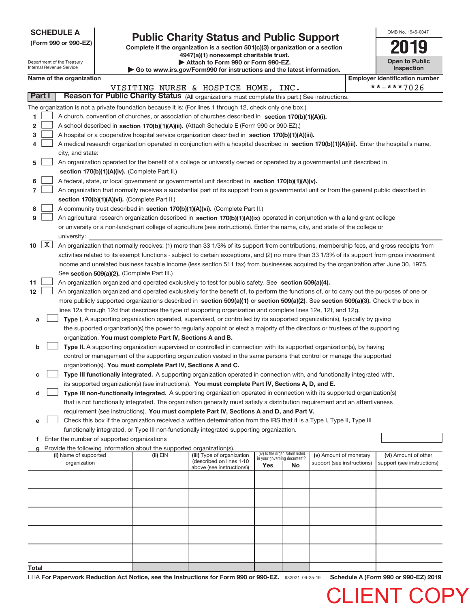|  | <b>SCHEDULE A</b> |  |
|--|-------------------|--|
|  |                   |  |

Department of the Treasury Internal Revenue Service

# **Public Charity Status and Public Support**<br> **Public Support**<br> **2019**

**(Form 990 or 990‐EZ) Complete if the organization is a section 501(c)(3) organization or a section 4947(a)(1) nonexempt charitable trust. | Attach to Form 990 or Form 990‐EZ.** 

| Go to www.irs.gov/Form990 for instructions and the latest information. |  |  |
|------------------------------------------------------------------------|--|--|

| OMB No. 1545-0047                   |
|-------------------------------------|
|                                     |
| <b>Open to Public</b><br>Inspection |

 $\blacksquare$ 

CLIENT C

|  | Name of the organization |
|--|--------------------------|
|--|--------------------------|

|                                                                 |                                                                                                                                                                                                                                                                                                                                                                                                                                                                                                                                                                                                                                                                                                                                                                                                                                                                                                                                                                                                                                                                                                                                                                                                                                                                                                                                                                                                                                                                                                                                                                                     | Name of the organization                                                                                                                                                   |            |                                                                                     |                                    |                                       |                                                      |  | <b>Employer identification number</b>              |  |
|-----------------------------------------------------------------|-------------------------------------------------------------------------------------------------------------------------------------------------------------------------------------------------------------------------------------------------------------------------------------------------------------------------------------------------------------------------------------------------------------------------------------------------------------------------------------------------------------------------------------------------------------------------------------------------------------------------------------------------------------------------------------------------------------------------------------------------------------------------------------------------------------------------------------------------------------------------------------------------------------------------------------------------------------------------------------------------------------------------------------------------------------------------------------------------------------------------------------------------------------------------------------------------------------------------------------------------------------------------------------------------------------------------------------------------------------------------------------------------------------------------------------------------------------------------------------------------------------------------------------------------------------------------------------|----------------------------------------------------------------------------------------------------------------------------------------------------------------------------|------------|-------------------------------------------------------------------------------------|------------------------------------|---------------------------------------|------------------------------------------------------|--|----------------------------------------------------|--|
|                                                                 |                                                                                                                                                                                                                                                                                                                                                                                                                                                                                                                                                                                                                                                                                                                                                                                                                                                                                                                                                                                                                                                                                                                                                                                                                                                                                                                                                                                                                                                                                                                                                                                     |                                                                                                                                                                            |            | VISITING NURSE & HOSPICE HOME, INC.                                                 |                                    |                                       |                                                      |  | **-***7026                                         |  |
| Part I                                                          |                                                                                                                                                                                                                                                                                                                                                                                                                                                                                                                                                                                                                                                                                                                                                                                                                                                                                                                                                                                                                                                                                                                                                                                                                                                                                                                                                                                                                                                                                                                                                                                     | Reason for Public Charity Status (All organizations must complete this part.) See instructions.                                                                            |            |                                                                                     |                                    |                                       |                                                      |  |                                                    |  |
|                                                                 |                                                                                                                                                                                                                                                                                                                                                                                                                                                                                                                                                                                                                                                                                                                                                                                                                                                                                                                                                                                                                                                                                                                                                                                                                                                                                                                                                                                                                                                                                                                                                                                     | The organization is not a private foundation because it is: (For lines 1 through 12, check only one box.)                                                                  |            |                                                                                     |                                    |                                       |                                                      |  |                                                    |  |
| 1.                                                              |                                                                                                                                                                                                                                                                                                                                                                                                                                                                                                                                                                                                                                                                                                                                                                                                                                                                                                                                                                                                                                                                                                                                                                                                                                                                                                                                                                                                                                                                                                                                                                                     | A church, convention of churches, or association of churches described in section 170(b)(1)(A)(i).                                                                         |            |                                                                                     |                                    |                                       |                                                      |  |                                                    |  |
| 2                                                               |                                                                                                                                                                                                                                                                                                                                                                                                                                                                                                                                                                                                                                                                                                                                                                                                                                                                                                                                                                                                                                                                                                                                                                                                                                                                                                                                                                                                                                                                                                                                                                                     | A school described in section 170(b)(1)(A)(ii). (Attach Schedule E (Form 990 or 990-EZ).)                                                                                  |            |                                                                                     |                                    |                                       |                                                      |  |                                                    |  |
| З                                                               |                                                                                                                                                                                                                                                                                                                                                                                                                                                                                                                                                                                                                                                                                                                                                                                                                                                                                                                                                                                                                                                                                                                                                                                                                                                                                                                                                                                                                                                                                                                                                                                     | A hospital or a cooperative hospital service organization described in section 170(b)(1)(A)(iii).                                                                          |            |                                                                                     |                                    |                                       |                                                      |  |                                                    |  |
|                                                                 |                                                                                                                                                                                                                                                                                                                                                                                                                                                                                                                                                                                                                                                                                                                                                                                                                                                                                                                                                                                                                                                                                                                                                                                                                                                                                                                                                                                                                                                                                                                                                                                     | A medical research organization operated in conjunction with a hospital described in section 170(b)(1)(A)(iii). Enter the hospital's name,                                 |            |                                                                                     |                                    |                                       |                                                      |  |                                                    |  |
|                                                                 |                                                                                                                                                                                                                                                                                                                                                                                                                                                                                                                                                                                                                                                                                                                                                                                                                                                                                                                                                                                                                                                                                                                                                                                                                                                                                                                                                                                                                                                                                                                                                                                     | city, and state:                                                                                                                                                           |            |                                                                                     |                                    |                                       |                                                      |  |                                                    |  |
| 5                                                               |                                                                                                                                                                                                                                                                                                                                                                                                                                                                                                                                                                                                                                                                                                                                                                                                                                                                                                                                                                                                                                                                                                                                                                                                                                                                                                                                                                                                                                                                                                                                                                                     | An organization operated for the benefit of a college or university owned or operated by a governmental unit described in<br>section 170(b)(1)(A)(iv). (Complete Part II.) |            |                                                                                     |                                    |                                       |                                                      |  |                                                    |  |
| 6                                                               |                                                                                                                                                                                                                                                                                                                                                                                                                                                                                                                                                                                                                                                                                                                                                                                                                                                                                                                                                                                                                                                                                                                                                                                                                                                                                                                                                                                                                                                                                                                                                                                     | A federal, state, or local government or governmental unit described in section 170(b)(1)(A)(v).                                                                           |            |                                                                                     |                                    |                                       |                                                      |  |                                                    |  |
| 7                                                               |                                                                                                                                                                                                                                                                                                                                                                                                                                                                                                                                                                                                                                                                                                                                                                                                                                                                                                                                                                                                                                                                                                                                                                                                                                                                                                                                                                                                                                                                                                                                                                                     | An organization that normally receives a substantial part of its support from a governmental unit or from the general public described in                                  |            |                                                                                     |                                    |                                       |                                                      |  |                                                    |  |
|                                                                 |                                                                                                                                                                                                                                                                                                                                                                                                                                                                                                                                                                                                                                                                                                                                                                                                                                                                                                                                                                                                                                                                                                                                                                                                                                                                                                                                                                                                                                                                                                                                                                                     | section 170(b)(1)(A)(vi). (Complete Part II.)                                                                                                                              |            |                                                                                     |                                    |                                       |                                                      |  |                                                    |  |
| 8                                                               |                                                                                                                                                                                                                                                                                                                                                                                                                                                                                                                                                                                                                                                                                                                                                                                                                                                                                                                                                                                                                                                                                                                                                                                                                                                                                                                                                                                                                                                                                                                                                                                     | A community trust described in section 170(b)(1)(A)(vi). (Complete Part II.)                                                                                               |            |                                                                                     |                                    |                                       |                                                      |  |                                                    |  |
| 9                                                               |                                                                                                                                                                                                                                                                                                                                                                                                                                                                                                                                                                                                                                                                                                                                                                                                                                                                                                                                                                                                                                                                                                                                                                                                                                                                                                                                                                                                                                                                                                                                                                                     | An agricultural research organization described in section 170(b)(1)(A)(ix) operated in conjunction with a land-grant college                                              |            |                                                                                     |                                    |                                       |                                                      |  |                                                    |  |
|                                                                 |                                                                                                                                                                                                                                                                                                                                                                                                                                                                                                                                                                                                                                                                                                                                                                                                                                                                                                                                                                                                                                                                                                                                                                                                                                                                                                                                                                                                                                                                                                                                                                                     | or university or a non-land-grant college of agriculture (see instructions). Enter the name, city, and state of the college or                                             |            |                                                                                     |                                    |                                       |                                                      |  |                                                    |  |
|                                                                 |                                                                                                                                                                                                                                                                                                                                                                                                                                                                                                                                                                                                                                                                                                                                                                                                                                                                                                                                                                                                                                                                                                                                                                                                                                                                                                                                                                                                                                                                                                                                                                                     | university:                                                                                                                                                                |            |                                                                                     |                                    |                                       |                                                      |  |                                                    |  |
| $10 \quad \boxed{\text{X}}$<br>11<br>12 <sup>12</sup><br>а<br>b | An organization that normally receives: (1) more than 33 1/3% of its support from contributions, membership fees, and gross receipts from<br>activities related to its exempt functions - subject to certain exceptions, and (2) no more than 33 1/3% of its support from gross investment<br>income and unrelated business taxable income (less section 511 tax) from businesses acquired by the organization after June 30, 1975.<br>See section 509(a)(2). (Complete Part III.)<br>An organization organized and operated exclusively to test for public safety. See section 509(a)(4).<br>An organization organized and operated exclusively for the benefit of, to perform the functions of, or to carry out the purposes of one or<br>more publicly supported organizations described in section 509(a)(1) or section 509(a)(2). See section 509(a)(3). Check the box in<br>lines 12a through 12d that describes the type of supporting organization and complete lines 12e, 12f, and 12g.<br>Type I. A supporting organization operated, supervised, or controlled by its supported organization(s), typically by giving<br>the supported organization(s) the power to regularly appoint or elect a majority of the directors or trustees of the supporting<br>organization. You must complete Part IV, Sections A and B.<br>Type II. A supporting organization supervised or controlled in connection with its supported organization(s), by having<br>control or management of the supporting organization vested in the same persons that control or manage the supported |                                                                                                                                                                            |            |                                                                                     |                                    |                                       |                                                      |  |                                                    |  |
|                                                                 |                                                                                                                                                                                                                                                                                                                                                                                                                                                                                                                                                                                                                                                                                                                                                                                                                                                                                                                                                                                                                                                                                                                                                                                                                                                                                                                                                                                                                                                                                                                                                                                     | organization(s). You must complete Part IV, Sections A and C.                                                                                                              |            |                                                                                     |                                    |                                       |                                                      |  |                                                    |  |
| с                                                               |                                                                                                                                                                                                                                                                                                                                                                                                                                                                                                                                                                                                                                                                                                                                                                                                                                                                                                                                                                                                                                                                                                                                                                                                                                                                                                                                                                                                                                                                                                                                                                                     | Type III functionally integrated. A supporting organization operated in connection with, and functionally integrated with,                                                 |            |                                                                                     |                                    |                                       |                                                      |  |                                                    |  |
|                                                                 |                                                                                                                                                                                                                                                                                                                                                                                                                                                                                                                                                                                                                                                                                                                                                                                                                                                                                                                                                                                                                                                                                                                                                                                                                                                                                                                                                                                                                                                                                                                                                                                     | its supported organization(s) (see instructions). You must complete Part IV, Sections A, D, and E.                                                                         |            |                                                                                     |                                    |                                       |                                                      |  |                                                    |  |
| d                                                               |                                                                                                                                                                                                                                                                                                                                                                                                                                                                                                                                                                                                                                                                                                                                                                                                                                                                                                                                                                                                                                                                                                                                                                                                                                                                                                                                                                                                                                                                                                                                                                                     | Type III non-functionally integrated. A supporting organization operated in connection with its supported organization(s)                                                  |            |                                                                                     |                                    |                                       |                                                      |  |                                                    |  |
|                                                                 |                                                                                                                                                                                                                                                                                                                                                                                                                                                                                                                                                                                                                                                                                                                                                                                                                                                                                                                                                                                                                                                                                                                                                                                                                                                                                                                                                                                                                                                                                                                                                                                     | that is not functionally integrated. The organization generally must satisfy a distribution requirement and an attentiveness                                               |            |                                                                                     |                                    |                                       |                                                      |  |                                                    |  |
|                                                                 |                                                                                                                                                                                                                                                                                                                                                                                                                                                                                                                                                                                                                                                                                                                                                                                                                                                                                                                                                                                                                                                                                                                                                                                                                                                                                                                                                                                                                                                                                                                                                                                     | requirement (see instructions). You must complete Part IV, Sections A and D, and Part V.                                                                                   |            |                                                                                     |                                    |                                       |                                                      |  |                                                    |  |
|                                                                 |                                                                                                                                                                                                                                                                                                                                                                                                                                                                                                                                                                                                                                                                                                                                                                                                                                                                                                                                                                                                                                                                                                                                                                                                                                                                                                                                                                                                                                                                                                                                                                                     | Check this box if the organization received a written determination from the IRS that it is a Type I, Type II, Type III                                                    |            |                                                                                     |                                    |                                       |                                                      |  |                                                    |  |
|                                                                 |                                                                                                                                                                                                                                                                                                                                                                                                                                                                                                                                                                                                                                                                                                                                                                                                                                                                                                                                                                                                                                                                                                                                                                                                                                                                                                                                                                                                                                                                                                                                                                                     | functionally integrated, or Type III non-functionally integrated supporting organization.                                                                                  |            |                                                                                     |                                    |                                       |                                                      |  |                                                    |  |
|                                                                 |                                                                                                                                                                                                                                                                                                                                                                                                                                                                                                                                                                                                                                                                                                                                                                                                                                                                                                                                                                                                                                                                                                                                                                                                                                                                                                                                                                                                                                                                                                                                                                                     | f Enter the number of supported organizations                                                                                                                              |            |                                                                                     |                                    |                                       |                                                      |  |                                                    |  |
|                                                                 |                                                                                                                                                                                                                                                                                                                                                                                                                                                                                                                                                                                                                                                                                                                                                                                                                                                                                                                                                                                                                                                                                                                                                                                                                                                                                                                                                                                                                                                                                                                                                                                     | g Provide the following information about the supported organization(s).                                                                                                   |            |                                                                                     |                                    |                                       |                                                      |  |                                                    |  |
|                                                                 |                                                                                                                                                                                                                                                                                                                                                                                                                                                                                                                                                                                                                                                                                                                                                                                                                                                                                                                                                                                                                                                                                                                                                                                                                                                                                                                                                                                                                                                                                                                                                                                     | (i) Name of supported<br>organization                                                                                                                                      | $(ii)$ EIN | (iii) Type of organization<br>(described on lines 1-10<br>above (see instructions)) | in your governing document?<br>Yes | (iv) Is the organization listed<br>No | (v) Amount of monetary<br>support (see instructions) |  | (vi) Amount of other<br>support (see instructions) |  |
|                                                                 |                                                                                                                                                                                                                                                                                                                                                                                                                                                                                                                                                                                                                                                                                                                                                                                                                                                                                                                                                                                                                                                                                                                                                                                                                                                                                                                                                                                                                                                                                                                                                                                     |                                                                                                                                                                            |            |                                                                                     |                                    |                                       |                                                      |  |                                                    |  |
|                                                                 |                                                                                                                                                                                                                                                                                                                                                                                                                                                                                                                                                                                                                                                                                                                                                                                                                                                                                                                                                                                                                                                                                                                                                                                                                                                                                                                                                                                                                                                                                                                                                                                     |                                                                                                                                                                            |            |                                                                                     |                                    |                                       |                                                      |  |                                                    |  |
|                                                                 |                                                                                                                                                                                                                                                                                                                                                                                                                                                                                                                                                                                                                                                                                                                                                                                                                                                                                                                                                                                                                                                                                                                                                                                                                                                                                                                                                                                                                                                                                                                                                                                     |                                                                                                                                                                            |            |                                                                                     |                                    |                                       |                                                      |  |                                                    |  |
|                                                                 |                                                                                                                                                                                                                                                                                                                                                                                                                                                                                                                                                                                                                                                                                                                                                                                                                                                                                                                                                                                                                                                                                                                                                                                                                                                                                                                                                                                                                                                                                                                                                                                     |                                                                                                                                                                            |            |                                                                                     |                                    |                                       |                                                      |  |                                                    |  |
|                                                                 |                                                                                                                                                                                                                                                                                                                                                                                                                                                                                                                                                                                                                                                                                                                                                                                                                                                                                                                                                                                                                                                                                                                                                                                                                                                                                                                                                                                                                                                                                                                                                                                     |                                                                                                                                                                            |            |                                                                                     |                                    |                                       |                                                      |  |                                                    |  |
|                                                                 |                                                                                                                                                                                                                                                                                                                                                                                                                                                                                                                                                                                                                                                                                                                                                                                                                                                                                                                                                                                                                                                                                                                                                                                                                                                                                                                                                                                                                                                                                                                                                                                     |                                                                                                                                                                            |            |                                                                                     |                                    |                                       |                                                      |  |                                                    |  |
|                                                                 |                                                                                                                                                                                                                                                                                                                                                                                                                                                                                                                                                                                                                                                                                                                                                                                                                                                                                                                                                                                                                                                                                                                                                                                                                                                                                                                                                                                                                                                                                                                                                                                     |                                                                                                                                                                            |            |                                                                                     |                                    |                                       |                                                      |  |                                                    |  |
|                                                                 |                                                                                                                                                                                                                                                                                                                                                                                                                                                                                                                                                                                                                                                                                                                                                                                                                                                                                                                                                                                                                                                                                                                                                                                                                                                                                                                                                                                                                                                                                                                                                                                     |                                                                                                                                                                            |            |                                                                                     |                                    |                                       |                                                      |  |                                                    |  |

**Total**

932021 09‐25‐19 **For Paperwork Reduction Act Notice, see the Instructions for Form 990 or 990‐EZ. Schedule A (Form 990 or 990‐EZ) 2019** LHA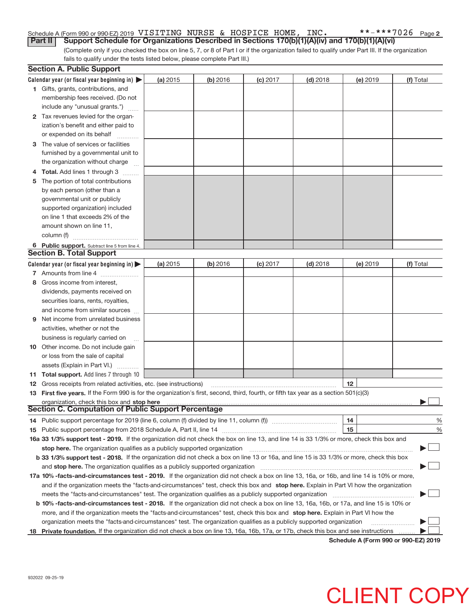### $***$   $***$  702<u>6 Page 2</u> Schedule A (Form 990 or 990-EZ) 2019 <code>VISITING</code> <code>NURSE & HOSPICE HOME, INC. \*\*\*\*\*7026 <code>Page</code></code> **Part II** Support Schedule for Organizations Described in Sections 170(b)(1)(A)(iv) and 170(b)(1)(A)(vi)

(Complete only if you checked the box on line 5, 7, or 8 of Part I or if the organization failed to qualify under Part III. If the organization fails to qualify under the tests listed below, please complete Part III.)

|    | <b>Section A. Public Support</b>                                                                                                               |          |          |            |            |          |           |
|----|------------------------------------------------------------------------------------------------------------------------------------------------|----------|----------|------------|------------|----------|-----------|
|    | Calendar year (or fiscal year beginning in) $\blacktriangleright$                                                                              | (a) 2015 | (b) 2016 | (c) 2017   | $(d)$ 2018 | (e) 2019 | (f) Total |
|    | 1 Gifts, grants, contributions, and                                                                                                            |          |          |            |            |          |           |
|    | membership fees received. (Do not                                                                                                              |          |          |            |            |          |           |
|    | include any "unusual grants.")                                                                                                                 |          |          |            |            |          |           |
|    | 2 Tax revenues levied for the organ-                                                                                                           |          |          |            |            |          |           |
|    | ization's benefit and either paid to                                                                                                           |          |          |            |            |          |           |
|    | or expended on its behalf                                                                                                                      |          |          |            |            |          |           |
|    | 3 The value of services or facilities                                                                                                          |          |          |            |            |          |           |
|    | furnished by a governmental unit to                                                                                                            |          |          |            |            |          |           |
|    | the organization without charge                                                                                                                |          |          |            |            |          |           |
|    | <b>Total.</b> Add lines 1 through 3                                                                                                            |          |          |            |            |          |           |
| 5  | The portion of total contributions                                                                                                             |          |          |            |            |          |           |
|    | by each person (other than a                                                                                                                   |          |          |            |            |          |           |
|    | governmental unit or publicly                                                                                                                  |          |          |            |            |          |           |
|    | supported organization) included                                                                                                               |          |          |            |            |          |           |
|    | on line 1 that exceeds 2% of the                                                                                                               |          |          |            |            |          |           |
|    | amount shown on line 11,                                                                                                                       |          |          |            |            |          |           |
|    | column (f)                                                                                                                                     |          |          |            |            |          |           |
|    |                                                                                                                                                |          |          |            |            |          |           |
|    | 6 Public support. Subtract line 5 from line 4.<br><b>Section B. Total Support</b>                                                              |          |          |            |            |          |           |
|    | Calendar year (or fiscal year beginning in)                                                                                                    | (a) 2015 | (b) 2016 | $(c)$ 2017 | $(d)$ 2018 | (e) 2019 | (f) Total |
|    | 7 Amounts from line 4                                                                                                                          |          |          |            |            |          |           |
| 8  | Gross income from interest,                                                                                                                    |          |          |            |            |          |           |
|    | dividends, payments received on                                                                                                                |          |          |            |            |          |           |
|    |                                                                                                                                                |          |          |            |            |          |           |
|    | securities loans, rents, royalties,                                                                                                            |          |          |            |            |          |           |
|    | and income from similar sources                                                                                                                |          |          |            |            |          |           |
| 9  | Net income from unrelated business                                                                                                             |          |          |            |            |          |           |
|    | activities, whether or not the                                                                                                                 |          |          |            |            |          |           |
|    | business is regularly carried on                                                                                                               |          |          |            |            |          |           |
|    | <b>10</b> Other income. Do not include gain                                                                                                    |          |          |            |            |          |           |
|    | or loss from the sale of capital                                                                                                               |          |          |            |            |          |           |
|    | assets (Explain in Part VI.)                                                                                                                   |          |          |            |            |          |           |
|    | 11 Total support. Add lines 7 through 10                                                                                                       |          |          |            |            |          |           |
|    | <b>12</b> Gross receipts from related activities, etc. (see instructions)                                                                      |          |          |            |            | 12       |           |
|    | 13 First five years. If the Form 990 is for the organization's first, second, third, fourth, or fifth tax year as a section 501(c)(3)          |          |          |            |            |          |           |
|    | <b>Section C. Computation of Public Support Percentage</b>                                                                                     |          |          |            |            |          |           |
|    |                                                                                                                                                |          |          |            |            |          |           |
|    | 14 Public support percentage for 2019 (line 6, column (f) divided by line 11, column (f) <i>mummention</i>                                     |          |          |            |            | 14<br>15 | %         |
|    | 16a 33 1/3% support test - 2019. If the organization did not check the box on line 13, and line 14 is 33 1/3% or more, check this box and      |          |          |            |            |          | %         |
|    |                                                                                                                                                |          |          |            |            |          |           |
|    | stop here. The organization qualifies as a publicly supported organization                                                                     |          |          |            |            |          |           |
|    | b 33 1/3% support test - 2018. If the organization did not check a box on line 13 or 16a, and line 15 is 33 1/3% or more, check this box       |          |          |            |            |          |           |
|    | and stop here. The organization qualifies as a publicly supported organization                                                                 |          |          |            |            |          |           |
|    | 17a 10% -facts-and-circumstances test - 2019. If the organization did not check a box on line 13, 16a, or 16b, and line 14 is 10% or more,     |          |          |            |            |          |           |
|    | and if the organization meets the "facts-and-circumstances" test, check this box and stop here. Explain in Part VI how the organization        |          |          |            |            |          |           |
|    | meets the "facts-and-circumstances" test. The organization qualifies as a publicly supported organization                                      |          |          |            |            |          |           |
|    | <b>b 10% -facts-and-circumstances test - 2018.</b> If the organization did not check a box on line 13, 16a, 16b, or 17a, and line 15 is 10% or |          |          |            |            |          |           |
|    | more, and if the organization meets the "facts-and-circumstances" test, check this box and stop here. Explain in Part VI how the               |          |          |            |            |          |           |
|    | organization meets the "facts-and-circumstances" test. The organization qualifies as a publicly supported organization                         |          |          |            |            |          |           |
| 18 | Private foundation. If the organization did not check a box on line 13, 16a, 16b, 17a, or 17b, check this box and see instructions             |          |          |            |            |          |           |

**Schedule A (Form 990 or 990‐EZ) 2019**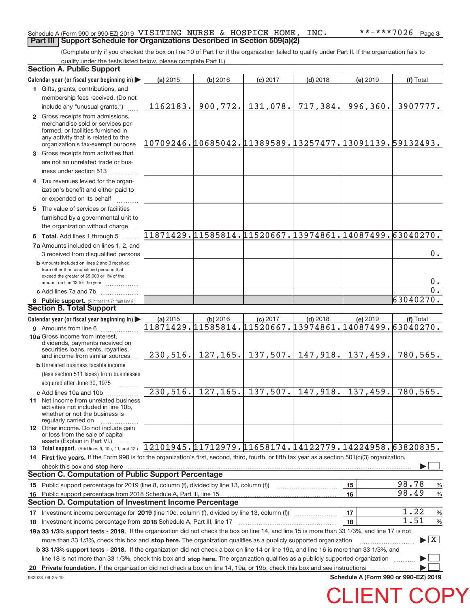## Schedule A (Form 990 or 990-EZ) 2019 <code>VISITING</code> <code>NURSE & HOSPICE HOME, INC. \*\*\*\*\*7026 <code>Page</code></code> **Part III | Support Schedule for Organizations Described in Section 509(a)(2)**

(Complete only if you checked the box on line 10 of Part I or if the organization failed to qualify under Part II. If the organization fails to qualify under the tests listed below, please complete Part II.)

|    | <b>Section A. Public Support</b>                                                                                                                                                                                                  |                                                          |           |                                                           |                     |          |                                 |  |
|----|-----------------------------------------------------------------------------------------------------------------------------------------------------------------------------------------------------------------------------------|----------------------------------------------------------|-----------|-----------------------------------------------------------|---------------------|----------|---------------------------------|--|
|    | Calendar year (or fiscal year beginning in)                                                                                                                                                                                       | (a) 2015                                                 | (b) 2016  | $(c)$ 2017                                                | $(d)$ 2018          | (e) 2019 | (f) Total                       |  |
|    | 1 Gifts, grants, contributions, and                                                                                                                                                                                               |                                                          |           |                                                           |                     |          |                                 |  |
|    | membership fees received. (Do not                                                                                                                                                                                                 |                                                          |           |                                                           |                     |          |                                 |  |
|    | include any "unusual grants.")                                                                                                                                                                                                    | 1162183.                                                 | 900, 772. | 131,078.                                                  | 717,384.            | 996,360. | 3907777.                        |  |
|    | 2 Gross receipts from admissions,<br>merchandise sold or services per-<br>formed, or facilities furnished in<br>any activity that is related to the<br>organization's tax-exempt purpose                                          | 10709246.10685042.11389589.13257477.13091139.59132493.   |           |                                                           |                     |          |                                 |  |
|    | 3 Gross receipts from activities that                                                                                                                                                                                             |                                                          |           |                                                           |                     |          |                                 |  |
|    | are not an unrelated trade or bus-<br>iness under section 513                                                                                                                                                                     |                                                          |           |                                                           |                     |          |                                 |  |
|    | 4 Tax revenues levied for the organ-                                                                                                                                                                                              |                                                          |           |                                                           |                     |          |                                 |  |
|    | ization's benefit and either paid to<br>or expended on its behalf<br>.                                                                                                                                                            |                                                          |           |                                                           |                     |          |                                 |  |
|    | 5 The value of services or facilities<br>furnished by a governmental unit to                                                                                                                                                      |                                                          |           |                                                           |                     |          |                                 |  |
|    | the organization without charge                                                                                                                                                                                                   |                                                          |           |                                                           |                     |          |                                 |  |
|    | 6 Total. Add lines 1 through 5                                                                                                                                                                                                    | $11871429.11585814.11520667.13974861.14087499.63040270.$ |           |                                                           |                     |          |                                 |  |
|    | 7a Amounts included on lines 1, 2, and                                                                                                                                                                                            |                                                          |           |                                                           |                     |          | 0.                              |  |
|    | 3 received from disqualified persons<br><b>b</b> Amounts included on lines 2 and 3 received<br>from other than disqualified persons that<br>exceed the greater of \$5,000 or 1% of the                                            |                                                          |           |                                                           |                     |          | 0.                              |  |
|    | amount on line 13 for the year<br>c Add lines 7a and 7b                                                                                                                                                                           |                                                          |           |                                                           |                     |          | $\overline{0}$ .                |  |
|    | 8 Public support. (Subtract line 7c from line 6.)                                                                                                                                                                                 |                                                          |           |                                                           |                     |          | 63040270.                       |  |
|    | <b>Section B. Total Support</b>                                                                                                                                                                                                   |                                                          |           |                                                           |                     |          |                                 |  |
|    | Calendar year (or fiscal year beginning in)                                                                                                                                                                                       | (a) 2015                                                 | (b) 2016  | $(c)$ 2017                                                | $(d)$ 2018          | (e) 2019 | (f) Total                       |  |
|    | 9 Amounts from line 6                                                                                                                                                                                                             | 11871429.11585814.11520667.13974861.14087499.63040270.   |           |                                                           |                     |          |                                 |  |
|    | <b>10a Gross income from interest.</b><br>dividends, payments received on<br>securities loans, rents, royalties,<br>and income from similar sources                                                                               |                                                          |           | 230, 516.   127, 165.   137, 507.   147, 918.   137, 459. |                     |          | 780,565.                        |  |
|    | <b>b</b> Unrelated business taxable income                                                                                                                                                                                        |                                                          |           |                                                           |                     |          |                                 |  |
|    | (less section 511 taxes) from businesses                                                                                                                                                                                          |                                                          |           |                                                           |                     |          |                                 |  |
|    | acquired after June 30, 1975<br>1.1.1.1.1.1.1.1.1                                                                                                                                                                                 | 230, 516.                                                | 127, 165. |                                                           | $137,507.$ 147,918. | 137,459. | 780,565.                        |  |
|    | c Add lines 10a and 10b<br><b>11</b> Net income from unrelated business<br>activities not included in line 10b,<br>whether or not the business is<br>regularly carried on                                                         |                                                          |           |                                                           |                     |          |                                 |  |
|    | 12 Other income. Do not include gain<br>or loss from the sale of capital<br>assets (Explain in Part VI.)                                                                                                                          |                                                          |           |                                                           |                     |          |                                 |  |
|    | 13 Total support. (Add lines 9, 10c, 11, and 12.)                                                                                                                                                                                 | $12101945.11712979.11658174.14122779.14224958.63820835.$ |           |                                                           |                     |          |                                 |  |
|    | 14 First five years. If the Form 990 is for the organization's first, second, third, fourth, or fifth tax year as a section 501(c)(3) organization,                                                                               |                                                          |           |                                                           |                     |          |                                 |  |
|    | check this box and stop here <b>contained and contained and contained and stop here</b> check this box and stop here <b>contained and stop here contained and stop here contained and stop here contained and stop here conta</b> |                                                          |           |                                                           |                     |          |                                 |  |
|    | <b>Section C. Computation of Public Support Percentage</b>                                                                                                                                                                        |                                                          |           |                                                           |                     |          |                                 |  |
|    | 15 Public support percentage for 2019 (line 8, column (f), divided by line 13, column (f))                                                                                                                                        |                                                          |           |                                                           |                     | 15       | 98.78<br>%                      |  |
| 16 | Public support percentage from 2018 Schedule A, Part III, line 15                                                                                                                                                                 |                                                          |           |                                                           |                     | 16       | 98.49<br>%                      |  |
|    | Section D. Computation of Investment Income Percentage                                                                                                                                                                            |                                                          |           |                                                           |                     |          |                                 |  |
|    | 1.22<br>17<br>$\frac{0}{6}$                                                                                                                                                                                                       |                                                          |           |                                                           |                     |          |                                 |  |
|    | 1.51<br>18<br>$\frac{0}{6}$<br>18 Investment income percentage from 2018 Schedule A, Part III, line 17                                                                                                                            |                                                          |           |                                                           |                     |          |                                 |  |
|    | 19a 33 1/3% support tests - 2019. If the organization did not check the box on line 14, and line 15 is more than 33 1/3%, and line 17 is not                                                                                      |                                                          |           |                                                           |                     |          |                                 |  |
|    | more than 33 1/3%, check this box and stop here. The organization qualifies as a publicly supported organization                                                                                                                  |                                                          |           |                                                           |                     |          | $\blacktriangleright$ $\vert$ X |  |
|    | b 33 1/3% support tests - 2018. If the organization did not check a box on line 14 or line 19a, and line 16 is more than 33 1/3%, and                                                                                             |                                                          |           |                                                           |                     |          |                                 |  |
|    | line 18 is not more than 33 1/3%, check this box and stop here. The organization qualifies as a publicly supported organization                                                                                                   |                                                          |           |                                                           |                     |          |                                 |  |
| 20 | Private foundation. If the organization did not check a box on line 14, 19a, or 19b, check this box and see instructions                                                                                                          |                                                          |           |                                                           |                     |          |                                 |  |
|    | Schedule A (Form 990 or 990-EZ) 2019<br>932023 09-25-19                                                                                                                                                                           |                                                          |           |                                                           |                     |          |                                 |  |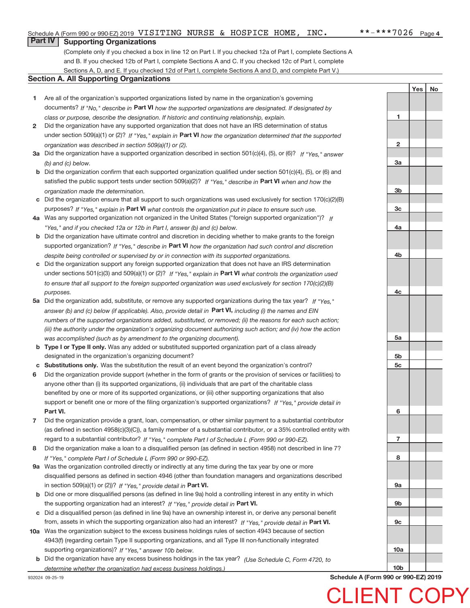**1**

**2**

**3a**

**3b**

**3c**

**4a**

**4b**

**4c**

**5a**

**5b 5c**

**6**

**7**

**8**

**9a**

**9b**

**9c**

Yes | No

## **Part IV Supporting Organizations**

(Complete only if you checked a box in line 12 on Part I. If you checked 12a of Part I, complete Sections A and B. If you checked 12b of Part I, complete Sections A and C. If you checked 12c of Part I, complete Sections A, D, and E. If you checked 12d of Part I, complete Sections A and D, and complete Part V.)

## **Section A. All Supporting Organizations**

- **1** Are all of the organization's supported organizations listed by name in the organization's governing documents? If "No," describe in Part VI how the supported organizations are designated. If designated by *class or purpose, describe the designation. If historic and continuing relationship, explain.*
- **2** Did the organization have any supported organization that does not have an IRS determination of status under section 509(a)(1) or (2)? If "Yes," explain in Part VI how the organization determined that the supported *organization was described in section 509(a)(1) or (2).*
- **3a** Did the organization have a supported organization described in section 501(c)(4), (5), or (6)? If "Yes," answer *(b) and (c) below.*
- **b** Did the organization confirm that each supported organization qualified under section 501(c)(4), (5), or (6) and satisfied the public support tests under section 509(a)(2)? If "Yes," describe in Part VI when and how the *organization made the determination.*
- **c** Did the organization ensure that all support to such organizations was used exclusively for section 170(c)(2)(B) purposes? If "Yes," explain in Part VI what controls the organization put in place to ensure such use.
- **4 a** *If* Was any supported organization not organized in the United States ("foreign supported organization")? *"Yes," and if you checked 12a or 12b in Part I, answer (b) and (c) below.*
- **b** Did the organization have ultimate control and discretion in deciding whether to make grants to the foreign supported organization? If "Yes," describe in Part VI how the organization had such control and discretion *despite being controlled or supervised by or in connection with its supported organizations.*
- **c** Did the organization support any foreign supported organization that does not have an IRS determination under sections 501(c)(3) and 509(a)(1) or (2)? If "Yes," explain in Part VI what controls the organization used *to ensure that all support to the foreign supported organization was used exclusively for section 170(c)(2)(B) purposes.*
- **5a** Did the organization add, substitute, or remove any supported organizations during the tax year? If "Yes," answer (b) and (c) below (if applicable). Also, provide detail in **Part VI,** including (i) the names and EIN *numbers of the supported organizations added, substituted, or removed; (ii) the reasons for each such action; (iii) the authority under the organization's organizing document authorizing such action; and (iv) how the action was accomplished (such as by amendment to the organizing document).*
- **b** Type I or Type II only. Was any added or substituted supported organization part of a class already designated in the organization's organizing document?
- **c Substitutions only.**  Was the substitution the result of an event beyond the organization's control?
- **6** Did the organization provide support (whether in the form of grants or the provision of services or facilities) to **Part VI.** *If "Yes," provide detail in* support or benefit one or more of the filing organization's supported organizations? anyone other than (i) its supported organizations, (ii) individuals that are part of the charitable class benefited by one or more of its supported organizations, or (iii) other supporting organizations that also
- **7** Did the organization provide a grant, loan, compensation, or other similar payment to a substantial contributor regard to a substantial contributor? If "Yes," complete Part I of Schedule L (Form 990 or 990-EZ). (as defined in section 4958(c)(3)(C)), a family member of a substantial contributor, or a 35% controlled entity with
- **8** Did the organization make a loan to a disqualified person (as defined in section 4958) not described in line 7? *If "Yes," complete Part I of Schedule L (Form 990 or 990-EZ).*
- **9 a** Was the organization controlled directly or indirectly at any time during the tax year by one or more in section 509(a)(1) or (2))? If "Yes," provide detail in Part VI. disqualified persons as defined in section 4946 (other than foundation managers and organizations described
- **b** the supporting organization had an interest? If "Yes," provide detail in Part VI. Did one or more disqualified persons (as defined in line 9a) hold a controlling interest in any entity in which
- **c** Did a disqualified person (as defined in line 9a) have an ownership interest in, or derive any personal benefit from, assets in which the supporting organization also had an interest? If "Yes," provide detail in Part VI.
- **10 a** Was the organization subject to the excess business holdings rules of section 4943 because of section supporting organizations)? If "Yes," answer 10b below. 4943(f) (regarding certain Type II supporting organizations, and all Type III non‐functionally integrated
	- **b** Did the organization have any excess business holdings in the tax year? (Use Schedule C, Form 4720, to *determine whether the organization had excess business holdings.)*

932024 09‐25‐19

**10b Schedule A (Form 990 or 990‐EZ) 2019**

CLIENT COPY

**10a**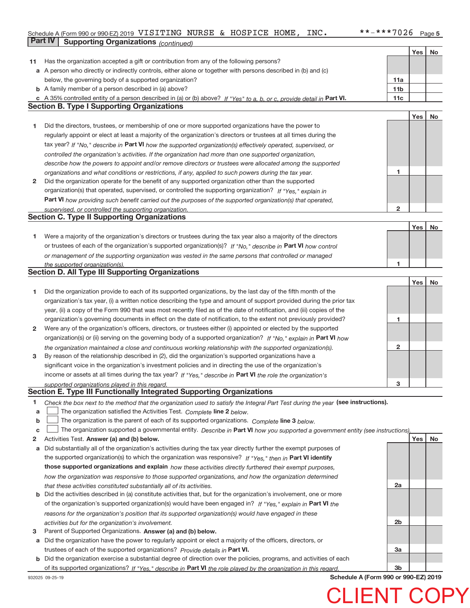## Schedule A (Form 990 or 990-EZ) 2019 <code>VISITING</code> <code>NURSE & HOSPICE HOME, INC. \*\*\*\*\*7026 <code>Page</code></code> **Part IV | Supporting Organizations** *(continued)*

|    |                                                                                                                                   |                 | Yes | No |
|----|-----------------------------------------------------------------------------------------------------------------------------------|-----------------|-----|----|
| 11 | Has the organization accepted a gift or contribution from any of the following persons?                                           |                 |     |    |
|    | a A person who directly or indirectly controls, either alone or together with persons described in (b) and (c)                    |                 |     |    |
|    | below, the governing body of a supported organization?                                                                            | 11a             |     |    |
|    | <b>b</b> A family member of a person described in (a) above?                                                                      | 11 <sub>b</sub> |     |    |
|    | c A 35% controlled entity of a person described in (a) or (b) above? If "Yes" to a, b, or c, provide detail in Part VI.           | 11c             |     |    |
|    | <b>Section B. Type I Supporting Organizations</b>                                                                                 |                 |     |    |
|    |                                                                                                                                   |                 | Yes | No |
| 1  | Did the directors, trustees, or membership of one or more supported organizations have the power to                               |                 |     |    |
|    | regularly appoint or elect at least a majority of the organization's directors or trustees at all times during the                |                 |     |    |
|    | tax year? If "No," describe in Part VI how the supported organization(s) effectively operated, supervised, or                     |                 |     |    |
|    | controlled the organization's activities. If the organization had more than one supported organization,                           |                 |     |    |
|    | describe how the powers to appoint and/or remove directors or trustees were allocated among the supported                         |                 |     |    |
|    | organizations and what conditions or restrictions, if any, applied to such powers during the tax year.                            | 1               |     |    |
| 2  | Did the organization operate for the benefit of any supported organization other than the supported                               |                 |     |    |
|    | organization(s) that operated, supervised, or controlled the supporting organization? If "Yes," explain in                        |                 |     |    |
|    | Part VI how providing such benefit carried out the purposes of the supported organization(s) that operated,                       |                 |     |    |
|    | supervised, or controlled the supporting organization.                                                                            | 2               |     |    |
|    | <b>Section C. Type II Supporting Organizations</b>                                                                                |                 |     |    |
|    |                                                                                                                                   |                 | Yes | No |
| 1  | Were a majority of the organization's directors or trustees during the tax year also a majority of the directors                  |                 |     |    |
|    | or trustees of each of the organization's supported organization(s)? If "No." describe in Part VI how control                     |                 |     |    |
|    | or management of the supporting organization was vested in the same persons that controlled or managed                            |                 |     |    |
|    | the supported organization(s).                                                                                                    | 1               |     |    |
|    | <b>Section D. All Type III Supporting Organizations</b>                                                                           |                 |     |    |
|    |                                                                                                                                   |                 | Yes | No |
| 1  | Did the organization provide to each of its supported organizations, by the last day of the fifth month of the                    |                 |     |    |
|    | organization's tax year, (i) a written notice describing the type and amount of support provided during the prior tax             |                 |     |    |
|    | year, (ii) a copy of the Form 990 that was most recently filed as of the date of notification, and (iii) copies of the            |                 |     |    |
|    | organization's governing documents in effect on the date of notification, to the extent not previously provided?                  | 1               |     |    |
| 2  | Were any of the organization's officers, directors, or trustees either (i) appointed or elected by the supported                  |                 |     |    |
|    | organization(s) or (ii) serving on the governing body of a supported organization? If "No," explain in Part VI how                |                 |     |    |
|    | the organization maintained a close and continuous working relationship with the supported organization(s).                       | $\mathbf{2}$    |     |    |
| 3  | By reason of the relationship described in (2), did the organization's supported organizations have a                             |                 |     |    |
|    | significant voice in the organization's investment policies and in directing the use of the organization's                        |                 |     |    |
|    | income or assets at all times during the tax year? If "Yes," describe in Part VI the role the organization's                      |                 |     |    |
|    | supported organizations played in this regard.                                                                                    | 3               |     |    |
|    | Section E. Type III Functionally Integrated Supporting Organizations                                                              |                 |     |    |
| 1  | Check the box next to the method that the organization used to satisfy the Integral Part Test during the year (see instructions). |                 |     |    |
| a  | The organization satisfied the Activities Test. Complete line 2 below.                                                            |                 |     |    |
| b  | The organization is the parent of each of its supported organizations. Complete line 3 below.                                     |                 |     |    |
| c  | The organization supported a governmental entity. Describe in Part VI how you supported a government entity (see instructions),   |                 |     |    |
| 2  | Activities Test. Answer (a) and (b) below.                                                                                        |                 | Yes | No |
| а  | Did substantially all of the organization's activities during the tax year directly further the exempt purposes of                |                 |     |    |
|    | the supported organization(s) to which the organization was responsive? If "Yes," then in Part VI identify                        |                 |     |    |
|    | those supported organizations and explain how these activities directly furthered their exempt purposes,                          |                 |     |    |
|    | how the organization was responsive to those supported organizations, and how the organization determined                         |                 |     |    |
|    | that these activities constituted substantially all of its activities.                                                            | 2a              |     |    |
| b  | Did the activities described in (a) constitute activities that, but for the organization's involvement, one or more               |                 |     |    |
|    | of the organization's supported organization(s) would have been engaged in? If "Yes," explain in Part VI the                      |                 |     |    |
|    | reasons for the organization's position that its supported organization(s) would have engaged in these                            |                 |     |    |
|    | activities but for the organization's involvement.                                                                                | 2 <sub>b</sub>  |     |    |
| 3  | Parent of Supported Organizations. Answer (a) and (b) below.                                                                      |                 |     |    |
| а  | Did the organization have the power to regularly appoint or elect a majority of the officers, directors, or                       |                 |     |    |
|    | trustees of each of the supported organizations? Provide details in Part VI.                                                      | 3a              |     |    |
| b  | Did the organization exercise a substantial degree of direction over the policies, programs, and activities of each               |                 |     |    |
|    | of its supported organizations? If "Yes." describe in Part VI the role played by the organization in this regard.                 | 3b              |     |    |

**Schedule A (Form 990 or 990‐EZ) 2019**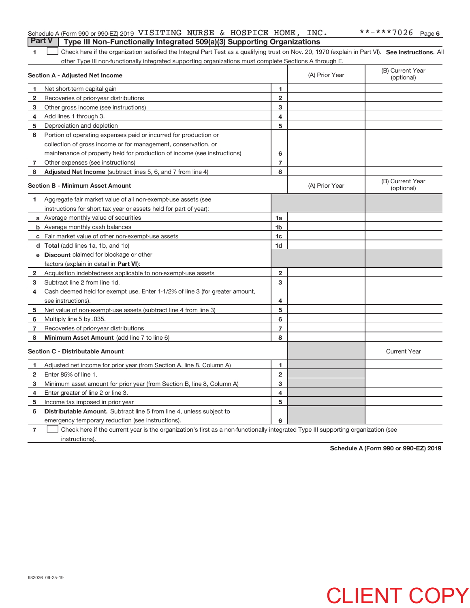## Schedule A (Form 990 or 990-EZ) 2019 <code>VISITING</code> <code>NURSE & HOSPICE HOME, INC. \*\*\*\*\*7026 <code>Page</code></code> **Part V** | Type III Non-Functionally Integrated 509(a)(3) Supporting Organizations

|  | Check here if the organization satisfied the Integral Part Test as a qualifying trust on Nov. 20, 1970 (explain in Part VI). See instructions. All |  |
|--|----------------------------------------------------------------------------------------------------------------------------------------------------|--|
|  | other Type III non-functionally integrated supporting organizations must complete Sections A through E.                                            |  |

|                | Section A - Adjusted Net Income                                                                                                   | (A) Prior Year | (B) Current Year<br>(optional) |                                |  |  |  |
|----------------|-----------------------------------------------------------------------------------------------------------------------------------|----------------|--------------------------------|--------------------------------|--|--|--|
| 1              | Net short-term capital gain                                                                                                       | 1              |                                |                                |  |  |  |
| $\mathbf{2}$   | Recoveries of prior-year distributions                                                                                            | $\mathbf{2}$   |                                |                                |  |  |  |
| з              | Other gross income (see instructions)                                                                                             | 3              |                                |                                |  |  |  |
| 4              | Add lines 1 through 3.                                                                                                            | 4              |                                |                                |  |  |  |
| 5              | Depreciation and depletion                                                                                                        | 5              |                                |                                |  |  |  |
| 6              | Portion of operating expenses paid or incurred for production or                                                                  |                |                                |                                |  |  |  |
|                | collection of gross income or for management, conservation, or                                                                    |                |                                |                                |  |  |  |
|                | maintenance of property held for production of income (see instructions)                                                          | 6              |                                |                                |  |  |  |
| $\overline{7}$ | Other expenses (see instructions)                                                                                                 | $\overline{7}$ |                                |                                |  |  |  |
| 8              | Adjusted Net Income (subtract lines 5, 6, and 7 from line 4)                                                                      | 8              |                                |                                |  |  |  |
|                | <b>Section B - Minimum Asset Amount</b>                                                                                           |                | (A) Prior Year                 | (B) Current Year<br>(optional) |  |  |  |
| 1.             | Aggregate fair market value of all non-exempt-use assets (see                                                                     |                |                                |                                |  |  |  |
|                | instructions for short tax year or assets held for part of year):                                                                 |                |                                |                                |  |  |  |
|                | <b>a</b> Average monthly value of securities                                                                                      | 1a             |                                |                                |  |  |  |
|                | <b>b</b> Average monthly cash balances                                                                                            | 1 <sub>b</sub> |                                |                                |  |  |  |
|                | c Fair market value of other non-exempt-use assets                                                                                | 1c             |                                |                                |  |  |  |
|                | d Total (add lines 1a, 1b, and 1c)                                                                                                | 1d             |                                |                                |  |  |  |
|                | e Discount claimed for blockage or other                                                                                          |                |                                |                                |  |  |  |
|                | factors (explain in detail in <b>Part VI</b> ):                                                                                   |                |                                |                                |  |  |  |
| 2              | Acquisition indebtedness applicable to non-exempt-use assets                                                                      | $\mathbf{2}$   |                                |                                |  |  |  |
| 3              | Subtract line 2 from line 1d.                                                                                                     | 3              |                                |                                |  |  |  |
| 4              | Cash deemed held for exempt use. Enter 1-1/2% of line 3 (for greater amount,                                                      |                |                                |                                |  |  |  |
|                | see instructions).                                                                                                                | 4              |                                |                                |  |  |  |
| 5              | Net value of non-exempt-use assets (subtract line 4 from line 3)                                                                  | 5              |                                |                                |  |  |  |
| 6              | Multiply line 5 by .035.                                                                                                          | 6              |                                |                                |  |  |  |
| 7              | Recoveries of prior-year distributions                                                                                            | 7              |                                |                                |  |  |  |
| 8              | Minimum Asset Amount (add line 7 to line 6)                                                                                       | 8              |                                |                                |  |  |  |
|                | <b>Section C - Distributable Amount</b>                                                                                           |                |                                | <b>Current Year</b>            |  |  |  |
| 1              | Adjusted net income for prior year (from Section A, line 8, Column A)                                                             | 1              |                                |                                |  |  |  |
| 2              | Enter 85% of line 1.                                                                                                              | $\overline{2}$ |                                |                                |  |  |  |
| з              | Minimum asset amount for prior year (from Section B, line 8, Column A)                                                            | 3              |                                |                                |  |  |  |
| 4              | Enter greater of line 2 or line 3.                                                                                                | 4              |                                |                                |  |  |  |
| 5              | Income tax imposed in prior year                                                                                                  | 5              |                                |                                |  |  |  |
| 6              | <b>Distributable Amount.</b> Subtract line 5 from line 4, unless subject to                                                       |                |                                |                                |  |  |  |
|                | emergency temporary reduction (see instructions).                                                                                 | 6              |                                |                                |  |  |  |
| $\overline{7}$ | Check here if the current year is the organization's first as a non-functionally integrated Type III supporting organization (see |                |                                |                                |  |  |  |

instructions).

**Schedule A (Form 990 or 990‐EZ) 2019**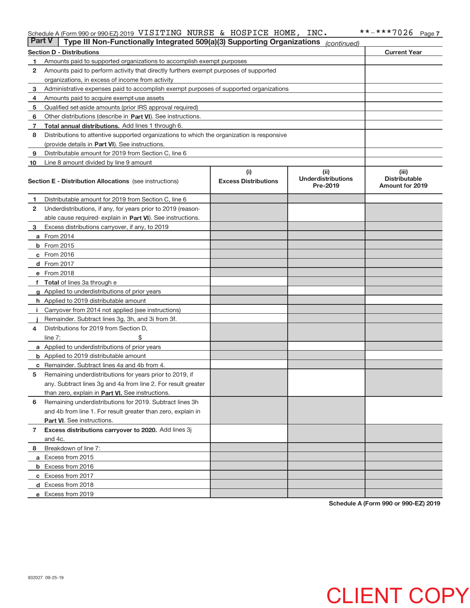### Schedule A (Form 990 or 990‐EZ) 2019 V<code>LSITING </code> <code>NURSE & HOSPICE HOME, INC 。 \*\*-\*\*\*/U26 Page</code> VISITING NURSE & HOSPICE HOME, INC. \*\*‐\*\*\*7026

| <b>Part V</b> | Type III Non-Functionally Integrated 509(a)(3) Supporting Organizations                    |                             | (continued)                           |                                                |  |  |  |
|---------------|--------------------------------------------------------------------------------------------|-----------------------------|---------------------------------------|------------------------------------------------|--|--|--|
|               | <b>Current Year</b><br><b>Section D - Distributions</b>                                    |                             |                                       |                                                |  |  |  |
| 1             | Amounts paid to supported organizations to accomplish exempt purposes                      |                             |                                       |                                                |  |  |  |
| 2             | Amounts paid to perform activity that directly furthers exempt purposes of supported       |                             |                                       |                                                |  |  |  |
|               | organizations, in excess of income from activity                                           |                             |                                       |                                                |  |  |  |
| 3             | Administrative expenses paid to accomplish exempt purposes of supported organizations      |                             |                                       |                                                |  |  |  |
| 4             | Amounts paid to acquire exempt-use assets                                                  |                             |                                       |                                                |  |  |  |
| 5             | Qualified set-aside amounts (prior IRS approval required)                                  |                             |                                       |                                                |  |  |  |
| 6             | Other distributions (describe in Part VI). See instructions.                               |                             |                                       |                                                |  |  |  |
| 7             | Total annual distributions. Add lines 1 through 6.                                         |                             |                                       |                                                |  |  |  |
| 8             | Distributions to attentive supported organizations to which the organization is responsive |                             |                                       |                                                |  |  |  |
|               | (provide details in Part VI). See instructions.                                            |                             |                                       |                                                |  |  |  |
| 9             | Distributable amount for 2019 from Section C, line 6                                       |                             |                                       |                                                |  |  |  |
| 10            | Line 8 amount divided by line 9 amount                                                     |                             |                                       |                                                |  |  |  |
|               |                                                                                            | (i)                         | (iii)                                 | (iii)                                          |  |  |  |
|               | <b>Section E - Distribution Allocations</b> (see instructions)                             | <b>Excess Distributions</b> | <b>Underdistributions</b><br>Pre-2019 | <b>Distributable</b><br><b>Amount for 2019</b> |  |  |  |
| 1.            | Distributable amount for 2019 from Section C, line 6                                       |                             |                                       |                                                |  |  |  |
| 2             | Underdistributions, if any, for years prior to 2019 (reason-                               |                             |                                       |                                                |  |  |  |
|               | able cause required-explain in Part VI). See instructions.                                 |                             |                                       |                                                |  |  |  |
| 3             | Excess distributions carryover, if any, to 2019                                            |                             |                                       |                                                |  |  |  |
|               | a From 2014                                                                                |                             |                                       |                                                |  |  |  |
|               | <b>b</b> From $2015$                                                                       |                             |                                       |                                                |  |  |  |
|               | c From 2016                                                                                |                             |                                       |                                                |  |  |  |
|               | d From 2017                                                                                |                             |                                       |                                                |  |  |  |
|               | e From 2018                                                                                |                             |                                       |                                                |  |  |  |
|               | f Total of lines 3a through e                                                              |                             |                                       |                                                |  |  |  |
|               | <b>g</b> Applied to underdistributions of prior years                                      |                             |                                       |                                                |  |  |  |
|               | <b>h</b> Applied to 2019 distributable amount                                              |                             |                                       |                                                |  |  |  |
| Ť.            | Carryover from 2014 not applied (see instructions)                                         |                             |                                       |                                                |  |  |  |
|               | Remainder. Subtract lines 3g, 3h, and 3i from 3f.                                          |                             |                                       |                                                |  |  |  |
| 4             | Distributions for 2019 from Section D,                                                     |                             |                                       |                                                |  |  |  |
|               | line $7:$                                                                                  |                             |                                       |                                                |  |  |  |
|               | <b>a</b> Applied to underdistributions of prior years                                      |                             |                                       |                                                |  |  |  |
|               | <b>b</b> Applied to 2019 distributable amount                                              |                             |                                       |                                                |  |  |  |
| С             | Remainder. Subtract lines 4a and 4b from 4.                                                |                             |                                       |                                                |  |  |  |
| 5             | Remaining underdistributions for years prior to 2019, if                                   |                             |                                       |                                                |  |  |  |
|               | any. Subtract lines 3g and 4a from line 2. For result greater                              |                             |                                       |                                                |  |  |  |
|               | than zero, explain in Part VI. See instructions.                                           |                             |                                       |                                                |  |  |  |
| 6             | Remaining underdistributions for 2019. Subtract lines 3h                                   |                             |                                       |                                                |  |  |  |
|               | and 4b from line 1. For result greater than zero, explain in                               |                             |                                       |                                                |  |  |  |
|               | Part VI. See instructions.                                                                 |                             |                                       |                                                |  |  |  |
| $\mathbf{7}$  | Excess distributions carryover to 2020. Add lines 3j                                       |                             |                                       |                                                |  |  |  |
|               | and 4c.                                                                                    |                             |                                       |                                                |  |  |  |
| 8             | Breakdown of line 7:                                                                       |                             |                                       |                                                |  |  |  |
|               | a Excess from 2015                                                                         |                             |                                       |                                                |  |  |  |
|               | <b>b</b> Excess from 2016                                                                  |                             |                                       |                                                |  |  |  |
|               | c Excess from 2017                                                                         |                             |                                       |                                                |  |  |  |
|               | d Excess from 2018                                                                         |                             |                                       |                                                |  |  |  |
|               | e Excess from 2019                                                                         |                             |                                       |                                                |  |  |  |

**Schedule A (Form 990 or 990‐EZ) 2019**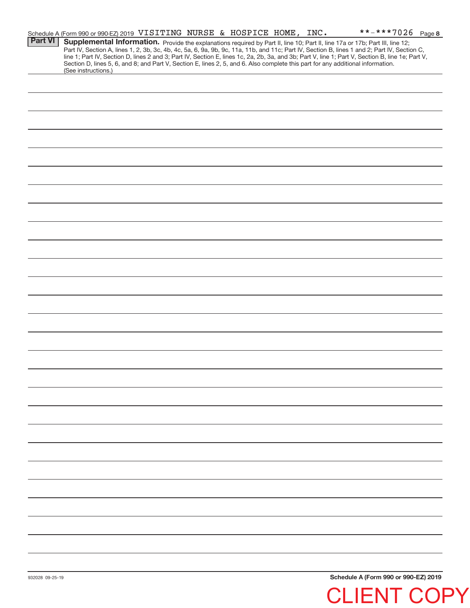|                 | Schedule A (Form 990 or 990-EZ) 2019 VISITING NURSE & HOSPICE HOME, INC.                                                                                                                                                                                                            |  |  |  |  |  | **-***7026 Page 8                    |  |
|-----------------|-------------------------------------------------------------------------------------------------------------------------------------------------------------------------------------------------------------------------------------------------------------------------------------|--|--|--|--|--|--------------------------------------|--|
| <b>Part VI</b>  | Supplemental Information. Provide the explanations required by Part II, line 10; Part II, line 17a or 17b; Part III, line 12;                                                                                                                                                       |  |  |  |  |  |                                      |  |
|                 | Part IV, Section A, lines 1, 2, 3b, 3c, 4b, 4c, 5a, 6, 9a, 9b, 9c, 11a, 11b, and 11c; Part IV, Section B, lines 1 and 2; Part IV, Section C,                                                                                                                                        |  |  |  |  |  |                                      |  |
|                 | line 1; Part IV, Section D, lines 2 and 3; Part IV, Section E, lines 1c, 2a, 2b, 3a, and 3b; Part V, line 1; Part V, Section B, line 1e; Part V,<br>Section D, lines 5, 6, and 8; and Part V, Section E, lines 2, 5, and 6. Also complete this part for any additional information. |  |  |  |  |  |                                      |  |
|                 | (See instructions.)                                                                                                                                                                                                                                                                 |  |  |  |  |  |                                      |  |
|                 |                                                                                                                                                                                                                                                                                     |  |  |  |  |  |                                      |  |
|                 |                                                                                                                                                                                                                                                                                     |  |  |  |  |  |                                      |  |
|                 |                                                                                                                                                                                                                                                                                     |  |  |  |  |  |                                      |  |
|                 |                                                                                                                                                                                                                                                                                     |  |  |  |  |  |                                      |  |
|                 |                                                                                                                                                                                                                                                                                     |  |  |  |  |  |                                      |  |
|                 |                                                                                                                                                                                                                                                                                     |  |  |  |  |  |                                      |  |
|                 |                                                                                                                                                                                                                                                                                     |  |  |  |  |  |                                      |  |
|                 |                                                                                                                                                                                                                                                                                     |  |  |  |  |  |                                      |  |
|                 |                                                                                                                                                                                                                                                                                     |  |  |  |  |  |                                      |  |
|                 |                                                                                                                                                                                                                                                                                     |  |  |  |  |  |                                      |  |
|                 |                                                                                                                                                                                                                                                                                     |  |  |  |  |  |                                      |  |
|                 |                                                                                                                                                                                                                                                                                     |  |  |  |  |  |                                      |  |
|                 |                                                                                                                                                                                                                                                                                     |  |  |  |  |  |                                      |  |
|                 |                                                                                                                                                                                                                                                                                     |  |  |  |  |  |                                      |  |
|                 |                                                                                                                                                                                                                                                                                     |  |  |  |  |  |                                      |  |
|                 |                                                                                                                                                                                                                                                                                     |  |  |  |  |  |                                      |  |
|                 |                                                                                                                                                                                                                                                                                     |  |  |  |  |  |                                      |  |
|                 |                                                                                                                                                                                                                                                                                     |  |  |  |  |  |                                      |  |
|                 |                                                                                                                                                                                                                                                                                     |  |  |  |  |  |                                      |  |
|                 |                                                                                                                                                                                                                                                                                     |  |  |  |  |  |                                      |  |
|                 |                                                                                                                                                                                                                                                                                     |  |  |  |  |  |                                      |  |
|                 |                                                                                                                                                                                                                                                                                     |  |  |  |  |  |                                      |  |
|                 |                                                                                                                                                                                                                                                                                     |  |  |  |  |  |                                      |  |
|                 |                                                                                                                                                                                                                                                                                     |  |  |  |  |  |                                      |  |
|                 |                                                                                                                                                                                                                                                                                     |  |  |  |  |  |                                      |  |
|                 |                                                                                                                                                                                                                                                                                     |  |  |  |  |  |                                      |  |
|                 |                                                                                                                                                                                                                                                                                     |  |  |  |  |  |                                      |  |
|                 |                                                                                                                                                                                                                                                                                     |  |  |  |  |  |                                      |  |
|                 |                                                                                                                                                                                                                                                                                     |  |  |  |  |  |                                      |  |
|                 |                                                                                                                                                                                                                                                                                     |  |  |  |  |  |                                      |  |
|                 |                                                                                                                                                                                                                                                                                     |  |  |  |  |  |                                      |  |
|                 |                                                                                                                                                                                                                                                                                     |  |  |  |  |  |                                      |  |
|                 |                                                                                                                                                                                                                                                                                     |  |  |  |  |  |                                      |  |
|                 |                                                                                                                                                                                                                                                                                     |  |  |  |  |  |                                      |  |
|                 |                                                                                                                                                                                                                                                                                     |  |  |  |  |  |                                      |  |
|                 |                                                                                                                                                                                                                                                                                     |  |  |  |  |  |                                      |  |
|                 |                                                                                                                                                                                                                                                                                     |  |  |  |  |  |                                      |  |
|                 |                                                                                                                                                                                                                                                                                     |  |  |  |  |  |                                      |  |
|                 |                                                                                                                                                                                                                                                                                     |  |  |  |  |  |                                      |  |
|                 |                                                                                                                                                                                                                                                                                     |  |  |  |  |  |                                      |  |
|                 |                                                                                                                                                                                                                                                                                     |  |  |  |  |  |                                      |  |
|                 |                                                                                                                                                                                                                                                                                     |  |  |  |  |  |                                      |  |
|                 |                                                                                                                                                                                                                                                                                     |  |  |  |  |  |                                      |  |
|                 |                                                                                                                                                                                                                                                                                     |  |  |  |  |  |                                      |  |
|                 |                                                                                                                                                                                                                                                                                     |  |  |  |  |  |                                      |  |
|                 |                                                                                                                                                                                                                                                                                     |  |  |  |  |  |                                      |  |
|                 |                                                                                                                                                                                                                                                                                     |  |  |  |  |  |                                      |  |
|                 |                                                                                                                                                                                                                                                                                     |  |  |  |  |  |                                      |  |
|                 |                                                                                                                                                                                                                                                                                     |  |  |  |  |  |                                      |  |
|                 |                                                                                                                                                                                                                                                                                     |  |  |  |  |  |                                      |  |
|                 |                                                                                                                                                                                                                                                                                     |  |  |  |  |  | Schedule A (Form 990 or 990-F7) 2019 |  |
| 032028 00.25.10 |                                                                                                                                                                                                                                                                                     |  |  |  |  |  |                                      |  |

**Schedule A (Form 990 or 990‐EZ) 2019** CLIENT COPY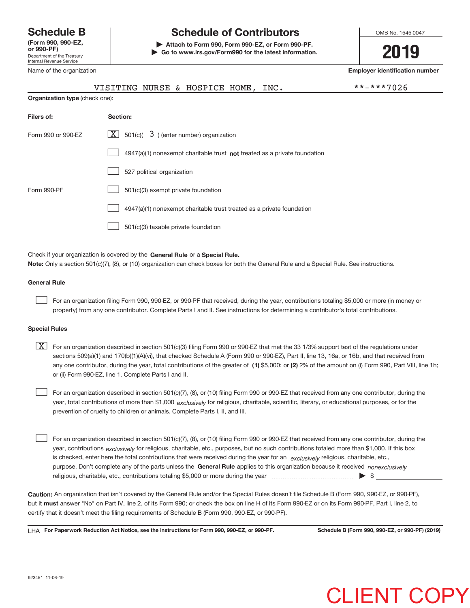Department of the Treasury Internal Revenue Service **(Form 990, 990‐EZ,** Name of the organization

## **Schedule B Schedule of Contributors**

**or 990‐PF) | Attach to Form 990, Form 990‐EZ, or Form 990‐PF. | Go to www.irs.gov/Form990 for the latest information.** OMB No. 1545-0047

**2019**

**Employer identification number**

|                    | VISITING NURSE & HOSPICE HOME, INC.                                                | **-***7026 |  |  |  |  |  |  |
|--------------------|------------------------------------------------------------------------------------|------------|--|--|--|--|--|--|
|                    | <b>Organization type (check one):</b>                                              |            |  |  |  |  |  |  |
| Filers of:         | Section:                                                                           |            |  |  |  |  |  |  |
| Form 990 or 990-EZ | $\lfloor x \rfloor$ 501(c)( 3) (enter number) organization                         |            |  |  |  |  |  |  |
|                    | $4947(a)(1)$ nonexempt charitable trust <b>not</b> treated as a private foundation |            |  |  |  |  |  |  |
|                    | 527 political organization                                                         |            |  |  |  |  |  |  |
| Form 990-PF        | 501(c)(3) exempt private foundation                                                |            |  |  |  |  |  |  |
|                    | 4947(a)(1) nonexempt charitable trust treated as a private foundation              |            |  |  |  |  |  |  |
|                    | 501(c)(3) taxable private foundation                                               |            |  |  |  |  |  |  |
|                    |                                                                                    |            |  |  |  |  |  |  |

Check if your organization is covered by the General Rule or a Special Rule. **Note:**  Only a section 501(c)(7), (8), or (10) organization can check boxes for both the General Rule and a Special Rule. See instructions.

## **General Rule**

 $\begin{array}{c} \hline \end{array}$ 

For an organization filing Form 990, 990‐EZ, or 990‐PF that received, during the year, contributions totaling \$5,000 or more (in money or property) from any one contributor. Complete Parts I and II. See instructions for determining a contributor's total contributions.

### **Special Rules**

any one contributor, during the year, total contributions of the greater of  $\,$  (1) \$5,000; or (2) 2% of the amount on (i) Form 990, Part VIII, line 1h;  $\boxed{\text{X}}$  For an organization described in section 501(c)(3) filing Form 990 or 990-EZ that met the 33 1/3% support test of the regulations under sections 509(a)(1) and 170(b)(1)(A)(vi), that checked Schedule A (Form 990 or 990‐EZ), Part II, line 13, 16a, or 16b, and that received from or (ii) Form 990‐EZ, line 1. Complete Parts I and II.

year, total contributions of more than \$1,000 *exclusively* for religious, charitable, scientific, literary, or educational purposes, or for the For an organization described in section 501(c)(7), (8), or (10) filing Form 990 or 990‐EZ that received from any one contributor, during the prevention of cruelty to children or animals. Complete Parts I, II, and III.  $\begin{array}{c} \hline \end{array}$ 

purpose. Don't complete any of the parts unless the General Rule applies to this organization because it received nonexclusively year, contributions <sub>exclusively</sub> for religious, charitable, etc., purposes, but no such contributions totaled more than \$1,000. If this box is checked, enter here the total contributions that were received during the year for an *exclusively* religious, charitable, etc., For an organization described in section 501(c)(7), (8), or (10) filing Form 990 or 990‐EZ that received from any one contributor, during the religious, charitable, etc., contributions totaling \$5,000 or more during the year  $\Box$ — $\Box$   $\Box$  $\begin{array}{c} \hline \end{array}$ 

**Caution:**  An organization that isn't covered by the General Rule and/or the Special Rules doesn't file Schedule B (Form 990, 990‐EZ, or 990‐PF),  **must** but it answer "No" on Part IV, line 2, of its Form 990; or check the box on line H of its Form 990‐EZ or on its Form 990‐PF, Part I, line 2, to certify that it doesn't meet the filing requirements of Schedule B (Form 990, 990‐EZ, or 990‐PF).

**For Paperwork Reduction Act Notice, see the instructions for Form 990, 990-EZ, or 990-PF. Schedule B (Form 990, 990-EZ, or 990-PF) (2019)** LHA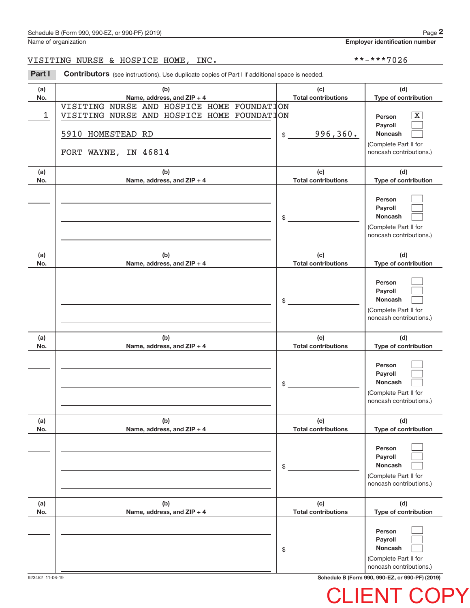Name of organization

**Employer identification number**

VISITING NURSE & HOSPICE HOME, INC. \*\*-\*\*\*7026

**Part I** Contributors (see instructions). Use duplicate copies of Part I if additional space is needed.

| (a)<br>No. | (b)<br>Name, address, and ZIP + 4          | (c)<br><b>Total contributions</b> | (d)<br>Type of contribution                      |
|------------|--------------------------------------------|-----------------------------------|--------------------------------------------------|
|            | VISITING NURSE AND HOSPICE HOME FOUNDATION |                                   |                                                  |
| 1          | VISITING NURSE AND HOSPICE HOME FOUNDATION |                                   | $\overline{\text{X}}$<br>Person                  |
|            |                                            |                                   | Payroll                                          |
|            | 5910 HOMESTEAD RD                          | 996,360.<br>$\frac{1}{2}$         | <b>Noncash</b>                                   |
|            |                                            |                                   | (Complete Part II for                            |
|            | FORT WAYNE, IN 46814                       |                                   | noncash contributions.)                          |
|            |                                            |                                   |                                                  |
| (a)<br>No. | (b)<br>Name, address, and ZIP + 4          | (c)<br><b>Total contributions</b> | (d)<br>Type of contribution                      |
|            |                                            |                                   |                                                  |
|            |                                            |                                   | Person                                           |
|            |                                            |                                   | Payroll                                          |
|            |                                            | $\frac{1}{2}$                     | <b>Noncash</b>                                   |
|            |                                            |                                   | (Complete Part II for                            |
|            |                                            |                                   | noncash contributions.)                          |
| (a)        | (b)                                        | (c)                               | (d)                                              |
| No.        | Name, address, and ZIP + 4                 | <b>Total contributions</b>        | Type of contribution                             |
|            |                                            |                                   |                                                  |
|            |                                            |                                   | Person                                           |
|            |                                            |                                   | Payroll                                          |
|            |                                            | $\frac{1}{2}$                     | <b>Noncash</b>                                   |
|            |                                            |                                   | (Complete Part II for<br>noncash contributions.) |
|            |                                            |                                   |                                                  |
| (a)        | (b)                                        | (c)                               | (d)                                              |
| No.        | Name, address, and ZIP + 4                 | <b>Total contributions</b>        | Type of contribution                             |
|            |                                            |                                   |                                                  |
|            |                                            |                                   | Person<br>Payroll                                |
|            |                                            | $\frac{1}{2}$                     | <b>Noncash</b>                                   |
|            |                                            |                                   | (Complete Part II for                            |
|            |                                            |                                   | noncash contributions.)                          |
|            |                                            |                                   |                                                  |
| (a)        | (b)                                        | (c)                               | (d)                                              |
| No.        | Name, address, and ZIP + 4                 | <b>Total contributions</b>        | Type of contribution                             |
|            |                                            |                                   | Person                                           |
|            |                                            |                                   | Payroll                                          |
|            |                                            | \$                                | Noncash                                          |
|            |                                            |                                   | (Complete Part II for                            |
|            |                                            |                                   | noncash contributions.)                          |
| (a)        | (b)                                        | (c)                               | (d)                                              |
| No.        | Name, address, and ZIP + 4                 | <b>Total contributions</b>        | Type of contribution                             |
|            |                                            |                                   |                                                  |
|            |                                            |                                   | Person                                           |
|            |                                            |                                   | Payroll<br>Noncash                               |
|            |                                            | \$                                | (Complete Part II for                            |
|            |                                            |                                   | noncash contributions.)                          |

923452 11‐06‐19 **Schedule B (Form 990, 990-EZ, or 990-PF) (2019)**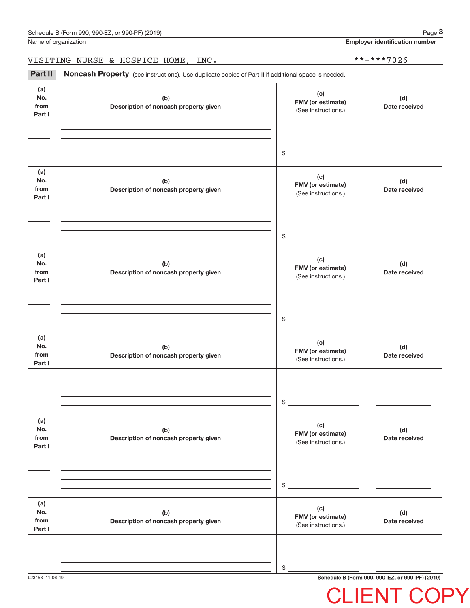Name of organization

**Employer identification number**

## VISITING NURSE & HOSPICE HOME, INC. \*\*-\*\*\*7026

Part II Noncash Property (see instructions). Use duplicate copies of Part II if additional space is needed.

| (a)<br>No.<br>from<br>Part I | (b)<br>Description of noncash property given | (c)<br>FMV (or estimate)<br>(See instructions.) | (d)<br>Date received |
|------------------------------|----------------------------------------------|-------------------------------------------------|----------------------|
|                              |                                              |                                                 |                      |
|                              |                                              | $\frac{1}{2}$                                   |                      |
| (a)<br>No.<br>from<br>Part I | (b)<br>Description of noncash property given | (c)<br>FMV (or estimate)<br>(See instructions.) | (d)<br>Date received |
|                              |                                              |                                                 |                      |
|                              |                                              | $\frac{1}{2}$                                   |                      |
| (a)<br>No.<br>from<br>Part I | (b)<br>Description of noncash property given | (c)<br>FMV (or estimate)<br>(See instructions.) | (d)<br>Date received |
|                              |                                              |                                                 |                      |
|                              |                                              | $\frac{1}{2}$                                   |                      |
| (a)<br>No.<br>from<br>Part I | (b)<br>Description of noncash property given | (c)<br>FMV (or estimate)<br>(See instructions.) | (d)<br>Date received |
|                              |                                              |                                                 |                      |
|                              |                                              | $\$$                                            |                      |
| (a)<br>No.<br>from<br>Part I | (b)<br>Description of noncash property given | (c)<br>FMV (or estimate)<br>(See instructions.) | (d)<br>Date received |
|                              |                                              |                                                 |                      |
|                              |                                              | $\$$                                            |                      |
| (a)<br>No.<br>from<br>Part I | (b)<br>Description of noncash property given | (c)<br>FMV (or estimate)<br>(See instructions.) | (d)<br>Date received |
|                              |                                              |                                                 |                      |
|                              |                                              | \$                                              |                      |
|                              |                                              |                                                 |                      |

923453 11‐06‐19 **Schedule B (Form 990, 990-EZ, or 990-PF) (2019)**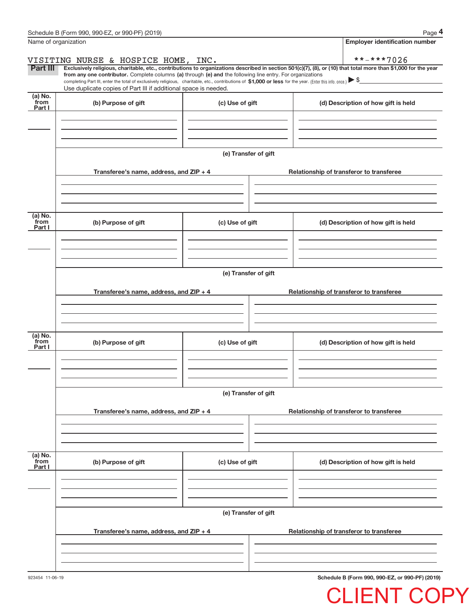|                             | Schedule B (Form 990, 990-EZ, or 990-PF) (2019)                                                                                                                                                                                                                                                 |                      | Page 4                                                                                                                                                         |  |  |  |  |  |
|-----------------------------|-------------------------------------------------------------------------------------------------------------------------------------------------------------------------------------------------------------------------------------------------------------------------------------------------|----------------------|----------------------------------------------------------------------------------------------------------------------------------------------------------------|--|--|--|--|--|
|                             | Name of organization                                                                                                                                                                                                                                                                            |                      | <b>Employer identification number</b>                                                                                                                          |  |  |  |  |  |
|                             | VISITING NURSE & HOSPICE HOME, INC.                                                                                                                                                                                                                                                             |                      | **-***7026                                                                                                                                                     |  |  |  |  |  |
| <b>Part III</b>             | from any one contributor. Complete columns (a) through (e) and the following line entry. For organizations<br>completing Part III, enter the total of exclusively religious, charitable, etc., contributions of \$1,000 or less for the year. (Enter this info. once.) $\blacktriangleright$ \$ |                      | Exclusively religious, charitable, etc., contributions to organizations described in section 501(c)(7), (8), or (10) that total more than \$1,000 for the year |  |  |  |  |  |
| (a) No.                     | Use duplicate copies of Part III if additional space is needed.                                                                                                                                                                                                                                 |                      |                                                                                                                                                                |  |  |  |  |  |
| from<br>Part I              | (b) Purpose of gift                                                                                                                                                                                                                                                                             | (c) Use of gift      | (d) Description of how gift is held                                                                                                                            |  |  |  |  |  |
|                             |                                                                                                                                                                                                                                                                                                 | (e) Transfer of gift |                                                                                                                                                                |  |  |  |  |  |
|                             | Transferee's name, address, and ZIP + 4                                                                                                                                                                                                                                                         |                      | Relationship of transferor to transferee                                                                                                                       |  |  |  |  |  |
| $(a)$ No.<br>from<br>Part I | (b) Purpose of gift                                                                                                                                                                                                                                                                             | (c) Use of gift      | (d) Description of how gift is held                                                                                                                            |  |  |  |  |  |
|                             | (e) Transfer of gift                                                                                                                                                                                                                                                                            |                      |                                                                                                                                                                |  |  |  |  |  |
|                             | Transferee's name, address, and $ZIP + 4$                                                                                                                                                                                                                                                       |                      | Relationship of transferor to transferee                                                                                                                       |  |  |  |  |  |
| (a) No.<br>from<br>Part I   | (b) Purpose of gift                                                                                                                                                                                                                                                                             | (c) Use of gift      | (d) Description of how gift is held                                                                                                                            |  |  |  |  |  |
|                             |                                                                                                                                                                                                                                                                                                 |                      |                                                                                                                                                                |  |  |  |  |  |
|                             | (e) Transfer of gift                                                                                                                                                                                                                                                                            |                      |                                                                                                                                                                |  |  |  |  |  |
|                             | Transferee's name, address, and ZIP + 4                                                                                                                                                                                                                                                         |                      | Relationship of transferor to transferee                                                                                                                       |  |  |  |  |  |
| (a) No.<br>from<br>Part I   | (b) Purpose of gift                                                                                                                                                                                                                                                                             | (c) Use of gift      | (d) Description of how gift is held                                                                                                                            |  |  |  |  |  |
|                             |                                                                                                                                                                                                                                                                                                 | (e) Transfer of gift |                                                                                                                                                                |  |  |  |  |  |
|                             | Transferee's name, address, and ZIP + 4                                                                                                                                                                                                                                                         |                      | Relationship of transferor to transferee                                                                                                                       |  |  |  |  |  |
|                             |                                                                                                                                                                                                                                                                                                 |                      |                                                                                                                                                                |  |  |  |  |  |

923454 11‐06‐19

**Schedule B (Form 990, 990-EZ, or 990-PF) (2019)**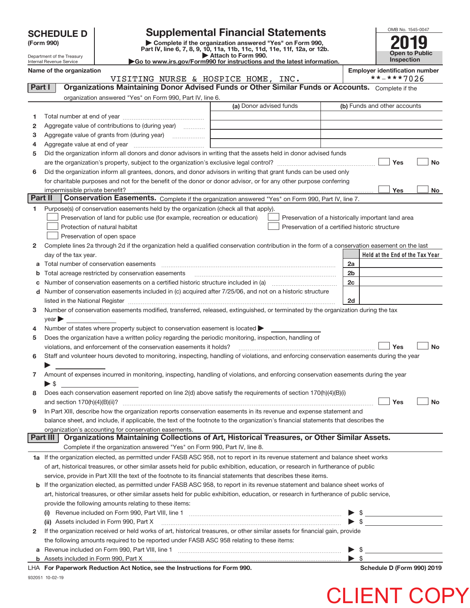**(Form 990) | Complete if the organization answered "Yes" on Form 990, Part IV, line 6, 7, 8, 9, 10, 11a, 11b, 11c, 11d, 11e, 11f, 12a, or 12b. SCHEDULE D Supplemental Financial Statements**<br> **Form 990 Complete if the organization answered "Yes" on Form 990, <b>2019**<br>
Part IV, line 6, 7, 8, 9, 10, 11a, 11b, 11c, 11d, 11e, 11f, 12a, or 12b.



Department of the Treasury Internal Revenue Service

**| Attach to Form 990. |Go to www.irs.gov/Form990 for instructions and the latest information.**

**Name of the organization Employer identification number**

|          | VISITING NURSE & HOSPICE HOME, INC.                                                                                                                                                                                           |                         | **-***7026                                         |
|----------|-------------------------------------------------------------------------------------------------------------------------------------------------------------------------------------------------------------------------------|-------------------------|----------------------------------------------------|
| Part I   | Organizations Maintaining Donor Advised Funds or Other Similar Funds or Accounts. Complete if the                                                                                                                             |                         |                                                    |
|          | organization answered "Yes" on Form 990, Part IV, line 6.                                                                                                                                                                     |                         |                                                    |
|          |                                                                                                                                                                                                                               | (a) Donor advised funds | (b) Funds and other accounts                       |
| 1        |                                                                                                                                                                                                                               |                         |                                                    |
| 2        | Aggregate value of contributions to (during year)                                                                                                                                                                             |                         |                                                    |
| з        |                                                                                                                                                                                                                               |                         |                                                    |
| 4        |                                                                                                                                                                                                                               |                         |                                                    |
| 5        | Did the organization inform all donors and donor advisors in writing that the assets held in donor advised funds                                                                                                              |                         |                                                    |
|          |                                                                                                                                                                                                                               |                         | Yes<br><b>No</b>                                   |
|          |                                                                                                                                                                                                                               |                         |                                                    |
| 6        | Did the organization inform all grantees, donors, and donor advisors in writing that grant funds can be used only                                                                                                             |                         |                                                    |
|          | for charitable purposes and not for the benefit of the donor or donor advisor, or for any other purpose conferring                                                                                                            |                         |                                                    |
| Part II  | impermissible private benefit?<br>Conservation Easements. Complete if the organization answered "Yes" on Form 990, Part IV, line 7.                                                                                           |                         | Yes<br>No                                          |
|          |                                                                                                                                                                                                                               |                         |                                                    |
| 1.       | Purpose(s) of conservation easements held by the organization (check all that apply).                                                                                                                                         |                         |                                                    |
|          | Preservation of land for public use (for example, recreation or education)                                                                                                                                                    |                         | Preservation of a historically important land area |
|          | Protection of natural habitat                                                                                                                                                                                                 |                         | Preservation of a certified historic structure     |
|          | Preservation of open space                                                                                                                                                                                                    |                         |                                                    |
| 2        | Complete lines 2a through 2d if the organization held a qualified conservation contribution in the form of a conservation easement on the last                                                                                |                         |                                                    |
|          | day of the tax year.                                                                                                                                                                                                          |                         | Held at the End of the Tax Year                    |
|          |                                                                                                                                                                                                                               |                         | 2a                                                 |
|          | <b>b</b> Total acreage restricted by conservation easements                                                                                                                                                                   |                         | 2 <sub>b</sub>                                     |
|          |                                                                                                                                                                                                                               |                         | 2c                                                 |
|          | d Number of conservation easements included in (c) acquired after 7/25/06, and not on a historic structure                                                                                                                    |                         |                                                    |
|          | listed in the National Register [11, 1200] [12] The National Register [11, 1200] [12] The National Register [11, 1200] [12] The National Register [11, 1200] [12] The National Register [11, 1200] [12] The National Register |                         | 2d                                                 |
| 3        | Number of conservation easements modified, transferred, released, extinguished, or terminated by the organization during the tax                                                                                              |                         |                                                    |
|          | year                                                                                                                                                                                                                          |                         |                                                    |
| 4        | Number of states where property subject to conservation easement is located                                                                                                                                                   |                         |                                                    |
| 5        | Does the organization have a written policy regarding the periodic monitoring, inspection, handling of                                                                                                                        |                         |                                                    |
|          | violations, and enforcement of the conservation easements it holds?                                                                                                                                                           |                         | Yes<br><b>No</b>                                   |
| 6        | Staff and volunteer hours devoted to monitoring, inspecting, handling of violations, and enforcing conservation easements during the year                                                                                     |                         |                                                    |
|          |                                                                                                                                                                                                                               |                         |                                                    |
| 7        | Amount of expenses incurred in monitoring, inspecting, handling of violations, and enforcing conservation easements during the year                                                                                           |                         |                                                    |
|          | $\blacktriangleright$ s                                                                                                                                                                                                       |                         |                                                    |
| 8        | Does each conservation easement reported on line 2(d) above satisfy the requirements of section 170(h)(4)(B)(i)                                                                                                               |                         |                                                    |
|          |                                                                                                                                                                                                                               |                         | Yes<br>No                                          |
| 9        | In Part XIII, describe how the organization reports conservation easements in its revenue and expense statement and                                                                                                           |                         |                                                    |
|          | balance sheet, and include, if applicable, the text of the footnote to the organization's financial statements that describes the                                                                                             |                         |                                                    |
|          | organization's accounting for conservation easements.                                                                                                                                                                         |                         |                                                    |
| Part III | Organizations Maintaining Collections of Art, Historical Treasures, or Other Similar Assets.                                                                                                                                  |                         |                                                    |
|          | Complete if the organization answered "Yes" on Form 990, Part IV, line 8.                                                                                                                                                     |                         |                                                    |
|          | 1a If the organization elected, as permitted under FASB ASC 958, not to report in its revenue statement and balance sheet works                                                                                               |                         |                                                    |
|          | of art, historical treasures, or other similar assets held for public exhibition, education, or research in furtherance of public                                                                                             |                         |                                                    |
|          | service, provide in Part XIII the text of the footnote to its financial statements that describes these items.                                                                                                                |                         |                                                    |
|          | <b>b</b> If the organization elected, as permitted under FASB ASC 958, to report in its revenue statement and balance sheet works of                                                                                          |                         |                                                    |
|          | art, historical treasures, or other similar assets held for public exhibition, education, or research in furtherance of public service,                                                                                       |                         |                                                    |
|          | provide the following amounts relating to these items:                                                                                                                                                                        |                         |                                                    |
|          | (i)                                                                                                                                                                                                                           |                         |                                                    |
|          | (ii) Assets included in Form 990, Part X                                                                                                                                                                                      |                         | $\triangleright$ \$                                |
| 2        | If the organization received or held works of art, historical treasures, or other similar assets for financial gain, provide                                                                                                  |                         |                                                    |
|          | the following amounts required to be reported under FASB ASC 958 relating to these items:                                                                                                                                     |                         |                                                    |
| а        |                                                                                                                                                                                                                               |                         |                                                    |
|          |                                                                                                                                                                                                                               |                         | $\triangleright$ \$<br>$\blacktriangleright$ \$    |
|          |                                                                                                                                                                                                                               |                         |                                                    |

LHA For Paperwork Reduction Act Notice, see the Instructions for Form 990. Names and Schedule D (Form 990) 2019

932051 10‐02‐19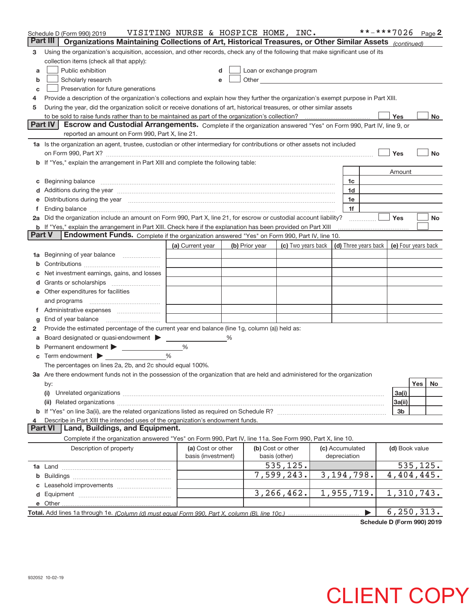|               | Schedule D (Form 990) 2019                                                                                                                                                               | VISITING NURSE & HOSPICE HOME, INC. |                |  |                                                                                                                                                                                                                               |  |                 |                      | **-***7026          |     | Page $2$  |
|---------------|------------------------------------------------------------------------------------------------------------------------------------------------------------------------------------------|-------------------------------------|----------------|--|-------------------------------------------------------------------------------------------------------------------------------------------------------------------------------------------------------------------------------|--|-----------------|----------------------|---------------------|-----|-----------|
|               | Part III<br>Organizations Maintaining Collections of Art, Historical Treasures, or Other Similar Assets (continued)                                                                      |                                     |                |  |                                                                                                                                                                                                                               |  |                 |                      |                     |     |           |
| з             | Using the organization's acquisition, accession, and other records, check any of the following that make significant use of its                                                          |                                     |                |  |                                                                                                                                                                                                                               |  |                 |                      |                     |     |           |
|               | collection items (check all that apply):                                                                                                                                                 |                                     |                |  |                                                                                                                                                                                                                               |  |                 |                      |                     |     |           |
| a             | Public exhibition                                                                                                                                                                        | d                                   |                |  | Loan or exchange program                                                                                                                                                                                                      |  |                 |                      |                     |     |           |
| b             | Scholarly research                                                                                                                                                                       | e                                   |                |  | Other and the contract of the contract of the contract of the contract of the contract of the contract of the contract of the contract of the contract of the contract of the contract of the contract of the contract of the |  |                 |                      |                     |     |           |
| c             | Preservation for future generations                                                                                                                                                      |                                     |                |  |                                                                                                                                                                                                                               |  |                 |                      |                     |     |           |
| 4             | Provide a description of the organization's collections and explain how they further the organization's exempt purpose in Part XIII.                                                     |                                     |                |  |                                                                                                                                                                                                                               |  |                 |                      |                     |     |           |
| 5             | During the year, did the organization solicit or receive donations of art, historical treasures, or other similar assets                                                                 |                                     |                |  |                                                                                                                                                                                                                               |  |                 |                      |                     |     |           |
|               | to be sold to raise funds rather than to be maintained as part of the organization's collection?                                                                                         |                                     |                |  |                                                                                                                                                                                                                               |  |                 |                      | Yes                 |     | No        |
|               | <b>Part IV</b><br>Escrow and Custodial Arrangements. Complete if the organization answered "Yes" on Form 990, Part IV, line 9, or                                                        |                                     |                |  |                                                                                                                                                                                                                               |  |                 |                      |                     |     |           |
|               | reported an amount on Form 990, Part X, line 21.                                                                                                                                         |                                     |                |  |                                                                                                                                                                                                                               |  |                 |                      |                     |     |           |
|               | 1a Is the organization an agent, trustee, custodian or other intermediary for contributions or other assets not included                                                                 |                                     |                |  |                                                                                                                                                                                                                               |  |                 |                      |                     |     |           |
|               |                                                                                                                                                                                          |                                     |                |  |                                                                                                                                                                                                                               |  |                 |                      | Yes                 |     | <b>No</b> |
|               | b If "Yes," explain the arrangement in Part XIII and complete the following table:                                                                                                       |                                     |                |  |                                                                                                                                                                                                                               |  |                 |                      |                     |     |           |
|               |                                                                                                                                                                                          |                                     |                |  |                                                                                                                                                                                                                               |  |                 |                      | Amount              |     |           |
|               |                                                                                                                                                                                          |                                     |                |  |                                                                                                                                                                                                                               |  | 1c              |                      |                     |     |           |
|               |                                                                                                                                                                                          |                                     |                |  |                                                                                                                                                                                                                               |  | 1d              |                      |                     |     |           |
|               | Distributions during the year manufactured and continuum and continuum and the year manufactured and continuum                                                                           |                                     |                |  |                                                                                                                                                                                                                               |  | 1e              |                      |                     |     |           |
|               |                                                                                                                                                                                          |                                     |                |  |                                                                                                                                                                                                                               |  | 1f              |                      |                     |     |           |
|               | 2a Did the organization include an amount on Form 990, Part X, line 21, for escrow or custodial account liability?                                                                       |                                     |                |  |                                                                                                                                                                                                                               |  |                 |                      | Yes                 |     | <b>No</b> |
|               | <b>b</b> If "Yes," explain the arrangement in Part XIII. Check here if the explanation has been provided on Part XIII                                                                    |                                     |                |  |                                                                                                                                                                                                                               |  |                 |                      |                     |     |           |
| <b>Part V</b> | Endowment Funds. Complete if the organization answered "Yes" on Form 990, Part IV, line 10.                                                                                              |                                     |                |  |                                                                                                                                                                                                                               |  |                 |                      |                     |     |           |
|               |                                                                                                                                                                                          | (a) Current year                    | (b) Prior year |  | (c) Two years back                                                                                                                                                                                                            |  |                 | (d) Three years back | (e) Four years back |     |           |
| 1a            | Beginning of year balance                                                                                                                                                                |                                     |                |  |                                                                                                                                                                                                                               |  |                 |                      |                     |     |           |
| b             |                                                                                                                                                                                          |                                     |                |  |                                                                                                                                                                                                                               |  |                 |                      |                     |     |           |
|               | Net investment earnings, gains, and losses                                                                                                                                               |                                     |                |  |                                                                                                                                                                                                                               |  |                 |                      |                     |     |           |
|               |                                                                                                                                                                                          |                                     |                |  |                                                                                                                                                                                                                               |  |                 |                      |                     |     |           |
|               | e Other expenditures for facilities                                                                                                                                                      |                                     |                |  |                                                                                                                                                                                                                               |  |                 |                      |                     |     |           |
|               | and programs                                                                                                                                                                             |                                     |                |  |                                                                                                                                                                                                                               |  |                 |                      |                     |     |           |
|               |                                                                                                                                                                                          |                                     |                |  |                                                                                                                                                                                                                               |  |                 |                      |                     |     |           |
|               | End of year balance                                                                                                                                                                      |                                     |                |  |                                                                                                                                                                                                                               |  |                 |                      |                     |     |           |
| 2             | Provide the estimated percentage of the current year end balance (line 1g, column (a)) held as:                                                                                          |                                     |                |  |                                                                                                                                                                                                                               |  |                 |                      |                     |     |           |
| а             | Board designated or quasi-endowment > _____                                                                                                                                              |                                     |                |  |                                                                                                                                                                                                                               |  |                 |                      |                     |     |           |
| b             | Permanent endowment > 1                                                                                                                                                                  | %                                   |                |  |                                                                                                                                                                                                                               |  |                 |                      |                     |     |           |
|               | $\mathbf c$ Term endowment $\blacktriangleright$                                                                                                                                         | $\frac{0}{0}$                       |                |  |                                                                                                                                                                                                                               |  |                 |                      |                     |     |           |
|               | The percentages on lines 2a, 2b, and 2c should equal 100%.<br>3a Are there endowment funds not in the possession of the organization that are held and administered for the organization |                                     |                |  |                                                                                                                                                                                                                               |  |                 |                      |                     |     |           |
|               |                                                                                                                                                                                          |                                     |                |  |                                                                                                                                                                                                                               |  |                 |                      |                     | Yes | No        |
|               | by:<br>(i)                                                                                                                                                                               |                                     |                |  |                                                                                                                                                                                                                               |  |                 |                      | 3a(i)               |     |           |
|               |                                                                                                                                                                                          |                                     |                |  |                                                                                                                                                                                                                               |  |                 |                      | 3a(ii)              |     |           |
|               |                                                                                                                                                                                          |                                     |                |  |                                                                                                                                                                                                                               |  |                 |                      | 3b                  |     |           |
| 4             | Describe in Part XIII the intended uses of the organization's endowment funds.                                                                                                           |                                     |                |  |                                                                                                                                                                                                                               |  |                 |                      |                     |     |           |
|               | Land, Buildings, and Equipment.<br><b>Part VI</b>                                                                                                                                        |                                     |                |  |                                                                                                                                                                                                                               |  |                 |                      |                     |     |           |
|               | Complete if the organization answered "Yes" on Form 990, Part IV, line 11a. See Form 990, Part X, line 10.                                                                               |                                     |                |  |                                                                                                                                                                                                                               |  |                 |                      |                     |     |           |
|               | Description of property                                                                                                                                                                  | (a) Cost or other                   |                |  | (b) Cost or other                                                                                                                                                                                                             |  | (c) Accumulated |                      | (d) Book value      |     |           |
|               |                                                                                                                                                                                          | basis (investment)                  |                |  | basis (other)                                                                                                                                                                                                                 |  | depreciation    |                      |                     |     |           |
|               |                                                                                                                                                                                          |                                     |                |  | 535,125.                                                                                                                                                                                                                      |  |                 |                      | 535, 125.           |     |           |
|               |                                                                                                                                                                                          |                                     |                |  | 7,599,243.                                                                                                                                                                                                                    |  | 3, 194, 798.    |                      | 4,404,445.          |     |           |
|               |                                                                                                                                                                                          |                                     |                |  |                                                                                                                                                                                                                               |  |                 |                      |                     |     |           |
|               |                                                                                                                                                                                          |                                     |                |  | 3, 266, 462.                                                                                                                                                                                                                  |  | 1,955,719.      |                      | 1,310,743.          |     |           |
|               | e Other                                                                                                                                                                                  |                                     |                |  |                                                                                                                                                                                                                               |  |                 |                      |                     |     |           |
|               |                                                                                                                                                                                          |                                     |                |  |                                                                                                                                                                                                                               |  |                 |                      | 6, 250, 313.        |     |           |
|               |                                                                                                                                                                                          |                                     |                |  |                                                                                                                                                                                                                               |  |                 |                      |                     |     |           |

**Schedule D (Form 990) 2019**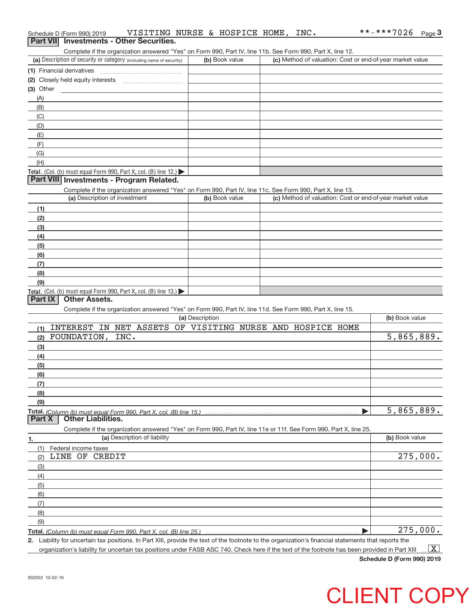|             | Schedule D (Form 990) 2019        | VISITING NURSE & HOSPICE HOME, INC.                                                                                                                  |                 |                |  |  | **-***7026                                                | Page $3$                |
|-------------|-----------------------------------|------------------------------------------------------------------------------------------------------------------------------------------------------|-----------------|----------------|--|--|-----------------------------------------------------------|-------------------------|
|             |                                   | Part VII Investments - Other Securities.                                                                                                             |                 |                |  |  |                                                           |                         |
|             |                                   | Complete if the organization answered "Yes" on Form 990, Part IV, line 11b. See Form 990, Part X, line 12.                                           |                 |                |  |  |                                                           |                         |
|             |                                   | (a) Description of security or category (including name of security)                                                                                 |                 | (b) Book value |  |  | (c) Method of valuation: Cost or end-of-year market value |                         |
|             |                                   |                                                                                                                                                      |                 |                |  |  |                                                           |                         |
|             |                                   |                                                                                                                                                      |                 |                |  |  |                                                           |                         |
| $(3)$ Other | the control of the control of the |                                                                                                                                                      |                 |                |  |  |                                                           |                         |
| (A)         |                                   |                                                                                                                                                      |                 |                |  |  |                                                           |                         |
| (B)         |                                   |                                                                                                                                                      |                 |                |  |  |                                                           |                         |
| (C)         |                                   |                                                                                                                                                      |                 |                |  |  |                                                           |                         |
| (D)         |                                   |                                                                                                                                                      |                 |                |  |  |                                                           |                         |
| (E)         |                                   |                                                                                                                                                      |                 |                |  |  |                                                           |                         |
| (F)         |                                   |                                                                                                                                                      |                 |                |  |  |                                                           |                         |
| (G)         |                                   |                                                                                                                                                      |                 |                |  |  |                                                           |                         |
| (H)         |                                   |                                                                                                                                                      |                 |                |  |  |                                                           |                         |
|             |                                   | Total. (Col. (b) must equal Form 990, Part X, col. (B) line 12.) $\blacktriangleright$                                                               |                 |                |  |  |                                                           |                         |
|             |                                   | Part VIII Investments - Program Related.                                                                                                             |                 |                |  |  |                                                           |                         |
|             |                                   | Complete if the organization answered "Yes" on Form 990, Part IV, line 11c. See Form 990, Part X, line 13.                                           |                 |                |  |  |                                                           |                         |
|             | (a) Description of investment     |                                                                                                                                                      |                 | (b) Book value |  |  | (c) Method of valuation: Cost or end-of-year market value |                         |
| (1)         |                                   |                                                                                                                                                      |                 |                |  |  |                                                           |                         |
| (2)         |                                   |                                                                                                                                                      |                 |                |  |  |                                                           |                         |
| (3)         |                                   |                                                                                                                                                      |                 |                |  |  |                                                           |                         |
| (4)         |                                   |                                                                                                                                                      |                 |                |  |  |                                                           |                         |
| (5)         |                                   |                                                                                                                                                      |                 |                |  |  |                                                           |                         |
| (6)         |                                   |                                                                                                                                                      |                 |                |  |  |                                                           |                         |
| (7)         |                                   |                                                                                                                                                      |                 |                |  |  |                                                           |                         |
| (8)         |                                   |                                                                                                                                                      |                 |                |  |  |                                                           |                         |
| (9)         |                                   |                                                                                                                                                      |                 |                |  |  |                                                           |                         |
|             |                                   | Total. (Col. (b) must equal Form 990, Part X, col. (B) line 13.)                                                                                     |                 |                |  |  |                                                           |                         |
| Part IX     | <b>Other Assets.</b>              |                                                                                                                                                      |                 |                |  |  |                                                           |                         |
|             |                                   | Complete if the organization answered "Yes" on Form 990, Part IV, line 11d. See Form 990, Part X, line 15.                                           |                 |                |  |  |                                                           |                         |
|             |                                   |                                                                                                                                                      | (a) Description |                |  |  | (b) Book value                                            |                         |
| (1)         |                                   | INTEREST IN NET ASSETS OF VISITING NURSE AND HOSPICE HOME                                                                                            |                 |                |  |  |                                                           |                         |
|             | (2) FOUNDATION,                   | INC.                                                                                                                                                 |                 |                |  |  | 5,865,889.                                                |                         |
| (3)         |                                   |                                                                                                                                                      |                 |                |  |  |                                                           |                         |
| (4)         |                                   |                                                                                                                                                      |                 |                |  |  |                                                           |                         |
| (5)         |                                   |                                                                                                                                                      |                 |                |  |  |                                                           |                         |
| (6)         |                                   |                                                                                                                                                      |                 |                |  |  |                                                           |                         |
| (7)         |                                   |                                                                                                                                                      |                 |                |  |  |                                                           |                         |
| (8)         |                                   |                                                                                                                                                      |                 |                |  |  |                                                           |                         |
| (9)         |                                   |                                                                                                                                                      |                 |                |  |  |                                                           |                         |
|             |                                   |                                                                                                                                                      |                 |                |  |  | 5,865,889.                                                |                         |
| Part X      | <b>Other Liabilities.</b>         |                                                                                                                                                      |                 |                |  |  |                                                           |                         |
|             |                                   | Complete if the organization answered "Yes" on Form 990, Part IV, line 11e or 11f. See Form 990, Part X, line 25.                                    |                 |                |  |  |                                                           |                         |
| 1.          |                                   | (a) Description of liability                                                                                                                         |                 |                |  |  | (b) Book value                                            |                         |
| (1)         | Federal income taxes              |                                                                                                                                                      |                 |                |  |  |                                                           |                         |
| (2)         | LINE OF CREDIT                    |                                                                                                                                                      |                 |                |  |  |                                                           | $\overline{275}$ , 000. |
| (3)         |                                   |                                                                                                                                                      |                 |                |  |  |                                                           |                         |
| (4)         |                                   |                                                                                                                                                      |                 |                |  |  |                                                           |                         |
| (5)         |                                   |                                                                                                                                                      |                 |                |  |  |                                                           |                         |
| (6)         |                                   |                                                                                                                                                      |                 |                |  |  |                                                           |                         |
| (7)         |                                   |                                                                                                                                                      |                 |                |  |  |                                                           |                         |
| (8)         |                                   |                                                                                                                                                      |                 |                |  |  |                                                           |                         |
| (9)         |                                   |                                                                                                                                                      |                 |                |  |  |                                                           |                         |
|             |                                   |                                                                                                                                                      |                 |                |  |  |                                                           | $\overline{275}$ , 000. |
|             |                                   | 2. Liability for uncertain tax positions. In Part XIII, provide the text of the footnote to the organization's financial statements that reports the |                 |                |  |  |                                                           |                         |

organization's liability for uncertain tax positions under FASB ASC 740. Check here if the text of the footnote has been provided in Part XIII  $\;\ldots\;$   $\bar{\rm X}$ 

**Schedule D (Form 990) 2019**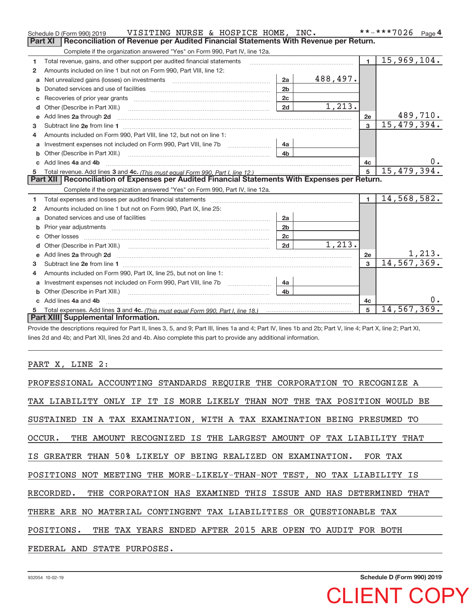|              | VISITING NURSE & HOSPICE HOME, INC.<br>Schedule D (Form 990) 2019                                                                                                                                                                    |                |          |                | **-***7026<br>Page 4 |
|--------------|--------------------------------------------------------------------------------------------------------------------------------------------------------------------------------------------------------------------------------------|----------------|----------|----------------|----------------------|
|              | Reconciliation of Revenue per Audited Financial Statements With Revenue per Return.<br><b>Part XI</b>                                                                                                                                |                |          |                |                      |
|              | Complete if the organization answered "Yes" on Form 990, Part IV, line 12a.                                                                                                                                                          |                |          |                |                      |
| 1            | Total revenue, gains, and other support per audited financial statements                                                                                                                                                             |                |          | $\blacksquare$ | 15,969,104.          |
| $\mathbf{2}$ | Amounts included on line 1 but not on Form 990. Part VIII, line 12:                                                                                                                                                                  |                |          |                |                      |
| a            |                                                                                                                                                                                                                                      | 2a             | 488,497. |                |                      |
|              |                                                                                                                                                                                                                                      | 2 <sub>b</sub> |          |                |                      |
|              |                                                                                                                                                                                                                                      | 2c             |          |                |                      |
| d            |                                                                                                                                                                                                                                      | 2d             | 1,213.   |                |                      |
| e            | Add lines 2a through 2d                                                                                                                                                                                                              |                |          | 2e             | 489,710.             |
| 3            |                                                                                                                                                                                                                                      |                |          | 3              | 15,479,394.          |
| 4            | Amounts included on Form 990, Part VIII, line 12, but not on line 1:                                                                                                                                                                 |                |          |                |                      |
|              | Investment expenses not included on Form 990, Part VIII, line 7b [100] [100] [100] [100] [100] [100] [100] [10                                                                                                                       | 4a             |          |                |                      |
|              |                                                                                                                                                                                                                                      | 4b             |          |                |                      |
| $\mathbf{c}$ | Add lines 4a and 4b                                                                                                                                                                                                                  |                |          | 4c             |                      |
|              |                                                                                                                                                                                                                                      |                |          | 5              | 15,479,394.          |
|              |                                                                                                                                                                                                                                      |                |          |                |                      |
|              | Part XII Reconciliation of Expenses per Audited Financial Statements With Expenses per Return.                                                                                                                                       |                |          |                |                      |
|              | Complete if the organization answered "Yes" on Form 990, Part IV, line 12a.                                                                                                                                                          |                |          |                |                      |
| 1            |                                                                                                                                                                                                                                      |                |          | $\blacksquare$ | 14,568,582.          |
| 2            | Amounts included on line 1 but not on Form 990, Part IX, line 25:                                                                                                                                                                    |                |          |                |                      |
| a            |                                                                                                                                                                                                                                      | 2a             |          |                |                      |
| b            | Prior year adjustments <i>communically contained and all examples the contained and all examples the contained and all examples the contained and all examples the contained and all examples the contained and all examples the</i> | 2 <sub>b</sub> |          |                |                      |
|              |                                                                                                                                                                                                                                      | 2c             |          |                |                      |
| d            |                                                                                                                                                                                                                                      | 2d             | 1,213.   |                |                      |
| e            | Add lines 2a through 2d <b>contained a contained a contained a contained a</b> contained a contained a contained a contained a contact a contact a contact a contact a contact a contact a contact a contact a contact a contact a   |                |          | 2e             | <u>1,213.</u>        |
| з            |                                                                                                                                                                                                                                      |                |          | $\overline{3}$ | 14, 567, 369.        |
| 4            | Amounts included on Form 990, Part IX, line 25, but not on line 1:                                                                                                                                                                   |                |          |                |                      |
| a            | Investment expenses not included on Form 990, Part VIII, line 7b [100] [100] [100] [100] [100] [100] [100] [10                                                                                                                       | 4a             |          |                |                      |
|              | Other (Describe in Part XIII.)                                                                                                                                                                                                       | 4 <sub>b</sub> |          |                |                      |
|              | Add lines 4a and 4b                                                                                                                                                                                                                  |                |          | 4c             |                      |
|              | Total expenses. Add lines 3 and 4c. (This must equal Form 990, Part I, line 18.) <b>Conservers</b> manufactured in the<br>Part XIII Supplemental Information.                                                                        |                |          | 5              | 14,567,369.          |

Provide the descriptions required for Part II, lines 3, 5, and 9; Part III, lines 1a and 4; Part IV, lines 1b and 2b; Part V, line 4; Part X, line 2; Part XI, lines 2d and 4b; and Part XII, lines 2d and 4b. Also complete this part to provide any additional information.

## PART X, LINE 2:

| PROFESSIONAL ACCOUNTING STANDARDS REQUIRE THE CORPORATION TO RECOGNIZE A   |
|----------------------------------------------------------------------------|
| TAX LIABILITY ONLY IF IT IS MORE LIKELY THAN NOT THE TAX POSITION WOULD BE |
| SUSTAINED IN A TAX EXAMINATION, WITH A TAX EXAMINATION BEING PRESUMED TO   |
| OCCUR. THE AMOUNT RECOGNIZED IS THE LARGEST AMOUNT OF TAX LIABILITY THAT   |
| IS GREATER THAN 50% LIKELY OF BEING REALIZED ON EXAMINATION. FOR TAX       |
| POSITIONS NOT MEETING THE MORE-LIKELY-THAN-NOT TEST, NO TAX LIABILITY IS   |
| RECORDED. THE CORPORATION HAS EXAMINED THIS ISSUE AND HAS DETERMINED THAT  |
| THERE ARE NO MATERIAL CONTINGENT TAX LIABILITIES OR OUESTIONABLE TAX       |
| POSITIONS. THE TAX YEARS ENDED AFTER 2015 ARE OPEN TO AUDIT FOR BOTH       |
| FEDERAL AND STATE PURPOSES.                                                |

**Schedule D (Form 990) 2019**

CLIENT COPY

932054 10‐02‐19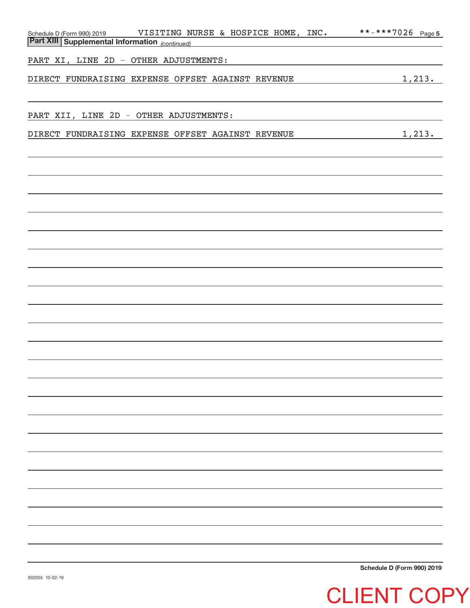| VISITING NURSE & HOSPICE HOME, INC.                                                             | **-***7026 Page 5          |
|-------------------------------------------------------------------------------------------------|----------------------------|
| Schedule D (Form 990) 2019 VISITING NU<br><b>Part XIII Supplemental Information</b> (continued) |                            |
|                                                                                                 |                            |
| PART XI, LINE 2D - OTHER ADJUSTMENTS:                                                           |                            |
| DIRECT FUNDRAISING EXPENSE OFFSET AGAINST REVENUE                                               | 1,213.                     |
|                                                                                                 |                            |
|                                                                                                 |                            |
| PART XII, LINE 2D - OTHER ADJUSTMENTS:                                                          |                            |
|                                                                                                 |                            |
| DIRECT FUNDRAISING EXPENSE OFFSET AGAINST REVENUE                                               | 1,213.                     |
|                                                                                                 |                            |
|                                                                                                 |                            |
|                                                                                                 |                            |
|                                                                                                 |                            |
|                                                                                                 |                            |
|                                                                                                 |                            |
|                                                                                                 |                            |
|                                                                                                 |                            |
|                                                                                                 |                            |
|                                                                                                 |                            |
|                                                                                                 |                            |
|                                                                                                 |                            |
|                                                                                                 |                            |
|                                                                                                 |                            |
|                                                                                                 |                            |
|                                                                                                 |                            |
|                                                                                                 |                            |
|                                                                                                 |                            |
|                                                                                                 |                            |
|                                                                                                 |                            |
|                                                                                                 |                            |
|                                                                                                 |                            |
|                                                                                                 |                            |
|                                                                                                 |                            |
|                                                                                                 |                            |
|                                                                                                 |                            |
|                                                                                                 |                            |
|                                                                                                 |                            |
|                                                                                                 |                            |
|                                                                                                 |                            |
|                                                                                                 |                            |
|                                                                                                 |                            |
|                                                                                                 |                            |
|                                                                                                 |                            |
|                                                                                                 |                            |
|                                                                                                 |                            |
|                                                                                                 |                            |
|                                                                                                 |                            |
|                                                                                                 | Schedule D (Form 990) 2019 |

**Schedule D (Form 990) 2019**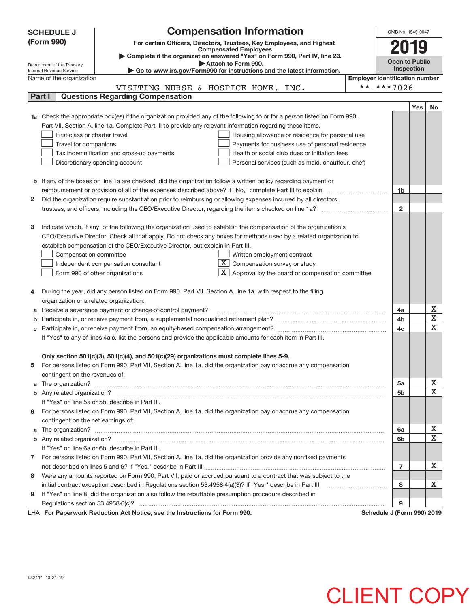|   | <b>SCHEDULE J</b>                                                                   | <b>Compensation Information</b>                                                                                                                                                                                           |  | OMB No. 1545-0047                     |     |             |
|---|-------------------------------------------------------------------------------------|---------------------------------------------------------------------------------------------------------------------------------------------------------------------------------------------------------------------------|--|---------------------------------------|-----|-------------|
|   | (Form 990)                                                                          | For certain Officers, Directors, Trustees, Key Employees, and Highest                                                                                                                                                     |  |                                       |     |             |
|   |                                                                                     | <b>Compensated Employees</b>                                                                                                                                                                                              |  | 2019                                  |     |             |
|   |                                                                                     | Complete if the organization answered "Yes" on Form 990, Part IV, line 23.<br>Attach to Form 990.                                                                                                                         |  | <b>Open to Public</b>                 |     |             |
|   | Department of the Treasury<br>Internal Revenue Service                              | Go to www.irs.gov/Form990 for instructions and the latest information.                                                                                                                                                    |  | Inspection                            |     |             |
|   | Name of the organization                                                            |                                                                                                                                                                                                                           |  | <b>Employer identification number</b> |     |             |
|   |                                                                                     | VISITING NURSE & HOSPICE HOME,<br>INC.                                                                                                                                                                                    |  | **-***7026                            |     |             |
|   | Part I                                                                              | <b>Questions Regarding Compensation</b>                                                                                                                                                                                   |  |                                       |     |             |
|   |                                                                                     |                                                                                                                                                                                                                           |  |                                       | Yes | No          |
|   |                                                                                     | Check the appropriate box(es) if the organization provided any of the following to or for a person listed on Form 990,                                                                                                    |  |                                       |     |             |
|   |                                                                                     | Part VII, Section A, line 1a. Complete Part III to provide any relevant information regarding these items.                                                                                                                |  |                                       |     |             |
|   | First-class or charter travel                                                       | Housing allowance or residence for personal use                                                                                                                                                                           |  |                                       |     |             |
|   | Travel for companions                                                               | Payments for business use of personal residence                                                                                                                                                                           |  |                                       |     |             |
|   |                                                                                     | Tax indemnification and gross-up payments<br>Health or social club dues or initiation fees                                                                                                                                |  |                                       |     |             |
|   | Discretionary spending account<br>Personal services (such as maid, chauffeur, chef) |                                                                                                                                                                                                                           |  |                                       |     |             |
|   |                                                                                     |                                                                                                                                                                                                                           |  |                                       |     |             |
| b |                                                                                     | If any of the boxes on line 1a are checked, did the organization follow a written policy regarding payment or                                                                                                             |  |                                       |     |             |
|   |                                                                                     |                                                                                                                                                                                                                           |  | 1 <sub>b</sub>                        |     |             |
| 2 |                                                                                     | Did the organization require substantiation prior to reimbursing or allowing expenses incurred by all directors,<br>trustees, and officers, including the CEO/Executive Director, regarding the items checked on line 1a? |  | $\overline{2}$                        |     |             |
|   |                                                                                     |                                                                                                                                                                                                                           |  |                                       |     |             |
| 3 |                                                                                     | Indicate which, if any, of the following the organization used to establish the compensation of the organization's                                                                                                        |  |                                       |     |             |
|   |                                                                                     | CEO/Executive Director. Check all that apply. Do not check any boxes for methods used by a related organization to                                                                                                        |  |                                       |     |             |
|   |                                                                                     | establish compensation of the CEO/Executive Director, but explain in Part III.                                                                                                                                            |  |                                       |     |             |
|   | Compensation committee                                                              | Written employment contract                                                                                                                                                                                               |  |                                       |     |             |
|   |                                                                                     | $\overline{\mathbf{X}}$ Compensation survey or study<br>Independent compensation consultant                                                                                                                               |  |                                       |     |             |
|   |                                                                                     | $\lfloor x \rfloor$ Approval by the board or compensation committee<br>Form 990 of other organizations                                                                                                                    |  |                                       |     |             |
|   |                                                                                     |                                                                                                                                                                                                                           |  |                                       |     |             |
| 4 |                                                                                     | During the year, did any person listed on Form 990, Part VII, Section A, line 1a, with respect to the filing                                                                                                              |  |                                       |     |             |
|   | organization or a related organization:                                             |                                                                                                                                                                                                                           |  |                                       |     |             |
| а |                                                                                     | Receive a severance payment or change-of-control payment?                                                                                                                                                                 |  | 4a                                    |     | х           |
|   |                                                                                     |                                                                                                                                                                                                                           |  | 4b                                    |     | $\mathbf X$ |
| С |                                                                                     |                                                                                                                                                                                                                           |  | 4c                                    |     | X           |
|   |                                                                                     | If "Yes" to any of lines 4a-c, list the persons and provide the applicable amounts for each item in Part III.                                                                                                             |  |                                       |     |             |
|   |                                                                                     |                                                                                                                                                                                                                           |  |                                       |     |             |
|   |                                                                                     | Only section 501(c)(3), 501(c)(4), and 501(c)(29) organizations must complete lines 5-9.                                                                                                                                  |  |                                       |     |             |
| 5 |                                                                                     | For persons listed on Form 990, Part VII, Section A, line 1a, did the organization pay or accrue any compensation                                                                                                         |  |                                       |     |             |
|   | contingent on the revenues of:                                                      |                                                                                                                                                                                                                           |  |                                       |     |             |
| a |                                                                                     |                                                                                                                                                                                                                           |  | 5a                                    |     | х<br>X      |
|   |                                                                                     | If "Yes" on line 5a or 5b, describe in Part III.                                                                                                                                                                          |  | 5b                                    |     |             |
|   |                                                                                     | 6 For persons listed on Form 990, Part VII, Section A, line 1a, did the organization pay or accrue any compensation                                                                                                       |  |                                       |     |             |
|   | contingent on the net earnings of:                                                  |                                                                                                                                                                                                                           |  |                                       |     |             |
| a |                                                                                     | The organization? <b>With the organization? Constitution of the organization</b> of the organization?                                                                                                                     |  | 6a                                    |     | х           |
|   |                                                                                     |                                                                                                                                                                                                                           |  | 6b                                    |     | X           |
|   |                                                                                     | If "Yes" on line 6a or 6b, describe in Part III.                                                                                                                                                                          |  |                                       |     |             |
|   |                                                                                     | 7 For persons listed on Form 990, Part VII, Section A, line 1a, did the organization provide any nonfixed payments                                                                                                        |  |                                       |     |             |
|   |                                                                                     |                                                                                                                                                                                                                           |  | $\overline{7}$                        |     | x           |
| 8 |                                                                                     | Were any amounts reported on Form 990, Part VII, paid or accrued pursuant to a contract that was subject to the                                                                                                           |  |                                       |     |             |
|   |                                                                                     | initial contract exception described in Regulations section 53.4958-4(a)(3)? If "Yes," describe in Part III                                                                                                               |  | 8                                     |     | х           |
| 9 |                                                                                     | If "Yes" on line 8, did the organization also follow the rebuttable presumption procedure described in                                                                                                                    |  |                                       |     |             |
|   |                                                                                     |                                                                                                                                                                                                                           |  | 9                                     |     |             |
|   |                                                                                     | $\cdots$ $\cdots$ $\cdots$ $\cdots$                                                                                                                                                                                       |  |                                       |     |             |

LHA For Paperwork Reduction Act Notice, see the Instructions for Form 990. Schedule J (Form 990) 2019

## 932111 10‐21‐19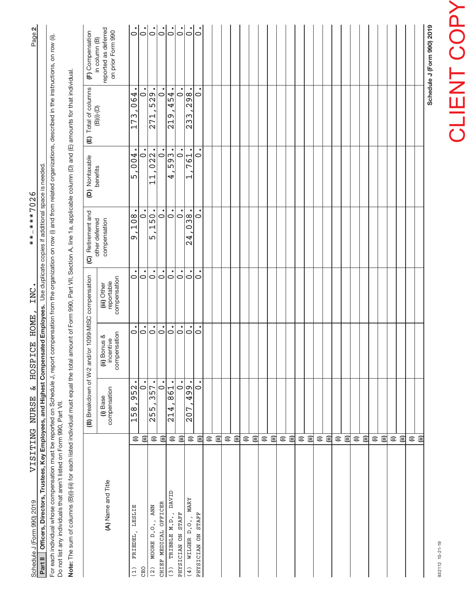| Schedule J (Form 990) 2019                |                                                                                   |                                                       |                                      |                                           |                                                    |                                |                                     |                                                                                                                                                                                                                                                                                  |
|-------------------------------------------|-----------------------------------------------------------------------------------|-------------------------------------------------------|--------------------------------------|-------------------------------------------|----------------------------------------------------|--------------------------------|-------------------------------------|----------------------------------------------------------------------------------------------------------------------------------------------------------------------------------------------------------------------------------------------------------------------------------|
|                                           |                                                                                   |                                                       |                                      |                                           |                                                    |                                | ⊜<br>$\widehat{=}$                  |                                                                                                                                                                                                                                                                                  |
|                                           |                                                                                   |                                                       |                                      |                                           |                                                    |                                | $\widehat{=}$<br>$\widehat{=}$      |                                                                                                                                                                                                                                                                                  |
|                                           |                                                                                   |                                                       |                                      |                                           |                                                    |                                | $\widehat{=}$                       |                                                                                                                                                                                                                                                                                  |
|                                           |                                                                                   |                                                       |                                      |                                           |                                                    |                                | $\widehat{=}$<br>$\widehat{=}$      |                                                                                                                                                                                                                                                                                  |
|                                           |                                                                                   |                                                       |                                      |                                           |                                                    |                                | $\widehat{=}$                       |                                                                                                                                                                                                                                                                                  |
|                                           |                                                                                   |                                                       |                                      |                                           |                                                    |                                | $\widehat{=}$<br>$\widehat{=}$      |                                                                                                                                                                                                                                                                                  |
|                                           |                                                                                   |                                                       |                                      |                                           |                                                    |                                | ⊜<br>$\widehat{=}$                  |                                                                                                                                                                                                                                                                                  |
|                                           |                                                                                   |                                                       |                                      |                                           |                                                    |                                | $\widehat{=}$                       |                                                                                                                                                                                                                                                                                  |
|                                           |                                                                                   |                                                       |                                      |                                           |                                                    |                                | $\widehat{=}$                       |                                                                                                                                                                                                                                                                                  |
|                                           |                                                                                   |                                                       |                                      |                                           |                                                    |                                | 闫<br>$\widehat{=}$                  |                                                                                                                                                                                                                                                                                  |
|                                           |                                                                                   |                                                       |                                      |                                           |                                                    |                                | $\widehat{=}$<br>$\widehat{=}$      |                                                                                                                                                                                                                                                                                  |
|                                           |                                                                                   |                                                       |                                      |                                           |                                                    |                                | $\widehat{=}$<br>$\widehat{=}$      |                                                                                                                                                                                                                                                                                  |
|                                           |                                                                                   |                                                       |                                      |                                           |                                                    |                                | $\widehat{\equiv}$<br>$\widehat{=}$ |                                                                                                                                                                                                                                                                                  |
|                                           |                                                                                   |                                                       |                                      |                                           |                                                    |                                | $\widehat{\equiv}$<br>$\widehat{=}$ |                                                                                                                                                                                                                                                                                  |
| $\overline{\circ}$                        | 0                                                                                 | $\bullet$<br>$\circ$                                  | $\circ$                              | $\circ$                                   | $\circ$                                            | $\bullet$<br>$\circ$           | 闫                                   | PHYSICIAN ON STAFF                                                                                                                                                                                                                                                               |
| $\dot{\circ}$                             | 298.<br>233                                                                       | $\bullet$<br>761<br>Н                                 | 038.<br>4<br>$\mathbf{\Omega}$       | $\dot{\circ}$                             | $\dot{\circ}$                                      | 499.<br>207                    | $\widehat{=}$                       | <b>MARY</b><br>WILGER D.O.,<br>(4)                                                                                                                                                                                                                                               |
| $\overline{5}$<br>$  \cdot \rangle$       | 454<br>$\circ$<br>219                                                             | $\sqrt{593}$<br>$\circ$<br>4                          | $  \dot{\circ}$<br>$\dot{\circ}$     | $\circ$<br>$\circ$                        | $\dot{\circ}$<br>$\circ$                           | $\circ$<br>861<br>214          | ⊜<br>$\widehat{=}$                  | DAVID<br>TRIBBLE M.D.,<br>PHYSICIAN ON STAFF<br>(3)                                                                                                                                                                                                                              |
| $\dot{5}$                                 | $\dot{\circ}$                                                                     | $\bullet$<br>$\circ$                                  | $\dot{\circ}$                        | $\dot{\circ}$                             | $\dot{\circ}$                                      | $\dot{\circ}$                  | $\widehat{\equiv}$                  | CHIEF MEDICAL OFFICER                                                                                                                                                                                                                                                            |
| $\overline{5}$                            | 529<br>271                                                                        | $\sqrt{\frac{22}{}}$<br>H<br>$\overline{\phantom{0}}$ | 150.<br>5                            | $\circ$                                   | $\circ$                                            | $\frac{1}{357}$<br>255         | $\widehat{=}$                       | <b>ANN</b><br>MOORE D.O.,<br>(2)                                                                                                                                                                                                                                                 |
| $\dot{\circ}$<br>$\dot{\circ}$            | 4<br>$\overline{\phantom{0}}$<br>$\frac{6}{1}$<br>ω<br>冖<br>$\mathord{\text{--}}$ | 004<br>$\circ$<br>LŊ                                  | $\circ$<br>108<br>Ō                  | $\circ$<br>0                              | $\circ$<br>0                                       | ٠<br>$\circ$<br>952<br>158     | ⊜<br>Ξ                              | LESLIE<br>FRIEDEL,<br>CHO<br>(1)                                                                                                                                                                                                                                                 |
| reported as deferred<br>on prior Form 990 |                                                                                   |                                                       | compensation                         | compensation<br>reportable<br>(iii) Other | compensation<br>(ii) Bonus &<br>incentive          | compensation<br>(i) Base       |                                     | (A) Name and Title                                                                                                                                                                                                                                                               |
| (F) Compensation<br>in column (B)         | (E) Total of columns<br>$(B)(i)$ - $(D)$                                          | (D) Nontaxable<br>benefits                            | (C) Retirement and<br>other deferred |                                           | (B) Breakdown of W-2 and/or 1099-MISC compensation |                                |                                     |                                                                                                                                                                                                                                                                                  |
|                                           |                                                                                   |                                                       |                                      |                                           |                                                    |                                |                                     | Note: The sum of columns (B)(i) (iii) for each listed individual must equal the total amount of Form 990, Part VII, Section A, line 1a, applicable column (D) and (E) amounts for that individual.                                                                               |
|                                           |                                                                                   |                                                       |                                      |                                           |                                                    |                                |                                     | For each individual whose compensation must be reported on Schedule J, report compensation from the organization on row (i) and from related organizations, described in the instructions, on row (ii).<br>Do not list any individuals that aren't listed on Form 990, Part VII. |
| Page 2                                    |                                                                                   |                                                       | $***-***7026$                        | INC.                                      |                                                    | VISITING NURSE & HOSPICE HOME, |                                     | Part II Officers, Directors, Trustees, Key Employees, and Highest Compensated Employees. Use duplicate copies if additional space is needed<br>Schedule J (Form 990) 2019                                                                                                        |
|                                           |                                                                                   |                                                       |                                      |                                           |                                                    |                                |                                     |                                                                                                                                                                                                                                                                                  |

INC.

\*\*-\*\*\*7026

VISITING NURSE & HOSPICE HOME,

# **CLIENT COPY** CLIENT COPY

932112 10-21-19 932112 10‐21‐19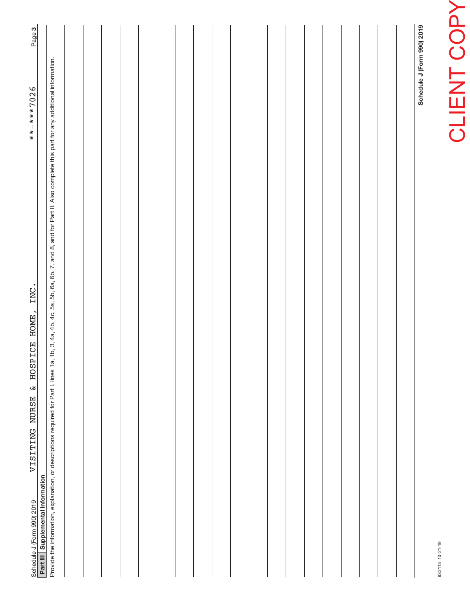| INC.<br>HOSPICE HOME,<br>$\boldsymbol{\omega}$<br>VISITING NURSE<br>Schedule J (Form 990) 2019<br>Part III   Supplemental Information                                                                      | Page 3<br>$******7026$     |
|------------------------------------------------------------------------------------------------------------------------------------------------------------------------------------------------------------|----------------------------|
| Provide the information, explanation, or descriptions required for Part I, lines 1a, 1b, 3, 4a, 4b, 4c, 5a, 5b, 6a, 6b, 7, and 8, and for Part II. Also complete this part for any additional information. |                            |
|                                                                                                                                                                                                            |                            |
|                                                                                                                                                                                                            |                            |
|                                                                                                                                                                                                            |                            |
|                                                                                                                                                                                                            |                            |
|                                                                                                                                                                                                            |                            |
|                                                                                                                                                                                                            |                            |
|                                                                                                                                                                                                            |                            |
|                                                                                                                                                                                                            |                            |
|                                                                                                                                                                                                            |                            |
|                                                                                                                                                                                                            |                            |
|                                                                                                                                                                                                            |                            |
|                                                                                                                                                                                                            |                            |
|                                                                                                                                                                                                            |                            |
|                                                                                                                                                                                                            |                            |
|                                                                                                                                                                                                            |                            |
|                                                                                                                                                                                                            |                            |
|                                                                                                                                                                                                            |                            |
|                                                                                                                                                                                                            |                            |
|                                                                                                                                                                                                            |                            |
|                                                                                                                                                                                                            | Schedule J (Form 990) 2019 |

932113 10‐21‐19

932113 10-21-19

**CLIENT COPY** CLIENT COPY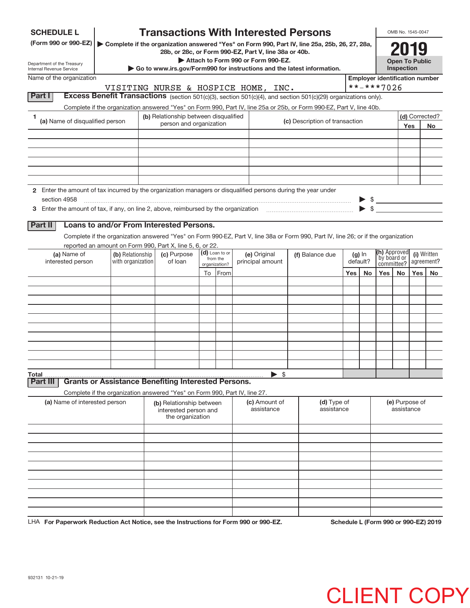| <b>SCHEDULE L</b>                                                                                             |                   |                                                                            |    |                            | <b>Transactions With Interested Persons</b>                                                                                                            |                                |     |          |                                       | OMB No. 1545-0047                   |     |                |
|---------------------------------------------------------------------------------------------------------------|-------------------|----------------------------------------------------------------------------|----|----------------------------|--------------------------------------------------------------------------------------------------------------------------------------------------------|--------------------------------|-----|----------|---------------------------------------|-------------------------------------|-----|----------------|
| (Form 990 or 990-EZ)                                                                                          |                   |                                                                            |    |                            | Complete if the organization answered "Yes" on Form 990, Part IV, line 25a, 25b, 26, 27, 28a,<br>28b, or 28c, or Form 990-EZ, Part V, line 38a or 40b. |                                |     |          |                                       | 2019                                |     |                |
| Department of the Treasury<br>Internal Revenue Service                                                        |                   |                                                                            |    |                            | Attach to Form 990 or Form 990-EZ.<br>Go to www.irs.gov/Form990 for instructions and the latest information.                                           |                                |     |          |                                       | <b>Open To Public</b><br>Inspection |     |                |
| Name of the organization                                                                                      |                   |                                                                            |    |                            |                                                                                                                                                        |                                |     |          | <b>Employer identification number</b> |                                     |     |                |
|                                                                                                               |                   |                                                                            |    |                            | VISITING NURSE & HOSPICE HOME, INC.                                                                                                                    |                                |     |          | **-***7026                            |                                     |     |                |
| Part I                                                                                                        |                   |                                                                            |    |                            | Excess Benefit Transactions (section 501(c)(3), section 501(c)(4), and section 501(c)(29) organizations only).                                         |                                |     |          |                                       |                                     |     |                |
|                                                                                                               |                   |                                                                            |    |                            | Complete if the organization answered "Yes" on Form 990, Part IV, line 25a or 25b, or Form 990-EZ, Part V, line 40b.                                   |                                |     |          |                                       |                                     |     |                |
| 1<br>(a) Name of disqualified person                                                                          |                   | (b) Relationship between disqualified                                      |    |                            |                                                                                                                                                        | (c) Description of transaction |     |          |                                       |                                     |     | (d) Corrected? |
|                                                                                                               |                   | person and organization                                                    |    |                            |                                                                                                                                                        |                                |     |          |                                       |                                     | Yes | <b>No</b>      |
|                                                                                                               |                   |                                                                            |    |                            |                                                                                                                                                        |                                |     |          |                                       |                                     |     |                |
|                                                                                                               |                   |                                                                            |    |                            |                                                                                                                                                        |                                |     |          |                                       |                                     |     |                |
|                                                                                                               |                   |                                                                            |    |                            |                                                                                                                                                        |                                |     |          |                                       |                                     |     |                |
|                                                                                                               |                   |                                                                            |    |                            |                                                                                                                                                        |                                |     |          |                                       |                                     |     |                |
|                                                                                                               |                   |                                                                            |    |                            |                                                                                                                                                        |                                |     |          |                                       |                                     |     |                |
| 2 Enter the amount of tax incurred by the organization managers or disqualified persons during the year under |                   |                                                                            |    |                            |                                                                                                                                                        |                                |     |          |                                       |                                     |     |                |
| section 4958                                                                                                  |                   |                                                                            |    |                            |                                                                                                                                                        |                                |     |          | $\triangleright$ \$                   |                                     |     |                |
| 3 Enter the amount of tax, if any, on line 2, above, reimbursed by the organization                           |                   |                                                                            |    |                            |                                                                                                                                                        |                                |     |          | $\blacktriangleright$ \$              |                                     |     |                |
| <b>Part II</b>                                                                                                |                   | Loans to and/or From Interested Persons.                                   |    |                            |                                                                                                                                                        |                                |     |          |                                       |                                     |     |                |
|                                                                                                               |                   |                                                                            |    |                            | Complete if the organization answered "Yes" on Form 990-EZ, Part V, line 38a or Form 990, Part IV, line 26; or if the organization                     |                                |     |          |                                       |                                     |     |                |
| reported an amount on Form 990, Part X, line 5, 6, or 22.                                                     |                   |                                                                            |    |                            |                                                                                                                                                        |                                |     |          |                                       |                                     |     |                |
| (a) Name of                                                                                                   | (b) Relationship  | (c) Purpose                                                                |    | (d) Loan to or<br>from the | (e) Original                                                                                                                                           | (f) Balance due                |     | $(g)$ In | <b>(h)</b> Approved<br>by board or    |                                     |     | (i) Written    |
| interested person                                                                                             | with organization | of loan                                                                    |    | organization?              | principal amount                                                                                                                                       |                                |     | default? | committee?                            |                                     |     | agreement?     |
|                                                                                                               |                   |                                                                            | To | From                       |                                                                                                                                                        |                                | Yes | No       | Yes                                   | No                                  | Yes | No             |
|                                                                                                               |                   |                                                                            |    |                            |                                                                                                                                                        |                                |     |          |                                       |                                     |     |                |
|                                                                                                               |                   |                                                                            |    |                            |                                                                                                                                                        |                                |     |          |                                       |                                     |     |                |
|                                                                                                               |                   |                                                                            |    |                            |                                                                                                                                                        |                                |     |          |                                       |                                     |     |                |
|                                                                                                               |                   |                                                                            |    |                            |                                                                                                                                                        |                                |     |          |                                       |                                     |     |                |
|                                                                                                               |                   |                                                                            |    |                            |                                                                                                                                                        |                                |     |          |                                       |                                     |     |                |
|                                                                                                               |                   |                                                                            |    |                            |                                                                                                                                                        |                                |     |          |                                       |                                     |     |                |
|                                                                                                               |                   |                                                                            |    |                            |                                                                                                                                                        |                                |     |          |                                       |                                     |     |                |
|                                                                                                               |                   |                                                                            |    |                            |                                                                                                                                                        |                                |     |          |                                       |                                     |     |                |
| Total                                                                                                         |                   |                                                                            |    |                            | \$                                                                                                                                                     |                                |     |          |                                       |                                     |     |                |
| Part II                                                                                                       |                   | <b>Grants or Assistance Benefiting Interested Persons.</b>                 |    |                            |                                                                                                                                                        |                                |     |          |                                       |                                     |     |                |
|                                                                                                               |                   | Complete if the organization answered "Yes" on Form 990, Part IV, line 27. |    |                            |                                                                                                                                                        |                                |     |          |                                       |                                     |     |                |
| (a) Name of interested person                                                                                 |                   | (b) Relationship between<br>interested person and<br>the organization      |    |                            | (c) Amount of<br>assistance                                                                                                                            | (d) Type of<br>assistance      |     |          |                                       | (e) Purpose of<br>assistance        |     |                |
|                                                                                                               |                   |                                                                            |    |                            |                                                                                                                                                        |                                |     |          |                                       |                                     |     |                |
|                                                                                                               |                   |                                                                            |    |                            |                                                                                                                                                        |                                |     |          |                                       |                                     |     |                |
|                                                                                                               |                   |                                                                            |    |                            |                                                                                                                                                        |                                |     |          |                                       |                                     |     |                |
|                                                                                                               |                   |                                                                            |    |                            |                                                                                                                                                        |                                |     |          |                                       |                                     |     |                |
|                                                                                                               |                   |                                                                            |    |                            |                                                                                                                                                        |                                |     |          |                                       |                                     |     |                |
|                                                                                                               |                   |                                                                            |    |                            |                                                                                                                                                        |                                |     |          |                                       |                                     |     |                |
|                                                                                                               |                   |                                                                            |    |                            |                                                                                                                                                        |                                |     |          |                                       |                                     |     |                |
|                                                                                                               |                   |                                                                            |    |                            |                                                                                                                                                        |                                |     |          |                                       |                                     |     |                |
|                                                                                                               |                   |                                                                            |    |                            |                                                                                                                                                        |                                |     |          |                                       |                                     |     |                |
|                                                                                                               |                   |                                                                            |    |                            |                                                                                                                                                        |                                |     |          |                                       |                                     |     |                |

**For Paperwork Reduction Act Notice, see the Instructions for Form 990 or 990‐EZ. Schedule L (Form 990 or 990‐EZ) 2019** LHA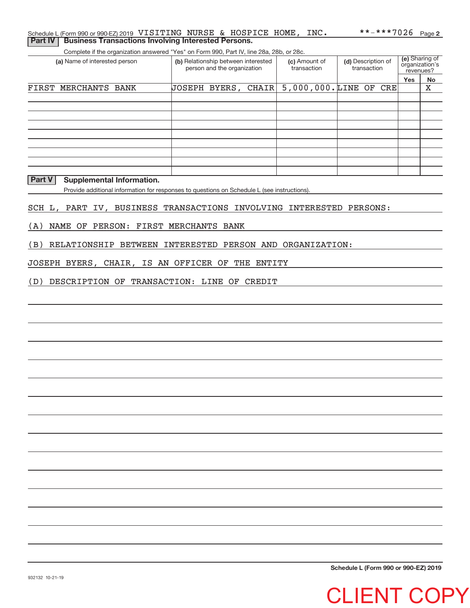## Schedule L (Form 990 or 990-EZ) 2019 <code>VISITING</code> <code>NURSE & HOSPICE HOME, INC.  $\bullet$  \*\*-\*\*\*7026 <code>Page</code></code> **Part IV | Business Transactions Involving Interested Persons.**

Complete if the organization answered "Yes" on Form 990, Part IV, line 28a, 28b, or 28c.

| (a) Name of interested person | (b) Relationship between interested<br>person and the organization | (c) Amount of<br>transaction | (d) Description of<br>transaction | (e) Sharing of<br>organization's<br>revenues? |    |
|-------------------------------|--------------------------------------------------------------------|------------------------------|-----------------------------------|-----------------------------------------------|----|
|                               |                                                                    |                              |                                   | Yes                                           | No |
| FIRST MERCHANTS BANK          | JOSEPH BYERS, CHAIR                                                | $5,000,000$ . LINE OF CRE    |                                   |                                               | X  |
|                               |                                                                    |                              |                                   |                                               |    |
|                               |                                                                    |                              |                                   |                                               |    |
|                               |                                                                    |                              |                                   |                                               |    |
|                               |                                                                    |                              |                                   |                                               |    |
|                               |                                                                    |                              |                                   |                                               |    |
|                               |                                                                    |                              |                                   |                                               |    |
|                               |                                                                    |                              |                                   |                                               |    |
|                               |                                                                    |                              |                                   |                                               |    |
|                               |                                                                    |                              |                                   |                                               |    |

## **Part V** Supplemental Information.

Provide additional information for responses to questions on Schedule L (see instructions).

### SCH L, PART IV, BUSINESS TRANSACTIONS INVOLVING INTERESTED PERSONS:

(A) NAME OF PERSON: FIRST MERCHANTS BANK

(B) RELATIONSHIP BETWEEN INTERESTED PERSON AND ORGANIZATION:

JOSEPH BYERS, CHAIR, IS AN OFFICER OF THE ENTITY

(D) DESCRIPTION OF TRANSACTION: LINE OF CREDIT

**Schedule L (Form 990 or 990‐EZ) 2019**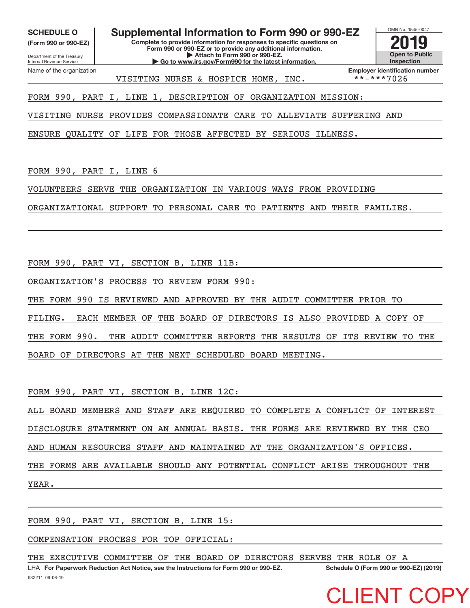**(Form 990 or 990‐EZ)**

Department of the Treasury Internal Revenue Service Name of the organization

**Complete to provide information for responses to specific questions on Form 990 or 990‐EZ or to provide any additional information. | Attach to Form 990 or 990‐EZ.** SCHEDULE O **Supplemental Information to Form 990 or 990-EZ**  $\frac{\text{OMB No. 1545-00}}{\text{Complete to provide information for response to specific questions on$ 

**| Go to www.irs.gov/Form990 for the latest information.**



**Employer identification number**<br>\*\*-\*\*\*7026

FORM 990, PART I, LINE 1, DESCRIPTION OF ORGANIZATION MISSION:

VISITING NURSE PROVIDES COMPASSIONATE CARE TO ALLEVIATE SUFFERING AND

VISITING NURSE & HOSPICE HOME, INC.

ENSURE QUALITY OF LIFE FOR THOSE AFFECTED BY SERIOUS ILLNESS.

FORM 990, PART I, LINE 6

VOLUNTEERS SERVE THE ORGANIZATION IN VARIOUS WAYS FROM PROVIDING

ORGANIZATIONAL SUPPORT TO PERSONAL CARE TO PATIENTS AND THEIR FAMILIES.

FORM 990, PART VI, SECTION B, LINE 11B:

ORGANIZATION'S PROCESS TO REVIEW FORM 990:

THE FORM 990 IS REVIEWED AND APPROVED BY THE AUDIT COMMITTEE PRIOR TO

FILING. EACH MEMBER OF THE BOARD OF DIRECTORS IS ALSO PROVIDED A COPY OF

THE FORM 990. THE AUDIT COMMITTEE REPORTS THE RESULTS OF ITS REVIEW TO THE

BOARD OF DIRECTORS AT THE NEXT SCHEDULED BOARD MEETING.

FORM 990, PART VI, SECTION B, LINE 12C:

ALL BOARD MEMBERS AND STAFF ARE REQUIRED TO COMPLETE A CONFLICT OF INTEREST DISCLOSURE STATEMENT ON AN ANNUAL BASIS. THE FORMS ARE REVIEWED BY THE CEO AND HUMAN RESOURCES STAFF AND MAINTAINED AT THE ORGANIZATION'S OFFICES. THE FORMS ARE AVAILABLE SHOULD ANY POTENTIAL CONFLICT ARISE THROUGHOUT THE YEAR.

FORM 990, PART VI, SECTION B, LINE 15:

COMPENSATION PROCESS FOR TOP OFFICIAL:

THE EXECUTIVE COMMITTEE OF THE BOARD OF DIRECTORS SERVES THE ROLE OF A

932211 09‐06‐19 **For Paperwork Reduction Act Notice, see the Instructions for Form 990 or 990‐EZ. Schedule O (Form 990 or 990‐EZ) (2019)** LHA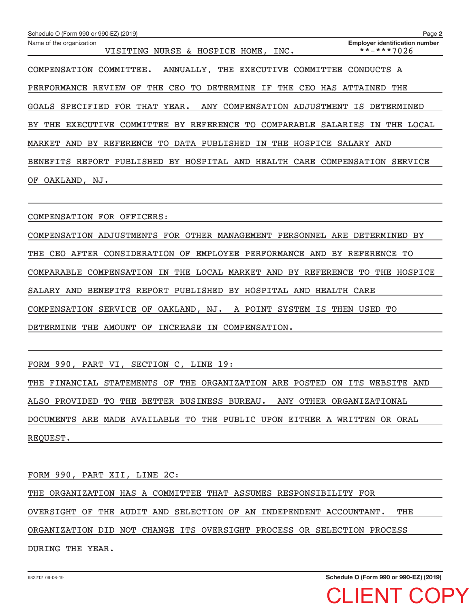| Schedule O (Form 990 or 990-EZ) (2019)                                   | Page 2                                              |
|--------------------------------------------------------------------------|-----------------------------------------------------|
| Name of the organization<br>VISITING NURSE & HOSPICE HOME, INC.          | <b>Employer identification number</b><br>**-***7026 |
| COMPENSATION COMMITTEE.<br>ANNUALLY, THE EXECUTIVE<br>COMMITTEE          | CONDUCTS A                                          |
| PERFORMANCE REVIEW OF THE CEO TO DETERMINE IF THE<br>CEO HAS ATTAINED    | THE                                                 |
| GOALS SPECIFIED FOR THAT YEAR. ANY COMPENSATION ADJUSTMENT IS DETERMINED |                                                     |
| BY THE<br>EXECUTIVE COMMITTEE BY REFERENCE TO COMPARABLE SALARIES        | THE LOCAL<br>IN                                     |
| MARKET AND BY REFERENCE TO DATA PUBLISHED IN<br>THE HOSPICE              | SALARY AND                                          |
| REPORT PUBLISHED BY HOSPITAL AND<br>HEALTH<br>CARE<br>BENEFITS           | COMPENSATION<br>SERVICE                             |
| OAKLAND, NJ.<br>OF.                                                      |                                                     |
|                                                                          |                                                     |

COMPENSATION FOR OFFICERS:

COMPENSATION ADJUSTMENTS FOR OTHER MANAGEMENT PERSONNEL ARE DETERMINED BY THE CEO AFTER CONSIDERATION OF EMPLOYEE PERFORMANCE AND BY REFERENCE TO COMPARABLE COMPENSATION IN THE LOCAL MARKET AND BY REFERENCE TO THE HOSPICE SALARY AND BENEFITS REPORT PUBLISHED BY HOSPITAL AND HEALTH CARE COMPENSATION SERVICE OF OAKLAND, NJ. A POINT SYSTEM IS THEN USED TO DETERMINE THE AMOUNT OF INCREASE IN COMPENSATION.

FORM 990, PART VI, SECTION C, LINE 19:

THE FINANCIAL STATEMENTS OF THE ORGANIZATION ARE POSTED ON ITS WEBSITE AND ALSO PROVIDED TO THE BETTER BUSINESS BUREAU. ANY OTHER ORGANIZATIONAL DOCUMENTS ARE MADE AVAILABLE TO THE PUBLIC UPON EITHER A WRITTEN OR ORAL REQUEST.

FORM 990, PART XII, LINE 2C: THE ORGANIZATION HAS A COMMITTEE THAT ASSUMES RESPONSIBILITY FOR OVERSIGHT OF THE AUDIT AND SELECTION OF AN INDEPENDENT ACCOUNTANT. THE ORGANIZATION DID NOT CHANGE ITS OVERSIGHT PROCESS OR SELECTION PROCESS DURING THE YEAR.

**Schedule O (Form 990 or 990‐EZ) (2019)**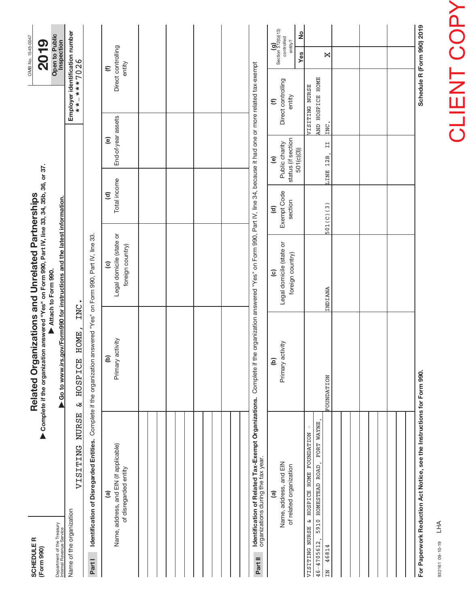| <b>SCHEDULER</b><br>(Form 990)                                                                       |              | Complete if the organization answered "Yes" on Form 990, Part IV, line 33, 34, 35b, 36, or 37.<br>Related Organizations and Unrelated Partnerships |                                                                        |                                                  |                                                                     |                                                      | OMB No. 1545-0047<br><u>ရ</u><br>$\mathbf{\dot{S}}$                          |
|------------------------------------------------------------------------------------------------------|--------------|----------------------------------------------------------------------------------------------------------------------------------------------------|------------------------------------------------------------------------|--------------------------------------------------|---------------------------------------------------------------------|------------------------------------------------------|------------------------------------------------------------------------------|
| Department of the Treasury<br>Internal Revenue Service                                               |              | ▶ Go to www.irs.gov/Form990 for instructions and the latest information.                                                                           | Attach to Form 990.                                                    |                                                  |                                                                     |                                                      | Open to Public<br>Inspection                                                 |
| VISITING<br>Name of the organization                                                                 | <b>NURSE</b> | <b>HOME</b><br>HOSPICE<br>ىغ                                                                                                                       | INC.                                                                   |                                                  |                                                                     | **-***7026                                           | Employer identification number                                               |
| Part I                                                                                               |              | Identification of Disregarded Entities. Complete if the organization answered "Yes" on Form 990, Part IV, line 33.                                 |                                                                        |                                                  |                                                                     |                                                      |                                                                              |
| Name, address, and EIN (if applicable)<br>of disregarded entity<br><u>ම</u>                          |              | Primary activity<br><b>a</b>                                                                                                                       | Legal domicile (state or<br>foreign country)<br>$\widehat{\mathbf{c}}$ | Total income<br>$\widehat{\mathbf{c}}$           | End-of-year assets<br>$\widehat{e}$                                 |                                                      | Direct controlling<br>entity<br>$\epsilon$                                   |
|                                                                                                      |              |                                                                                                                                                    |                                                                        |                                                  |                                                                     |                                                      |                                                                              |
|                                                                                                      |              |                                                                                                                                                    |                                                                        |                                                  |                                                                     |                                                      |                                                                              |
|                                                                                                      |              |                                                                                                                                                    |                                                                        |                                                  |                                                                     |                                                      |                                                                              |
|                                                                                                      |              |                                                                                                                                                    |                                                                        |                                                  |                                                                     |                                                      |                                                                              |
| Identification of Related Tax-Exempt Organizations.<br>organizations during the tax year.<br>Part II |              | Complete if the organization answered "Yes" on Form 990, Part IV, line 34, because it had one or more related tax-exempt                           |                                                                        |                                                  |                                                                     |                                                      |                                                                              |
| Name, address, and EIN<br>of related organization<br>ම                                               |              | Primary activity<br>ව                                                                                                                              | Legal domicile (state or<br>foreign country)<br>$\widehat{c}$          | Exempt Code<br>section<br>$\widehat{\mathbf{c}}$ | status (if section<br>Public charity<br>501(c)(3))<br>$\widehat{e}$ | Direct controlling<br>entity<br>$\widehat{\epsilon}$ | $(g)$<br>Section 512(b)(13)<br>controlled<br>$\frac{1}{2}$<br>entity?<br>Yes |
| VISITING NURSE & HOSPICE HOME FOUNDATION<br>5910 HOMESTEAD ROAD<br>$46 - 4705612$ ,<br>46814<br>ΣĂ   | FORT WAYNE   | <b>FOUNDATION</b>                                                                                                                                  | INDIANA                                                                | 501(C)(3)                                        | $\overline{11}$<br>LINE 12B                                         | AND HOSPICE HOME<br><b>VISITING NURSE</b><br>INC.    | ×                                                                            |
|                                                                                                      |              |                                                                                                                                                    |                                                                        |                                                  |                                                                     |                                                      |                                                                              |
|                                                                                                      |              |                                                                                                                                                    |                                                                        |                                                  |                                                                     |                                                      |                                                                              |
|                                                                                                      |              |                                                                                                                                                    |                                                                        |                                                  |                                                                     |                                                      |                                                                              |
| For Paperwork Reduction Act Notice, see the Instructions for Form 990.                               |              |                                                                                                                                                    |                                                                        |                                                  |                                                                     |                                                      | Schedule R (Form 990) 2019                                                   |

932161 09‐10‐19 932161 09-10-19 LHA

**CLIENT COPY** CLIENT COPY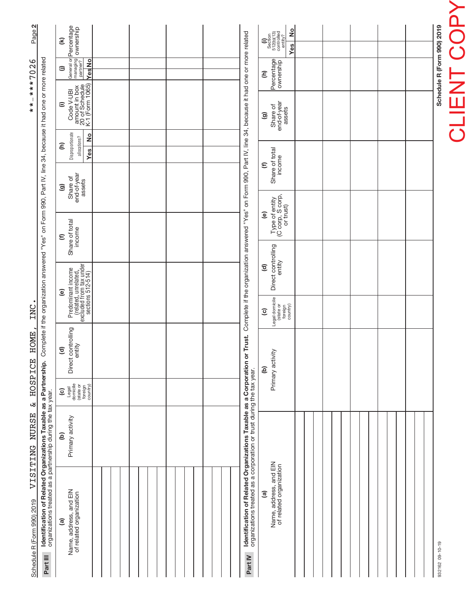| Schedule R (Form 990) 2019                                                                                                                          | VISITENG NURSE                    | <b>HOSPICE</b><br>$\mathbf{z}$                                                  | <b>HOME</b>                                            | INC                                                                                             |                                                                                                               |                                                                  |                                                  |                                                               | J.<br>$* * *$                                                         | $***7026$                                        | Page 2                                                                                                                                                    |
|-----------------------------------------------------------------------------------------------------------------------------------------------------|-----------------------------------|---------------------------------------------------------------------------------|--------------------------------------------------------|-------------------------------------------------------------------------------------------------|---------------------------------------------------------------------------------------------------------------|------------------------------------------------------------------|--------------------------------------------------|---------------------------------------------------------------|-----------------------------------------------------------------------|--------------------------------------------------|-----------------------------------------------------------------------------------------------------------------------------------------------------------|
| Identification of Related Organizations Taxable as a Partnership.<br>organizations treated as a partnership during the tax year.<br>Part III        |                                   |                                                                                 |                                                        |                                                                                                 | Complete if the organization answered "Yes" on Form 990, Part IV, line 34, because it had one or more related |                                                                  |                                                  |                                                               |                                                                       |                                                  |                                                                                                                                                           |
| Name, address, and EIN<br>of related organization<br><u>ම</u>                                                                                       | Primary activity<br>$\widehat{e}$ | Legal<br>domicile<br>(state or<br>foreign<br>country)<br>$\widehat{\mathbf{c}}$ | Direct controlling<br>entity<br>$\widehat{\mathbf{c}}$ | (related, unrelated,<br>excluded from tax under<br>sections 512-514)<br>Predominant income<br>ම |                                                                                                               | Share of total<br>income<br>$\mathbf \epsilon$                   | end-of-year<br>Share of<br>assets<br>ම           | Disproportionate<br>$\frac{1}{2}$<br>allocations?<br>Ξ<br>Yes | amount in box<br>20 of Schedule<br>K-1 (Form 1065)<br>Code V-UBI<br>Ξ | General or<br>managing<br>partner?<br>YesNo<br>⊜ | Percentage<br>ownership<br>$\widehat{\boldsymbol{\epsilon}}$                                                                                              |
|                                                                                                                                                     |                                   |                                                                                 |                                                        |                                                                                                 |                                                                                                               |                                                                  |                                                  |                                                               |                                                                       |                                                  |                                                                                                                                                           |
|                                                                                                                                                     |                                   |                                                                                 |                                                        |                                                                                                 |                                                                                                               |                                                                  |                                                  |                                                               |                                                                       |                                                  |                                                                                                                                                           |
|                                                                                                                                                     |                                   |                                                                                 |                                                        |                                                                                                 |                                                                                                               |                                                                  |                                                  |                                                               |                                                                       |                                                  |                                                                                                                                                           |
|                                                                                                                                                     |                                   |                                                                                 |                                                        |                                                                                                 |                                                                                                               |                                                                  |                                                  |                                                               |                                                                       |                                                  |                                                                                                                                                           |
| Identification of Related Organizations Taxable as a Corporation<br>organizations treated as a corporation or trust during the tax year.<br>Part IV |                                   |                                                                                 | or Trust.                                              |                                                                                                 | Complete if the organization answered "Yes" on Form 990, Part IV, line 34, because it had one or more related |                                                                  |                                                  |                                                               |                                                                       |                                                  |                                                                                                                                                           |
| Name, address, and EIN<br>of related organization<br>$\widehat{\mathbf{e}}$                                                                         |                                   |                                                                                 | Primary activity<br>ê                                  | Legal domicile<br>(state or<br>foreign<br>country)<br>$\widehat{c}$                             | Direct controlling<br>entity<br>$\widehat{\mathbf{c}}$                                                        | Type of entity<br>(C corp, S corp,<br>or trust)<br>$\widehat{e}$ | Share of total<br>income<br>$\widehat{\epsilon}$ |                                                               | Share of<br>end-of-year<br>assets<br>ම                                | Percentage<br>Ξ                                  | $\frac{1}{2}$<br>$\begin{array}{c} \textbf{(i)}\\ \text{Section}\\ 512\text{(b)(13)}\\ \text{controlved}\\ \text{entity?} \end{array}$<br>Y <sub>es</sub> |
|                                                                                                                                                     |                                   |                                                                                 |                                                        |                                                                                                 |                                                                                                               |                                                                  |                                                  |                                                               |                                                                       |                                                  |                                                                                                                                                           |
|                                                                                                                                                     |                                   |                                                                                 |                                                        |                                                                                                 |                                                                                                               |                                                                  |                                                  |                                                               |                                                                       |                                                  |                                                                                                                                                           |
|                                                                                                                                                     |                                   |                                                                                 |                                                        |                                                                                                 |                                                                                                               |                                                                  |                                                  |                                                               |                                                                       |                                                  |                                                                                                                                                           |
|                                                                                                                                                     |                                   |                                                                                 |                                                        |                                                                                                 |                                                                                                               |                                                                  |                                                  |                                                               |                                                                       |                                                  |                                                                                                                                                           |
|                                                                                                                                                     |                                   |                                                                                 |                                                        |                                                                                                 |                                                                                                               |                                                                  |                                                  |                                                               |                                                                       |                                                  |                                                                                                                                                           |

932162 09-10-19 932162 09‐10‐19

CLIENT COPYCLIENT COPY Schedule R (Form 990) 2019

**Schedule R (Form 990) 2019**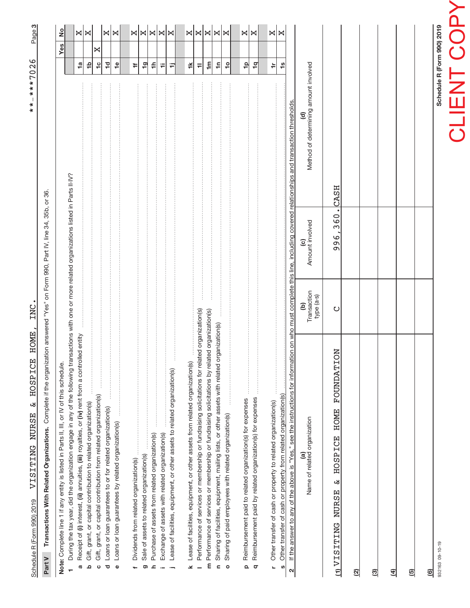# CLIENT COPY CLIENT COPY

Schedule R (Form 990) 2019 **Schedule R (Form 990) 2019**

932163 09‐10‐19

**(6)**<br>932163 09-10-19

က| \*\*-\*\*\*7026 \*\*‐\*\*\*7026

> Part V Transactions With Related Organizations. Complete if the organization answered "Yes" on Form 990, Part IV, line 34, 35b, or 36. Complete if the organization answered "Yes" on Form 990, Part IV, line 34, 35b, or 36. **Part V Transactions With Related Organizations.**

INC.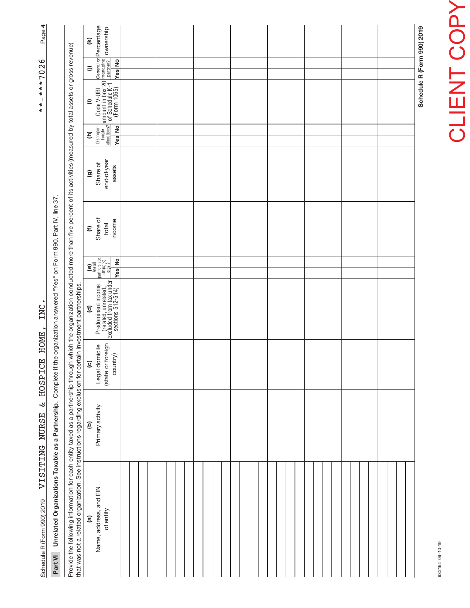| Schedule R (Form 990) 2019                                                                                                                                                                         | ىغ<br>VISITING NURSE | <b>HOME</b><br><b>HOSPICE</b>                   | INC                                                                                                                   |                                                                                                                                                                                                                                                                                                                                                                                                                                                                |                             |                                   |                                       | $\overline{\phantom{a}}$<br>×<br>$\pmb{\ast}$                                                                                            | $***7026$     | 4<br>Page                         |
|----------------------------------------------------------------------------------------------------------------------------------------------------------------------------------------------------|----------------------|-------------------------------------------------|-----------------------------------------------------------------------------------------------------------------------|----------------------------------------------------------------------------------------------------------------------------------------------------------------------------------------------------------------------------------------------------------------------------------------------------------------------------------------------------------------------------------------------------------------------------------------------------------------|-----------------------------|-----------------------------------|---------------------------------------|------------------------------------------------------------------------------------------------------------------------------------------|---------------|-----------------------------------|
| Part VI Unrelated Organizations Taxable as a Partnership. Complete if the                                                                                                                          |                      |                                                 | le organization answered "Yes" on Form 990, Part IV, line 37                                                          |                                                                                                                                                                                                                                                                                                                                                                                                                                                                |                             |                                   |                                       |                                                                                                                                          |               |                                   |
| that was not a related organization. See instructions regarding exclusion for certain investment partnerships.<br>Provide the following information for each entity taxed as a partnership through |                      |                                                 | which the organization conducted more than five percent of its activities (measured by total assets or gross revenue) |                                                                                                                                                                                                                                                                                                                                                                                                                                                                |                             |                                   |                                       |                                                                                                                                          |               |                                   |
| $\widehat{a}$                                                                                                                                                                                      | e)                   | $\widehat{\mathbf{c}}$                          | $\widehat{\mathbf{c}}$                                                                                                |                                                                                                                                                                                                                                                                                                                                                                                                                                                                | $\widehat{\epsilon}$        | ම                                 | Ξ                                     | ε                                                                                                                                        | $\oplus$      | $\widehat{\boldsymbol{\epsilon}}$ |
| Name, address, and EIN<br>of entity                                                                                                                                                                | Primary activity     | (state or foreign<br>Legal domicile<br>country) | Predominant income<br>(related, unrelated,<br>excluded from tax under<br>sections 512-514)                            | $\begin{bmatrix} \mathbf{c} \\ \mathbf{e} \\ \mathbf{a} \\ \mathbf{b} \\ \mathbf{b} \\ \mathbf{b} \\ \mathbf{b} \\ \mathbf{b} \\ \mathbf{b} \\ \mathbf{b} \\ \mathbf{b} \\ \mathbf{b} \\ \mathbf{b} \\ \mathbf{b} \\ \mathbf{b} \\ \mathbf{b} \\ \mathbf{b} \\ \mathbf{b} \\ \mathbf{b} \\ \mathbf{b} \\ \mathbf{b} \\ \mathbf{b} \\ \mathbf{b} \\ \mathbf{b} \\ \mathbf{b} \\ \mathbf{b} \\ \mathbf{b} \\ \mathbf{b} \\ \mathbf{b} \\ \mathbf{b} \\ \mathbf{$ | Share of<br>income<br>total | end-of-year<br>Share of<br>assets | Dispropor-<br>tionate<br>allocations? | From Code V-UBI General or $P$<br>$\frac{2}{3}$ of Schedule K-1 $\frac{p$ entner?<br>$\frac{p}{q}$ of Schedule K-1 $\frac{p}{q}$ entner? |               | Percentage<br>ownership           |
|                                                                                                                                                                                                    |                      |                                                 |                                                                                                                       | <b>Yes</b> No                                                                                                                                                                                                                                                                                                                                                                                                                                                  |                             |                                   | <b>Yes</b> No                         |                                                                                                                                          | <b>Yes</b> No |                                   |
|                                                                                                                                                                                                    |                      |                                                 |                                                                                                                       |                                                                                                                                                                                                                                                                                                                                                                                                                                                                |                             |                                   |                                       |                                                                                                                                          |               |                                   |
|                                                                                                                                                                                                    |                      |                                                 |                                                                                                                       |                                                                                                                                                                                                                                                                                                                                                                                                                                                                |                             |                                   |                                       |                                                                                                                                          |               |                                   |
|                                                                                                                                                                                                    |                      |                                                 |                                                                                                                       |                                                                                                                                                                                                                                                                                                                                                                                                                                                                |                             |                                   |                                       |                                                                                                                                          |               |                                   |
|                                                                                                                                                                                                    |                      |                                                 |                                                                                                                       |                                                                                                                                                                                                                                                                                                                                                                                                                                                                |                             |                                   |                                       |                                                                                                                                          |               |                                   |
|                                                                                                                                                                                                    |                      |                                                 |                                                                                                                       |                                                                                                                                                                                                                                                                                                                                                                                                                                                                |                             |                                   |                                       |                                                                                                                                          |               |                                   |
|                                                                                                                                                                                                    |                      |                                                 |                                                                                                                       |                                                                                                                                                                                                                                                                                                                                                                                                                                                                |                             |                                   |                                       |                                                                                                                                          |               |                                   |
|                                                                                                                                                                                                    |                      |                                                 |                                                                                                                       |                                                                                                                                                                                                                                                                                                                                                                                                                                                                |                             |                                   |                                       |                                                                                                                                          |               |                                   |
|                                                                                                                                                                                                    |                      |                                                 |                                                                                                                       |                                                                                                                                                                                                                                                                                                                                                                                                                                                                |                             |                                   |                                       |                                                                                                                                          |               |                                   |
|                                                                                                                                                                                                    |                      |                                                 |                                                                                                                       |                                                                                                                                                                                                                                                                                                                                                                                                                                                                |                             |                                   |                                       |                                                                                                                                          |               |                                   |
|                                                                                                                                                                                                    |                      |                                                 |                                                                                                                       |                                                                                                                                                                                                                                                                                                                                                                                                                                                                |                             |                                   |                                       |                                                                                                                                          |               |                                   |
|                                                                                                                                                                                                    |                      |                                                 |                                                                                                                       |                                                                                                                                                                                                                                                                                                                                                                                                                                                                |                             |                                   |                                       |                                                                                                                                          |               |                                   |
|                                                                                                                                                                                                    |                      |                                                 |                                                                                                                       |                                                                                                                                                                                                                                                                                                                                                                                                                                                                |                             |                                   |                                       |                                                                                                                                          |               |                                   |
|                                                                                                                                                                                                    |                      |                                                 |                                                                                                                       |                                                                                                                                                                                                                                                                                                                                                                                                                                                                |                             |                                   |                                       |                                                                                                                                          |               |                                   |
|                                                                                                                                                                                                    |                      |                                                 |                                                                                                                       |                                                                                                                                                                                                                                                                                                                                                                                                                                                                |                             |                                   |                                       |                                                                                                                                          |               |                                   |
|                                                                                                                                                                                                    |                      |                                                 |                                                                                                                       |                                                                                                                                                                                                                                                                                                                                                                                                                                                                |                             |                                   |                                       |                                                                                                                                          |               |                                   |
|                                                                                                                                                                                                    |                      |                                                 |                                                                                                                       |                                                                                                                                                                                                                                                                                                                                                                                                                                                                |                             |                                   |                                       |                                                                                                                                          |               |                                   |
|                                                                                                                                                                                                    |                      |                                                 |                                                                                                                       |                                                                                                                                                                                                                                                                                                                                                                                                                                                                |                             |                                   |                                       |                                                                                                                                          |               |                                   |
|                                                                                                                                                                                                    |                      |                                                 |                                                                                                                       |                                                                                                                                                                                                                                                                                                                                                                                                                                                                |                             |                                   |                                       |                                                                                                                                          |               |                                   |
|                                                                                                                                                                                                    |                      |                                                 |                                                                                                                       |                                                                                                                                                                                                                                                                                                                                                                                                                                                                |                             |                                   |                                       |                                                                                                                                          |               |                                   |
|                                                                                                                                                                                                    |                      |                                                 |                                                                                                                       |                                                                                                                                                                                                                                                                                                                                                                                                                                                                |                             |                                   |                                       |                                                                                                                                          |               |                                   |
|                                                                                                                                                                                                    |                      |                                                 |                                                                                                                       |                                                                                                                                                                                                                                                                                                                                                                                                                                                                |                             |                                   |                                       |                                                                                                                                          |               |                                   |
|                                                                                                                                                                                                    |                      |                                                 |                                                                                                                       |                                                                                                                                                                                                                                                                                                                                                                                                                                                                |                             |                                   |                                       |                                                                                                                                          |               |                                   |
|                                                                                                                                                                                                    |                      |                                                 |                                                                                                                       |                                                                                                                                                                                                                                                                                                                                                                                                                                                                |                             |                                   |                                       |                                                                                                                                          |               |                                   |
|                                                                                                                                                                                                    |                      |                                                 |                                                                                                                       |                                                                                                                                                                                                                                                                                                                                                                                                                                                                |                             |                                   |                                       |                                                                                                                                          |               |                                   |
|                                                                                                                                                                                                    |                      |                                                 |                                                                                                                       |                                                                                                                                                                                                                                                                                                                                                                                                                                                                |                             |                                   |                                       |                                                                                                                                          |               |                                   |
|                                                                                                                                                                                                    |                      |                                                 |                                                                                                                       |                                                                                                                                                                                                                                                                                                                                                                                                                                                                |                             |                                   |                                       |                                                                                                                                          |               |                                   |
|                                                                                                                                                                                                    |                      |                                                 |                                                                                                                       |                                                                                                                                                                                                                                                                                                                                                                                                                                                                |                             |                                   |                                       |                                                                                                                                          |               |                                   |
|                                                                                                                                                                                                    |                      |                                                 |                                                                                                                       |                                                                                                                                                                                                                                                                                                                                                                                                                                                                |                             |                                   |                                       |                                                                                                                                          |               |                                   |
|                                                                                                                                                                                                    |                      |                                                 |                                                                                                                       |                                                                                                                                                                                                                                                                                                                                                                                                                                                                |                             |                                   |                                       |                                                                                                                                          |               |                                   |
|                                                                                                                                                                                                    |                      |                                                 |                                                                                                                       |                                                                                                                                                                                                                                                                                                                                                                                                                                                                |                             |                                   |                                       |                                                                                                                                          |               | Schedule R (Form 990) 2019        |

# **CLIENT COPY** CLIENT COPY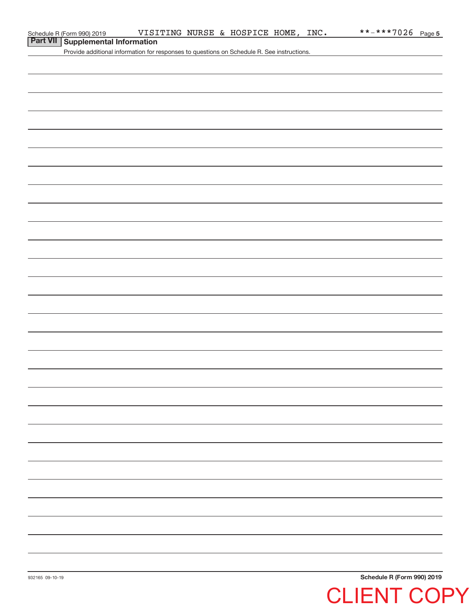## **Part VII Supplemental Information**

Provide additional information for responses to questions on Schedule R. See instructions.

**Schedule R (Form 990) 2019**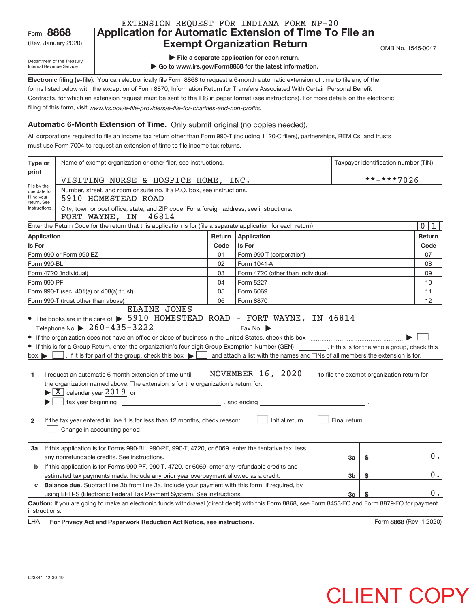## Rev. January 2020) **Cxempt Organization Return** Manuary 2020 and the Sea of the Sea of the Sea of the Sea of the S **8868 Application for Automatic Extension of Time To File an** EXTENSION REQUEST FOR INDIANA FORM NP‐20

Department of the Treasury Internal Revenue Service

**| File a separate application for each return.**

**| Go to www.irs.gov/Form8868 for the latest information.**

**Electronic filing (e‐file).**  You can electronically file Form 8868 to request a 6‐month automatic extension of time to file any of the filing of this form, visit www.irs.gov/e-file-providers/e-file-for-charities-and-non-profits. forms listed below with the exception of Form 8870, Information Return for Transfers Associated With Certain Personal Benefit Contracts, for which an extension request must be sent to the IRS in paper format (see instructions). For more details on the electronic

## **Automatic 6‐Month Extension of Time.** Only submit original (no copies needed).

All corporations required to file an income tax return other than Form 990‐T (including 1120‐C filers), partnerships, REMICs, and trusts must use Form 7004 to request an extension of time to file income tax returns.

| Type or                        | Name of exempt organization or other filer, see instructions.                                                                                                                                                                                                                                                                                                                                                                                                                                                                                                                                           |        |                                                                                                                             |              | Taxpayer identification number (TIN) |                     |
|--------------------------------|---------------------------------------------------------------------------------------------------------------------------------------------------------------------------------------------------------------------------------------------------------------------------------------------------------------------------------------------------------------------------------------------------------------------------------------------------------------------------------------------------------------------------------------------------------------------------------------------------------|--------|-----------------------------------------------------------------------------------------------------------------------------|--------------|--------------------------------------|---------------------|
| print                          |                                                                                                                                                                                                                                                                                                                                                                                                                                                                                                                                                                                                         |        |                                                                                                                             |              | **-***7026                           |                     |
| File by the<br>due date for    | VISITING NURSE & HOSPICE HOME, INC.<br>Number, street, and room or suite no. If a P.O. box, see instructions.                                                                                                                                                                                                                                                                                                                                                                                                                                                                                           |        |                                                                                                                             |              |                                      |                     |
| filing your                    | 5910 HOMESTEAD ROAD                                                                                                                                                                                                                                                                                                                                                                                                                                                                                                                                                                                     |        |                                                                                                                             |              |                                      |                     |
| return. See<br>instructions.   | City, town or post office, state, and ZIP code. For a foreign address, see instructions.<br>46814<br>FORT WAYNE, IN                                                                                                                                                                                                                                                                                                                                                                                                                                                                                     |        |                                                                                                                             |              |                                      |                     |
|                                | Enter the Return Code for the return that this application is for (file a separate application for each return)                                                                                                                                                                                                                                                                                                                                                                                                                                                                                         |        |                                                                                                                             |              |                                      | $\overline{0}$<br>1 |
| <b>Application</b>             |                                                                                                                                                                                                                                                                                                                                                                                                                                                                                                                                                                                                         | Return | Application                                                                                                                 |              |                                      | Return              |
| Is For                         |                                                                                                                                                                                                                                                                                                                                                                                                                                                                                                                                                                                                         | Code   | Is For                                                                                                                      |              |                                      | Code                |
|                                | Form 990 or Form 990-EZ                                                                                                                                                                                                                                                                                                                                                                                                                                                                                                                                                                                 | 01     | Form 990-T (corporation)                                                                                                    |              |                                      | 07                  |
| Form 990-BL                    |                                                                                                                                                                                                                                                                                                                                                                                                                                                                                                                                                                                                         | 02     | Form 1041-A                                                                                                                 |              |                                      | 08                  |
|                                | Form 4720 (individual)                                                                                                                                                                                                                                                                                                                                                                                                                                                                                                                                                                                  | 03     | Form 4720 (other than individual)                                                                                           |              |                                      | 09                  |
| Form 990-PF                    |                                                                                                                                                                                                                                                                                                                                                                                                                                                                                                                                                                                                         | 04     | Form 5227                                                                                                                   |              |                                      | 10                  |
|                                | Form 990-T (sec. 401(a) or 408(a) trust)                                                                                                                                                                                                                                                                                                                                                                                                                                                                                                                                                                | 05     | Form 6069                                                                                                                   |              |                                      | 11                  |
|                                | Form 990-T (trust other than above)<br><b>ELAINE JONES</b>                                                                                                                                                                                                                                                                                                                                                                                                                                                                                                                                              | 06     | Form 8870                                                                                                                   |              |                                      | 12                  |
| $box \triangleright$<br>1<br>2 | • If this is for a Group Return, enter the organization's four digit Group Exemption Number (GEN) _________. If this is for the whole group, check this<br>I and attach a list with the names and TINs of all members the extension is for.<br>I request an automatic 6-month extension of time until<br>the organization named above. The extension is for the organization's return for:<br>$\blacktriangleright$ $\boxed{\text{X}}$ calendar year 2019 or<br>$\Box$ tax year beginning<br>If the tax year entered in line 1 is for less than 12 months, check reason:<br>Change in accounting period |        | NOVEMBER 16, 2020, to file the exempt organization return for<br>$\frac{1}{2}$ , and ending $\frac{1}{2}$<br>Initial return | Final return |                                      |                     |
| За                             | If this application is for Forms 990-BL, 990-PF, 990-T, 4720, or 6069, enter the tentative tax, less<br>any nonrefundable credits. See instructions.                                                                                                                                                                                                                                                                                                                                                                                                                                                    |        |                                                                                                                             | За           | \$                                   | $0$ .               |
| b                              | If this application is for Forms 990-PF, 990-T, 4720, or 6069, enter any refundable credits and<br>estimated tax payments made. Include any prior year overpayment allowed as a credit.                                                                                                                                                                                                                                                                                                                                                                                                                 |        |                                                                                                                             | 3b           | \$                                   | 0.                  |
| c                              | <b>Balance due.</b> Subtract line 3b from line 3a. Include your payment with this form, if required, by                                                                                                                                                                                                                                                                                                                                                                                                                                                                                                 |        |                                                                                                                             |              |                                      |                     |
|                                | using EFTPS (Electronic Federal Tax Payment System). See instructions.                                                                                                                                                                                                                                                                                                                                                                                                                                                                                                                                  |        |                                                                                                                             | 3c           |                                      | 0.                  |
| instructions.                  | Caution: If you are going to make an electronic funds withdrawal (direct debit) with this Form 8868, see Form 8453-EO and Form 8879-EO for payment                                                                                                                                                                                                                                                                                                                                                                                                                                                      |        |                                                                                                                             |              |                                      |                     |

LHA For Privacy Act and Paperwork Reduction Act Notice, see instructions. **8868** (Rev. 1–2020)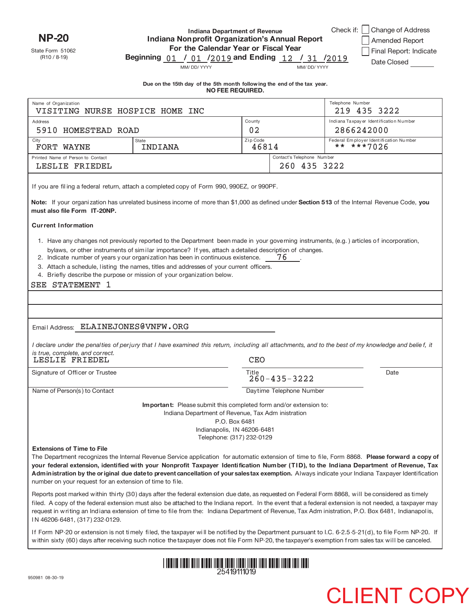**NP‐20**

State Form 51062 (R10 / 8-19)

## **Indiana Department of Revenue Indiana Nonprofit Organization's Annual Report For the Calendar Year or Fiscal Year** Beginning 01 / 01 /2019 and Ending 12 / 31 /2019

| Change of Address      |
|------------------------|
| Amended Report         |
| Final Report: Indicate |
| Date Closed            |

MM/ DD/ YYYY MM/ DD/ YYYY

Check if:

| Due on the 15th day of the 5th month following the end of the tax year. |                  |  |  |
|-------------------------------------------------------------------------|------------------|--|--|
|                                                                         | NO FEE REQUIRED. |  |  |

| Name of Organization                                                                                        |                                                                                                                                                                                                                                                                                                                                                                                                                                                                                                                                                                                                                                                                   |                                                                           |                            | Telephone Number<br>219 435 3222                                                                                                                                                                                                                                                                                                                                                                                                              |
|-------------------------------------------------------------------------------------------------------------|-------------------------------------------------------------------------------------------------------------------------------------------------------------------------------------------------------------------------------------------------------------------------------------------------------------------------------------------------------------------------------------------------------------------------------------------------------------------------------------------------------------------------------------------------------------------------------------------------------------------------------------------------------------------|---------------------------------------------------------------------------|----------------------------|-----------------------------------------------------------------------------------------------------------------------------------------------------------------------------------------------------------------------------------------------------------------------------------------------------------------------------------------------------------------------------------------------------------------------------------------------|
| VISITING NURSE HOSPICE HOME INC                                                                             |                                                                                                                                                                                                                                                                                                                                                                                                                                                                                                                                                                                                                                                                   | County                                                                    |                            | Indiana Taxpay er Identification Number                                                                                                                                                                                                                                                                                                                                                                                                       |
| Address<br>5910 HOMESTEAD ROAD                                                                              |                                                                                                                                                                                                                                                                                                                                                                                                                                                                                                                                                                                                                                                                   | 02                                                                        |                            | 2866242000                                                                                                                                                                                                                                                                                                                                                                                                                                    |
| City                                                                                                        | <b>State</b>                                                                                                                                                                                                                                                                                                                                                                                                                                                                                                                                                                                                                                                      | Zip Code                                                                  |                            | Federal Employer Identification Number                                                                                                                                                                                                                                                                                                                                                                                                        |
| FORT WAYNE                                                                                                  | INDIANA                                                                                                                                                                                                                                                                                                                                                                                                                                                                                                                                                                                                                                                           | 46814                                                                     |                            | ** ***7026                                                                                                                                                                                                                                                                                                                                                                                                                                    |
| Printed Name of Person to Contact                                                                           |                                                                                                                                                                                                                                                                                                                                                                                                                                                                                                                                                                                                                                                                   |                                                                           | Contact's Telephone Number |                                                                                                                                                                                                                                                                                                                                                                                                                                               |
| LESLIE FRIEDEL                                                                                              |                                                                                                                                                                                                                                                                                                                                                                                                                                                                                                                                                                                                                                                                   |                                                                           | 260 435 3222               |                                                                                                                                                                                                                                                                                                                                                                                                                                               |
|                                                                                                             | If you are filing a federal return, attach a completed copy of Form 990, 990EZ, or 990PF.                                                                                                                                                                                                                                                                                                                                                                                                                                                                                                                                                                         |                                                                           |                            |                                                                                                                                                                                                                                                                                                                                                                                                                                               |
| must also file Form IT-20NP.                                                                                | Note: If your organization has unrelated business income of more than \$1,000 as defined under Section 513 of the Internal Revenue Code, you                                                                                                                                                                                                                                                                                                                                                                                                                                                                                                                      |                                                                           |                            |                                                                                                                                                                                                                                                                                                                                                                                                                                               |
| <b>Current Information</b>                                                                                  |                                                                                                                                                                                                                                                                                                                                                                                                                                                                                                                                                                                                                                                                   |                                                                           |                            |                                                                                                                                                                                                                                                                                                                                                                                                                                               |
| SEE STATEMENT 1<br>Email Address: ELAINEJONES@VNFW.ORG<br>is true, complete, and correct.<br>LESLIE FRIEDEL | 1. Have any changes not previously reported to the Department been made in your governing instruments, (e.g.) articles of incorporation,<br>bylaws, or other instruments of similar importance? If yes, attach a detailed description of changes.<br>2. Indicate number of years your organization has been in continuous existence.<br>3. Attach a schedule, listing the names, titles and addresses of your current officers.<br>4. Briefly describe the purpose or mission of your organization below.<br>I declare under the penalties of perjury that I have examined this return, including all attachments, and to the best of my knowledge and belief, it | <b>CEO</b>                                                                | 76                         |                                                                                                                                                                                                                                                                                                                                                                                                                                               |
| Signature of Officer or Trustee                                                                             |                                                                                                                                                                                                                                                                                                                                                                                                                                                                                                                                                                                                                                                                   | Title                                                                     | Date                       |                                                                                                                                                                                                                                                                                                                                                                                                                                               |
|                                                                                                             |                                                                                                                                                                                                                                                                                                                                                                                                                                                                                                                                                                                                                                                                   |                                                                           | $260 - 435 - 3222$         |                                                                                                                                                                                                                                                                                                                                                                                                                                               |
| Name of Person(s) to Contact                                                                                |                                                                                                                                                                                                                                                                                                                                                                                                                                                                                                                                                                                                                                                                   | Daytime Telephone Number                                                  |                            |                                                                                                                                                                                                                                                                                                                                                                                                                                               |
|                                                                                                             | <b>Important:</b> Please submit this completed form and/or extension to:<br>Indiana Department of Revenue, Tax Adm inistration                                                                                                                                                                                                                                                                                                                                                                                                                                                                                                                                    | P.O. Box 6481<br>Indianapolis, IN 46206-6481<br>Telephone: (317) 232-0129 |                            |                                                                                                                                                                                                                                                                                                                                                                                                                                               |
| <b>Extensions of Time to File</b><br>number on your request for an extension of time to file.               |                                                                                                                                                                                                                                                                                                                                                                                                                                                                                                                                                                                                                                                                   |                                                                           |                            | The Department recognizes the Internal Revenue Service application for automatic extension of time to file, Form 8868. Please forward a copy of<br>your federal extension, identified with your Nonprofit Taxpayer Identification Number (TID), to the Indiana Department of Revenue, Tax<br>Administration by the original due date to prevent cancellation of your salestax exemption. Always indicate your Indiana Taxpayer Identification |
|                                                                                                             | Reports post marked within thirty (30) days after the federal extension due date, as requested on Federal Form 8868, will be considered as timely                                                                                                                                                                                                                                                                                                                                                                                                                                                                                                                 |                                                                           |                            | filed. A copy of the federal extension must also be attached to the Indiana report. In the event that a federal extension is not needed, a taxpayer may                                                                                                                                                                                                                                                                                       |

 w ithin sixty (60) days after receiving such notice the taxpayer does not file Form NP‐20, the taxpayer's exemption f rom sales tax will be canceled. If Form NP‐20 or extension is not timely filed, the taxpayer wi ll be notified by the Department pursuant to I.C. 6‐2.5‐5‐21(d), to file Form NP‐20. If

request in writing an Indiana extension of time to file from the: Indiana Department of Revenue, Tax Adm inistration, P.O. Box 6481, Indianapol is,



I N 46206‐6481, (317) 232‐0129.

950981 08‐30‐19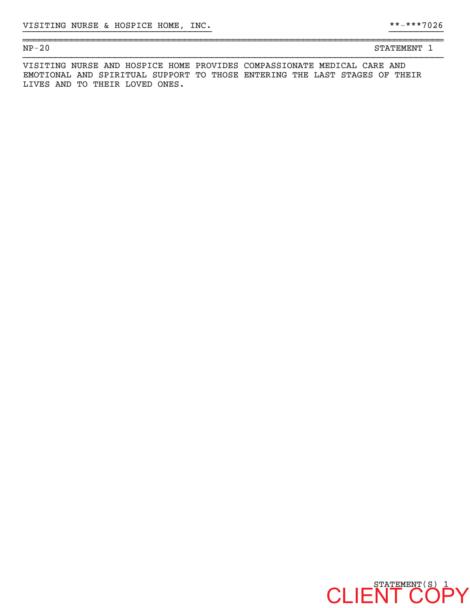| NP<br>$\sim$<br>ïυ<br>_ | --- | - |
|-------------------------|-----|---|
|                         |     |   |

VISITING NURSE AND HOSPICE HOME PROVIDES COMPASSIONATE MEDICAL CARE AND EMOTIONAL AND SPIRITUAL SUPPORT TO THOSE ENTERING THE LAST STAGES OF THEIR LIVES AND TO THEIR LOVED ONES.

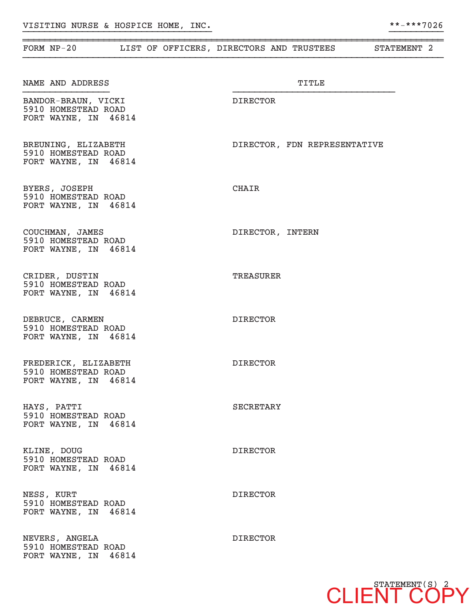| FORM $NP-20$                                                        |  |                  | LIST OF OFFICERS, DIRECTORS AND TRUSTEES | STATEMENT 2 |
|---------------------------------------------------------------------|--|------------------|------------------------------------------|-------------|
| NAME AND ADDRESS                                                    |  |                  | TITLE                                    |             |
| BANDOR-BRAUN, VICKI<br>5910 HOMESTEAD ROAD<br>FORT WAYNE, IN 46814  |  | DIRECTOR         |                                          |             |
| BREUNING, ELIZABETH<br>5910 HOMESTEAD ROAD<br>FORT WAYNE, IN 46814  |  |                  | DIRECTOR, FDN REPRESENTATIVE             |             |
| BYERS, JOSEPH<br>5910 HOMESTEAD ROAD<br>FORT WAYNE, IN 46814        |  | CHAIR            |                                          |             |
| COUCHMAN, JAMES<br>5910 HOMESTEAD ROAD<br>FORT WAYNE, IN 46814      |  |                  | DIRECTOR, INTERN                         |             |
| CRIDER, DUSTIN<br>5910 HOMESTEAD ROAD<br>FORT WAYNE, IN 46814       |  | TREASURER        |                                          |             |
| DEBRUCE, CARMEN<br>5910 HOMESTEAD ROAD<br>FORT WAYNE, IN 46814      |  | <b>DIRECTOR</b>  |                                          |             |
| FREDERICK, ELIZABETH<br>5910 HOMESTEAD ROAD<br>FORT WAYNE, IN 46814 |  | <b>DIRECTOR</b>  |                                          |             |
| HAYS, PATTI<br>5910 HOMESTEAD ROAD<br>FORT WAYNE, IN 46814          |  | <b>SECRETARY</b> |                                          |             |
| KLINE, DOUG<br>5910 HOMESTEAD ROAD<br>FORT WAYNE, IN 46814          |  | <b>DIRECTOR</b>  |                                          |             |
| NESS, KURT<br>5910 HOMESTEAD ROAD<br>FORT WAYNE, IN 46814           |  | <b>DIRECTOR</b>  |                                          |             |
| NEVERS, ANGELA<br>5910 HOMESTEAD ROAD<br>FORT WAYNE, IN 46814       |  | <b>DIRECTOR</b>  |                                          |             |

~~~~~~~~~~~~~~~~~~~~~~~~~~~~~~~~~~~~~~~~~~~~~~~~~~~~~~~~~~~~~~~~~~~~~~~~~~~~~~

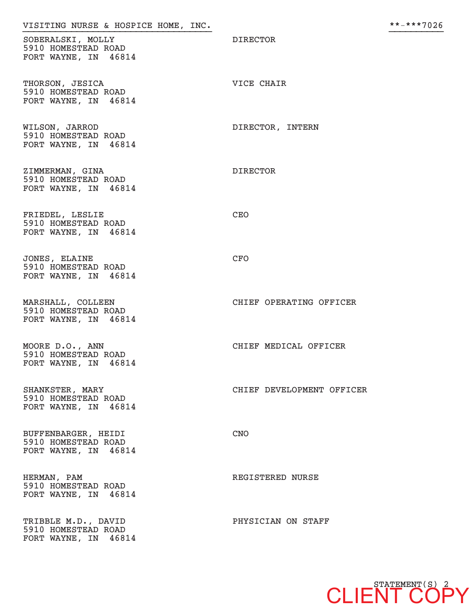| VISITING NURSE & HOSPICE HOME, INC.                                |                           | **-***7026 |
|--------------------------------------------------------------------|---------------------------|------------|
| SOBERALSKI, MOLLY<br>5910 HOMESTEAD ROAD<br>FORT WAYNE, IN 46814   | <b>DIRECTOR</b>           |            |
| THORSON, JESICA<br>5910 HOMESTEAD ROAD<br>FORT WAYNE, IN 46814     | VICE CHAIR                |            |
| WILSON, JARROD<br>5910 HOMESTEAD ROAD<br>FORT WAYNE, IN 46814      | DIRECTOR, INTERN          |            |
| ZIMMERMAN, GINA<br>5910 HOMESTEAD ROAD<br>FORT WAYNE, IN 46814     | <b>DIRECTOR</b>           |            |
| FRIEDEL, LESLIE<br>5910 HOMESTEAD ROAD<br>FORT WAYNE, IN 46814     | CEO                       |            |
| JONES, ELAINE<br>5910 HOMESTEAD ROAD<br>FORT WAYNE, IN 46814       | CFO                       |            |
| MARSHALL, COLLEEN<br>5910 HOMESTEAD ROAD<br>FORT WAYNE, IN 46814   | CHIEF OPERATING OFFICER   |            |
| MOORE D.O., ANN<br>5910 HOMESTEAD ROAD<br>FORT WAYNE, IN 46814     | CHIEF MEDICAL OFFICER     |            |
| SHANKSTER, MARY<br>5910 HOMESTEAD ROAD<br>FORT WAYNE, IN 46814     | CHIEF DEVELOPMENT OFFICER |            |
| BUFFENBARGER, HEIDI<br>5910 HOMESTEAD ROAD<br>FORT WAYNE, IN 46814 | <b>CNO</b>                |            |
| HERMAN, PAM<br>5910 HOMESTEAD ROAD<br>FORT WAYNE, IN 46814         | REGISTERED NURSE          |            |
| TRIBBLE M.D., DAVID<br>5910 HOMESTEAD ROAD<br>FORT WAYNE, IN 46814 | PHYSICIAN ON STAFF        |            |